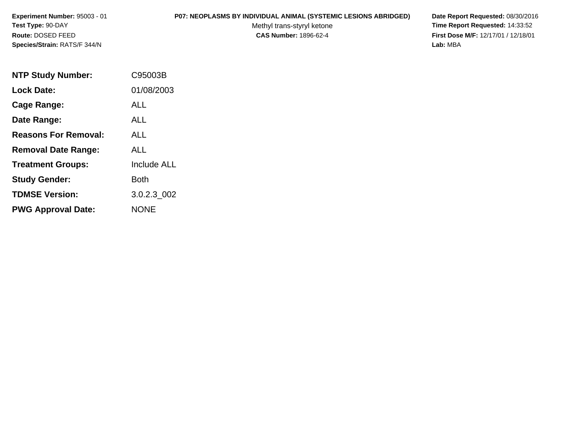# **P07: NEOPLASMS BY INDIVIDUAL ANIMAL (SYSTEMIC LESIONS ABRIDGED) Date Report Requested:** 08/30/2016

Methyl trans-styryl ketone<br>CAS Number: 1896-62-4

| <b>NTP Study Number:</b>    | C95003B            |
|-----------------------------|--------------------|
| <b>Lock Date:</b>           | 01/08/2003         |
| Cage Range:                 | ALL                |
| Date Range:                 | <b>ALL</b>         |
| <b>Reasons For Removal:</b> | AI I               |
| <b>Removal Date Range:</b>  | ALL                |
| <b>Treatment Groups:</b>    | <b>Include ALL</b> |
| <b>Study Gender:</b>        | Both               |
| <b>TDMSE Version:</b>       | 3.0.2.3 002        |
| <b>PWG Approval Date:</b>   | <b>NONE</b>        |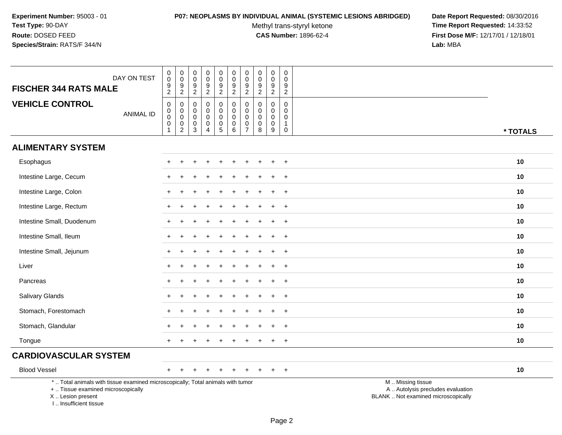### **P07: NEOPLASMS BY INDIVIDUAL ANIMAL (SYSTEMIC LESIONS ABRIDGED) Date Report Requested:** 08/30/2016

Methyl trans-styryl ketone<br>CAS Number: 1896-62-4

| DAY ON TEST<br><b>FISCHER 344 RATS MALE</b>                                                                                                                        | $\pmb{0}$<br>$\mathsf{O}\xspace$<br>$\boldsymbol{9}$<br>$\overline{2}$ | $\pmb{0}$<br>$\mathsf 0$<br>$\boldsymbol{9}$<br>$\overline{2}$                            | $\pmb{0}$<br>$\mathbf 0$<br>$\boldsymbol{9}$<br>$\overline{c}$ | $\mathsf 0$<br>$\mathsf{O}\xspace$<br>$\boldsymbol{9}$<br>$\overline{2}$ | $\pmb{0}$<br>$\pmb{0}$<br>$\frac{9}{2}$                                        | $\mathbf 0$<br>$\frac{0}{9}$                                             | $\pmb{0}$<br>$\mathbf 0$<br>9<br>$\overline{2}$                | $\pmb{0}$<br>$\mathbf 0$<br>9<br>$\sqrt{2}$          | $\pmb{0}$<br>$\mathbf 0$<br>$\boldsymbol{9}$<br>$\overline{2}$ | $\pmb{0}$<br>$\mathsf{O}\xspace$<br>9<br>$\overline{2}$        |                                                                                               |
|--------------------------------------------------------------------------------------------------------------------------------------------------------------------|------------------------------------------------------------------------|-------------------------------------------------------------------------------------------|----------------------------------------------------------------|--------------------------------------------------------------------------|--------------------------------------------------------------------------------|--------------------------------------------------------------------------|----------------------------------------------------------------|------------------------------------------------------|----------------------------------------------------------------|----------------------------------------------------------------|-----------------------------------------------------------------------------------------------|
| <b>VEHICLE CONTROL</b><br><b>ANIMAL ID</b>                                                                                                                         | $\mathsf 0$<br>$\pmb{0}$<br>$\mathbf 0$<br>$\pmb{0}$<br>$\mathbf{1}$   | $\mathbf 0$<br>$\mathbf 0$<br>$\mathsf 0$<br>$\begin{smallmatrix} 0\\2 \end{smallmatrix}$ | $\mathbf 0$<br>0<br>$\mathsf{O}\xspace$<br>$\pmb{0}$<br>3      | $\mathbf 0$<br>$\mathbf 0$<br>$\mathbf 0$<br>0<br>$\overline{A}$         | $\mathbf 0$<br>$\pmb{0}$<br>$\pmb{0}$<br>$\begin{array}{c} 0 \\ 5 \end{array}$ | 0<br>$\mathbf 0$<br>$\mathbf 0$<br>$\begin{array}{c} 0 \\ 6 \end{array}$ | $\Omega$<br>$\mathbf 0$<br>$\mathbf{0}$<br>0<br>$\overline{7}$ | $\mathbf 0$<br>$\pmb{0}$<br>$\pmb{0}$<br>0<br>$\bf8$ | 0<br>$\pmb{0}$<br>$\mathbf 0$<br>$\pmb{0}$<br>9                | $\mathbf 0$<br>$\mathbf 0$<br>0<br>$\mathbf{1}$<br>$\mathbf 0$ | * TOTALS                                                                                      |
| <b>ALIMENTARY SYSTEM</b>                                                                                                                                           |                                                                        |                                                                                           |                                                                |                                                                          |                                                                                |                                                                          |                                                                |                                                      |                                                                |                                                                |                                                                                               |
| Esophagus                                                                                                                                                          |                                                                        |                                                                                           |                                                                |                                                                          |                                                                                |                                                                          |                                                                |                                                      |                                                                |                                                                | 10                                                                                            |
| Intestine Large, Cecum                                                                                                                                             |                                                                        |                                                                                           |                                                                |                                                                          |                                                                                |                                                                          |                                                                |                                                      |                                                                | $\ddot{}$                                                      | 10                                                                                            |
| Intestine Large, Colon                                                                                                                                             |                                                                        |                                                                                           |                                                                |                                                                          |                                                                                |                                                                          |                                                                |                                                      |                                                                | $\ddot{}$                                                      | 10                                                                                            |
| Intestine Large, Rectum                                                                                                                                            | $\ddot{}$                                                              |                                                                                           |                                                                |                                                                          |                                                                                |                                                                          |                                                                |                                                      |                                                                | $\ddot{}$                                                      | 10                                                                                            |
| Intestine Small, Duodenum                                                                                                                                          |                                                                        |                                                                                           |                                                                |                                                                          |                                                                                |                                                                          |                                                                |                                                      |                                                                | $\ddot{}$                                                      | 10                                                                                            |
| Intestine Small, Ileum                                                                                                                                             | +                                                                      |                                                                                           |                                                                |                                                                          |                                                                                |                                                                          |                                                                |                                                      |                                                                | $\ddot{}$                                                      | 10                                                                                            |
| Intestine Small, Jejunum                                                                                                                                           | $\ddot{}$                                                              |                                                                                           |                                                                |                                                                          |                                                                                |                                                                          |                                                                |                                                      |                                                                | $\ddot{}$                                                      | 10                                                                                            |
| Liver                                                                                                                                                              | ÷.                                                                     |                                                                                           |                                                                |                                                                          |                                                                                |                                                                          |                                                                |                                                      |                                                                | $\ddot{}$                                                      | 10                                                                                            |
| Pancreas                                                                                                                                                           |                                                                        |                                                                                           |                                                                |                                                                          |                                                                                |                                                                          |                                                                |                                                      |                                                                | $\ddot{}$                                                      | 10                                                                                            |
| Salivary Glands                                                                                                                                                    | +                                                                      |                                                                                           |                                                                |                                                                          |                                                                                |                                                                          |                                                                |                                                      |                                                                | $\ddot{}$                                                      | 10                                                                                            |
| Stomach, Forestomach                                                                                                                                               |                                                                        |                                                                                           |                                                                |                                                                          |                                                                                |                                                                          |                                                                |                                                      |                                                                | $\ddot{}$                                                      | 10                                                                                            |
| Stomach, Glandular                                                                                                                                                 |                                                                        |                                                                                           |                                                                |                                                                          |                                                                                |                                                                          |                                                                |                                                      |                                                                | $\overline{ }$                                                 | 10                                                                                            |
| Tongue                                                                                                                                                             |                                                                        |                                                                                           |                                                                |                                                                          |                                                                                |                                                                          |                                                                |                                                      |                                                                | $\pm$                                                          | 10                                                                                            |
| <b>CARDIOVASCULAR SYSTEM</b>                                                                                                                                       |                                                                        |                                                                                           |                                                                |                                                                          |                                                                                |                                                                          |                                                                |                                                      |                                                                |                                                                |                                                                                               |
| <b>Blood Vessel</b>                                                                                                                                                | $^+$                                                                   |                                                                                           |                                                                |                                                                          |                                                                                |                                                                          |                                                                |                                                      |                                                                | $\ddot{}$                                                      | 10                                                                                            |
| *  Total animals with tissue examined microscopically; Total animals with tumor<br>+  Tissue examined microscopically<br>X Lesion present<br>I Insufficient tissue |                                                                        |                                                                                           |                                                                |                                                                          |                                                                                |                                                                          |                                                                |                                                      |                                                                |                                                                | M  Missing tissue<br>A  Autolysis precludes evaluation<br>BLANK  Not examined microscopically |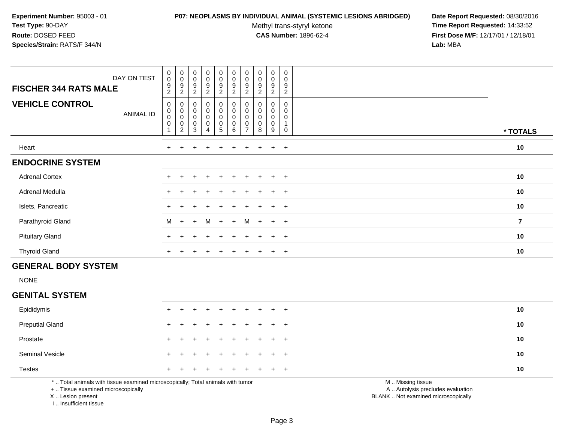### **P07: NEOPLASMS BY INDIVIDUAL ANIMAL (SYSTEMIC LESIONS ABRIDGED) Date Report Requested:** 08/30/2016

Methyl trans-styryl ketone<br>CAS Number: 1896-62-4

 **Time Report Requested:** 14:33:52 **First Dose M/F:** 12/17/01 / 12/18/01<br>**Lab:** MBA **Lab:** MBA

| DAY ON TEST<br><b>FISCHER 344 RATS MALE</b> | $\pmb{0}$<br>$\pmb{0}$<br>9<br>$\overline{c}$ | $\begin{smallmatrix} 0\\0 \end{smallmatrix}$<br>9<br>$\overline{2}$                      | $_{\rm 0}^{\rm 0}$<br>$\boldsymbol{9}$<br>$\overline{c}$ | $_{\rm 0}^{\rm 0}$<br>$\boldsymbol{9}$<br>$\overline{2}$                                 | $\begin{smallmatrix} 0\\0 \end{smallmatrix}$<br>$\boldsymbol{9}$<br>$\boldsymbol{2}$ | $\pmb{0}$<br>$\pmb{0}$<br>9<br>2 | $\begin{smallmatrix} 0\\0 \end{smallmatrix}$<br>9 | $_{\rm 0}^{\rm 0}$<br>$\boldsymbol{9}$<br>$\overline{2}$ | 0<br>$\pmb{0}$<br>9<br>$\overline{c}$ | 0<br>$\boldsymbol{0}$<br>$\boldsymbol{9}$<br>$\overline{2}$ |          |
|---------------------------------------------|-----------------------------------------------|------------------------------------------------------------------------------------------|----------------------------------------------------------|------------------------------------------------------------------------------------------|--------------------------------------------------------------------------------------|----------------------------------|---------------------------------------------------|----------------------------------------------------------|---------------------------------------|-------------------------------------------------------------|----------|
| <b>VEHICLE CONTROL</b><br><b>ANIMAL ID</b>  | 0<br>$\pmb{0}$<br>$\pmb{0}$<br>$\pmb{0}$      | 0<br>$\begin{smallmatrix}0\\0\end{smallmatrix}$<br>$\mathsf{O}\xspace$<br>$\overline{c}$ | 0<br>0<br>$\mathbf 0$<br>0<br>$\mathbf{3}$               | $\begin{smallmatrix} 0\\0 \end{smallmatrix}$<br>$\pmb{0}$<br>$\pmb{0}$<br>$\overline{4}$ | $\begin{smallmatrix}0\\0\\0\end{smallmatrix}$<br>$\pmb{0}$<br>5                      | 0<br>$\pmb{0}$<br>0<br>0<br>6    |                                                   | 0<br>$\pmb{0}$<br>$\mathsf 0$<br>0<br>8                  | 0<br>0<br>$\mathbf 0$<br>0<br>9       | $\mathbf 0$<br>$\mathbf 0$<br>$\mathbf 0$<br>0              | * TOTALS |
| Heart                                       | $\ddot{}$                                     |                                                                                          |                                                          | ÷                                                                                        |                                                                                      |                                  |                                                   | $\pm$                                                    | $+$                                   | $+$                                                         | 10       |
| <b>ENDOCRINE SYSTEM</b>                     |                                               |                                                                                          |                                                          |                                                                                          |                                                                                      |                                  |                                                   |                                                          |                                       |                                                             |          |
| <b>Adrenal Cortex</b>                       | $\ddot{}$                                     | $+$                                                                                      | $\pm$                                                    | $\pm$                                                                                    | $+$                                                                                  | $\ddot{}$                        | $+$                                               | $+$                                                      | $+$                                   | $+$                                                         | 10       |
| Adrenal Medulla                             | $\ddot{}$                                     |                                                                                          | $\pm$                                                    | $+$                                                                                      | $+$                                                                                  | $\ddot{}$                        | $+$                                               | $+$                                                      | $+$                                   | $+$                                                         | 10       |
| Islets, Pancreatic                          |                                               |                                                                                          |                                                          |                                                                                          | $+$                                                                                  |                                  | $+$                                               | $+$                                                      | $+$                                   | $+$                                                         | 10       |
| Parathyroid Gland                           | M                                             | $+$                                                                                      | $+$                                                      | M                                                                                        | $+$                                                                                  | $+$                              | M                                                 | $+$                                                      | $+$                                   | $+$                                                         | 7        |
| <b>Pituitary Gland</b>                      | $+$                                           |                                                                                          | $\div$                                                   | $+$                                                                                      | $+$                                                                                  | $\div$                           |                                                   | $\pm$                                                    | $+$                                   | $+$                                                         | 10       |
| <b>Thyroid Gland</b>                        | $\ddot{}$                                     | $\div$                                                                                   | $\div$                                                   | $\pm$                                                                                    | $\pm$                                                                                | ÷                                | $+$                                               | $+$                                                      | $+$                                   | $+$                                                         | 10       |

# **GENERAL BODY SYSTEM**

NONE

# **GENITAL SYSTEM**

| <b>Preputial Gland</b><br>10<br>+ + + + + + + + + +<br>Prostate<br>10<br>+ + + + + + + + + +<br><b>Seminal Vesicle</b><br>10<br>+ + + + + + + + + +<br><b>Testes</b><br>10<br>+ + + + + + + + + + | Epididymis | + + + + + + + + + + |  |  |  |  | 10 |
|---------------------------------------------------------------------------------------------------------------------------------------------------------------------------------------------------|------------|---------------------|--|--|--|--|----|
|                                                                                                                                                                                                   |            |                     |  |  |  |  |    |
|                                                                                                                                                                                                   |            |                     |  |  |  |  |    |
|                                                                                                                                                                                                   |            |                     |  |  |  |  |    |
|                                                                                                                                                                                                   |            |                     |  |  |  |  |    |

\* .. Total animals with tissue examined microscopically; Total animals with tumor

+ .. Tissue examined microscopically

X .. Lesion present

I .. Insufficient tissue

M .. Missing tissue

y the contract of the contract of the contract of the contract of the contract of the contract of the contract of  $A$ . Autolysis precludes evaluation

Lesion present BLANK .. Not examined microscopically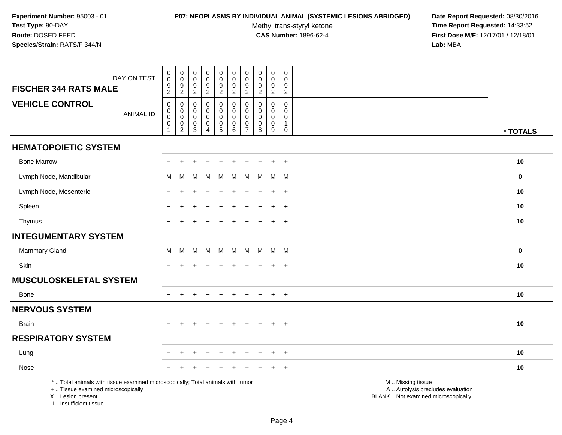# **P07: NEOPLASMS BY INDIVIDUAL ANIMAL (SYSTEMIC LESIONS ABRIDGED) Date Report Requested:** 08/30/2016

Methyl trans-styryl ketone<br>CAS Number: 1896-62-4

| DAY ON TEST<br><b>FISCHER 344 RATS MALE</b>                                                                                                                        | $\pmb{0}$<br>$\pmb{0}$<br>$\frac{9}{2}$                    | $_{\rm 0}^{\rm 0}$<br>$\frac{9}{2}$               | $\pmb{0}$<br>$\mathbf 0$<br>9             | $\pmb{0}$<br>$\mathbf 0$<br>$\frac{9}{2}$ | $\pmb{0}$<br>$\pmb{0}$<br>$\frac{9}{2}$ | $\pmb{0}$<br>$\mathbf 0$<br>9             | $\pmb{0}$<br>$\mathbf 0$<br>9   | $\pmb{0}$<br>$\pmb{0}$<br>$\frac{9}{2}$ | $_{\rm 0}^{\rm 0}$<br>$\frac{9}{2}$               | $\pmb{0}$<br>$\mathbf 0$<br>9 |                                                                                               |             |
|--------------------------------------------------------------------------------------------------------------------------------------------------------------------|------------------------------------------------------------|---------------------------------------------------|-------------------------------------------|-------------------------------------------|-----------------------------------------|-------------------------------------------|---------------------------------|-----------------------------------------|---------------------------------------------------|-------------------------------|-----------------------------------------------------------------------------------------------|-------------|
| <b>VEHICLE CONTROL</b>                                                                                                                                             | $\mathbf 0$                                                | $\pmb{0}$                                         | $\overline{2}$<br>$\mathbf 0$             | $\mathbf 0$                               | $\pmb{0}$                               | $\overline{2}$<br>$\pmb{0}$               | $\overline{2}$<br>$\Omega$      | $\Omega$                                | $\mathbf 0$                                       | $\overline{2}$<br>$\Omega$    |                                                                                               |             |
| <b>ANIMAL ID</b>                                                                                                                                                   | $\begin{smallmatrix}0\0\0\end{smallmatrix}$<br>$\mathbf 0$ | $\mathbf 0$<br>$\mathsf{O}\xspace$<br>$\mathbf 0$ | $\mathbf 0$<br>$\mathbf 0$<br>$\mathbf 0$ | $\mathbf 0$<br>$\mathbf 0$<br>$\mathbf 0$ | $\mathbf 0$<br>$\mathbf 0$<br>$\pmb{0}$ | $\mathbf 0$<br>$\mathbf 0$<br>$\mathbf 0$ | $\mathbf 0$<br>$\mathbf 0$<br>0 | 0<br>0<br>0                             | $\mathbf 0$<br>$\mathbf 0$<br>$\mathsf{O}\xspace$ | 0<br>$\mathbf 0$              |                                                                                               |             |
|                                                                                                                                                                    |                                                            | $\overline{c}$                                    | 3                                         | $\boldsymbol{\Lambda}$                    | $\sqrt{5}$                              | 6                                         | $\overline{7}$                  | 8                                       | $\boldsymbol{9}$                                  | $\overline{1}$<br>$\mathbf 0$ |                                                                                               | * TOTALS    |
| <b>HEMATOPOIETIC SYSTEM</b>                                                                                                                                        |                                                            |                                                   |                                           |                                           |                                         |                                           |                                 |                                         |                                                   |                               |                                                                                               |             |
| <b>Bone Marrow</b>                                                                                                                                                 | $+$                                                        | $\pm$                                             | +                                         | $\ddot{}$                                 | $\ddot{}$                               | $\div$                                    | ÷                               | $\pm$                                   | $\pm$                                             | $+$                           |                                                                                               | 10          |
| Lymph Node, Mandibular                                                                                                                                             | М                                                          | M                                                 | м                                         | м                                         | M                                       | M                                         | M                               | M                                       |                                                   | M M                           |                                                                                               | $\mathbf 0$ |
| Lymph Node, Mesenteric                                                                                                                                             |                                                            |                                                   |                                           |                                           |                                         |                                           |                                 |                                         | $\overline{1}$                                    | $+$                           |                                                                                               | 10          |
| Spleen                                                                                                                                                             | $+$                                                        |                                                   |                                           |                                           |                                         |                                           |                                 |                                         | $\overline{+}$                                    | $+$                           |                                                                                               | 10          |
| Thymus                                                                                                                                                             | $+$                                                        |                                                   |                                           |                                           |                                         |                                           | $\ddot{}$                       |                                         | $\overline{+}$                                    | $+$                           |                                                                                               | 10          |
| <b>INTEGUMENTARY SYSTEM</b>                                                                                                                                        |                                                            |                                                   |                                           |                                           |                                         |                                           |                                 |                                         |                                                   |                               |                                                                                               |             |
| Mammary Gland                                                                                                                                                      | M                                                          | M                                                 | M                                         | M                                         | M                                       | M                                         | M                               |                                         | M M M                                             |                               |                                                                                               | $\mathbf 0$ |
| Skin                                                                                                                                                               | $+$                                                        | ÷                                                 |                                           |                                           |                                         |                                           |                                 | $\div$                                  | $+$                                               | $+$                           |                                                                                               | 10          |
| <b>MUSCULOSKELETAL SYSTEM</b>                                                                                                                                      |                                                            |                                                   |                                           |                                           |                                         |                                           |                                 |                                         |                                                   |                               |                                                                                               |             |
| Bone                                                                                                                                                               |                                                            |                                                   |                                           |                                           |                                         |                                           |                                 |                                         | $\div$                                            | $+$                           |                                                                                               | 10          |
| <b>NERVOUS SYSTEM</b>                                                                                                                                              |                                                            |                                                   |                                           |                                           |                                         |                                           |                                 |                                         |                                                   |                               |                                                                                               |             |
| Brain                                                                                                                                                              | $+$                                                        | $+$                                               | $+$                                       | $+$                                       | $+$                                     | $\pm$                                     | $+$                             | $+$                                     | $+$                                               | $+$                           |                                                                                               | 10          |
| <b>RESPIRATORY SYSTEM</b>                                                                                                                                          |                                                            |                                                   |                                           |                                           |                                         |                                           |                                 |                                         |                                                   |                               |                                                                                               |             |
| Lung                                                                                                                                                               |                                                            |                                                   |                                           |                                           |                                         |                                           |                                 |                                         |                                                   | $\overline{+}$                |                                                                                               | 10          |
| Nose                                                                                                                                                               |                                                            |                                                   |                                           |                                           |                                         |                                           |                                 |                                         |                                                   | $\ddot{}$                     |                                                                                               | 10          |
| *  Total animals with tissue examined microscopically; Total animals with tumor<br>+  Tissue examined microscopically<br>X Lesion present<br>I Insufficient tissue |                                                            |                                                   |                                           |                                           |                                         |                                           |                                 |                                         |                                                   |                               | M  Missing tissue<br>A  Autolysis precludes evaluation<br>BLANK  Not examined microscopically |             |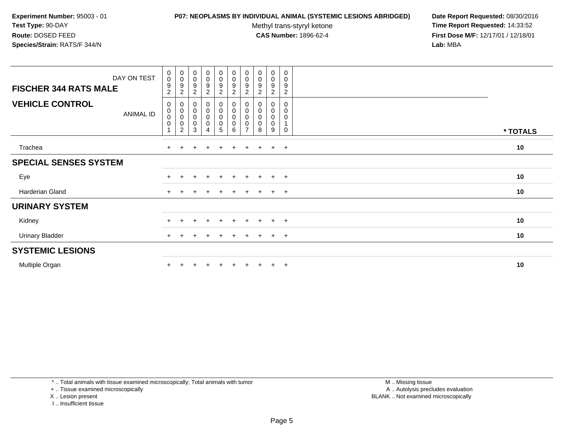### **P07: NEOPLASMS BY INDIVIDUAL ANIMAL (SYSTEMIC LESIONS ABRIDGED) Date Report Requested:** 08/30/2016

Methyl trans-styryl ketone<br>CAS Number: 1896-62-4

 **Time Report Requested:** 14:33:52 **First Dose M/F:** 12/17/01 / 12/18/01<br>**Lab:** MBA **Lab:** MBA

| DAY ON TEST<br><b>FISCHER 344 RATS MALE</b> | $\begin{smallmatrix}0\0\0\end{smallmatrix}$<br>$\boldsymbol{9}$<br>$\overline{c}$ | $_{\rm 0}^{\rm 0}$<br>9<br>$\boldsymbol{2}$ | $\begin{smallmatrix}0\\0\\9\end{smallmatrix}$<br>$\sqrt{2}$ | $_{\rm 0}^{\rm 0}$<br>$\boldsymbol{9}$<br>$\boldsymbol{2}$ | $_{0}^{0}$<br>$\boldsymbol{9}$<br>$\boldsymbol{2}$ | $_{\rm 0}^{\rm 0}$<br>$\boldsymbol{9}$<br>$\overline{c}$ | $\begin{smallmatrix} 0\\0 \end{smallmatrix}$<br>$\boldsymbol{9}$<br>$\overline{c}$ | $\begin{smallmatrix}0\0\0\9\end{smallmatrix}$<br>$\overline{c}$ | $_{\rm 0}^{\rm 0}$<br>$\boldsymbol{9}$<br>$\sqrt{2}$                        | 0<br>$\mathsf 0$<br>9<br>$\overline{2}$      |          |
|---------------------------------------------|-----------------------------------------------------------------------------------|---------------------------------------------|-------------------------------------------------------------|------------------------------------------------------------|----------------------------------------------------|----------------------------------------------------------|------------------------------------------------------------------------------------|-----------------------------------------------------------------|-----------------------------------------------------------------------------|----------------------------------------------|----------|
| <b>VEHICLE CONTROL</b><br>ANIMAL ID         | 0<br>0<br>$\pmb{0}$<br>$\mathbf 0$<br>-1                                          | 0<br>0<br>0<br>$\overline{c}$               | $\pmb{0}$<br>$\overline{0}$<br>0<br>$\pmb{0}$<br>3          | $_0^0$<br>0<br>0<br>4                                      | 0<br>$\pmb{0}$<br>$\pmb{0}$<br>$\mathbf 0$<br>5    | $\pmb{0}$<br>$\pmb{0}$<br>0<br>6                         | $\pmb{0}$<br>0<br>0<br>$\overline{7}$                                              | $\pmb{0}$<br>$\pmb{0}$<br>$\pmb{0}$<br>8                        | $\begin{smallmatrix} 0\\0 \end{smallmatrix}$<br>$\pmb{0}$<br>$\pmb{0}$<br>9 | 0<br>0<br>$\mathbf 0$<br>$\overline{A}$<br>0 | * TOTALS |
| Trachea                                     | $+$                                                                               | $\pm$                                       |                                                             | $\overline{+}$                                             | $\ddot{}$                                          | $\ddot{}$                                                | $+$                                                                                | $\ddot{}$                                                       | $+$                                                                         | $+$                                          | 10       |
| <b>SPECIAL SENSES SYSTEM</b>                |                                                                                   |                                             |                                                             |                                                            |                                                    |                                                          |                                                                                    |                                                                 |                                                                             |                                              |          |
| Eye                                         |                                                                                   |                                             |                                                             | $\pm$                                                      | $+$                                                | $+$                                                      | $+$                                                                                | $+$                                                             | $+$                                                                         | $+$                                          | 10       |
| <b>Harderian Gland</b>                      | $+$                                                                               |                                             |                                                             |                                                            |                                                    |                                                          | $+$                                                                                | $\ddot{}$                                                       | $+$                                                                         | $+$                                          | 10       |
| <b>URINARY SYSTEM</b>                       |                                                                                   |                                             |                                                             |                                                            |                                                    |                                                          |                                                                                    |                                                                 |                                                                             |                                              |          |
| Kidney                                      | $+$                                                                               | ÷.                                          | $\pm$                                                       | $+$                                                        | $+$                                                | $+$                                                      | $+$                                                                                | $+$                                                             | $+$                                                                         | $+$                                          | 10       |
| <b>Urinary Bladder</b>                      | $+$                                                                               |                                             |                                                             | $\pm$                                                      | $\pm$                                              |                                                          | $+$                                                                                | $+$                                                             | $+$                                                                         | $+$                                          | 10       |
| <b>SYSTEMIC LESIONS</b>                     |                                                                                   |                                             |                                                             |                                                            |                                                    |                                                          |                                                                                    |                                                                 |                                                                             |                                              |          |
| Multiple Organ                              |                                                                                   |                                             |                                                             |                                                            |                                                    |                                                          |                                                                                    |                                                                 | $\pm$                                                                       | $^{+}$                                       | 10       |

\* .. Total animals with tissue examined microscopically; Total animals with tumor

+ .. Tissue examined microscopically

- X .. Lesion present
- I .. Insufficient tissue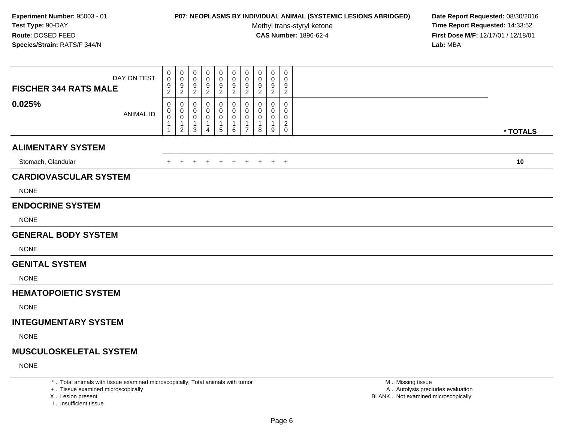### **P07: NEOPLASMS BY INDIVIDUAL ANIMAL (SYSTEMIC LESIONS ABRIDGED) Date Report Requested:** 08/30/2016

Methyl trans-styryl ketone<br>CAS Number: 1896-62-4

 **Time Report Requested:** 14:33:52 **First Dose M/F:** 12/17/01 / 12/18/01<br>**Lab:** MBA **Lab:** MBA

| DAY ON TEST<br><b>FISCHER 344 RATS MALE</b> | $\pmb{0}$<br>0<br>9<br>$\overline{2}$ | $\,0\,$<br>$\mathbf 0$<br>9<br>$\sqrt{2}$                         | 0<br>0<br>9<br>$\boldsymbol{2}$ | 0<br>0<br>9<br>$\boldsymbol{2}$  | 0<br>0<br>9<br>$\overline{c}$    | 0<br>0<br>9<br>$\overline{a}$           | 0<br>0<br>9<br>$\overline{2}$              | 0<br>0<br>9<br>$\overline{2}$           | $\mathbf 0$<br>0<br>$9\,$<br>$\sqrt{2}$        | $\pmb{0}$<br>0<br>9<br>$\overline{2}$    |          |  |
|---------------------------------------------|---------------------------------------|-------------------------------------------------------------------|---------------------------------|----------------------------------|----------------------------------|-----------------------------------------|--------------------------------------------|-----------------------------------------|------------------------------------------------|------------------------------------------|----------|--|
| 0.025%<br><b>ANIMAL ID</b>                  | 0<br>0<br>$\mathbf 0$<br>1            | 0<br>$\mathbf 0$<br>$\mathbf 0$<br>$\mathbf{1}$<br>$\overline{2}$ | 0<br>0<br>0<br>3                | 0<br>0<br>0<br>$\mathbf{1}$<br>4 | 0<br>0<br>0<br>$\mathbf{1}$<br>5 | 0<br>$\pmb{0}$<br>0<br>$\mathbf 1$<br>6 | $\Omega$<br>0<br>0<br>-1<br>$\overline{7}$ | $\Omega$<br>0<br>0<br>$\mathbf{1}$<br>8 | $\Omega$<br>$\Omega$<br>0<br>$\mathbf{1}$<br>9 | 0<br>0<br>0<br>$\sqrt{2}$<br>$\mathbf 0$ | * TOTALS |  |
| <b>ALIMENTARY SYSTEM</b>                    |                                       |                                                                   |                                 |                                  |                                  |                                         |                                            |                                         |                                                |                                          |          |  |
| Stomach, Glandular                          | $+$                                   | $+$                                                               |                                 |                                  | $\ddot{}$                        | $+$                                     | $\ddot{}$                                  | $+$                                     |                                                | $+$ $+$                                  | 10       |  |
| <b>CARDIOVASCULAR SYSTEM</b><br><b>NONE</b> |                                       |                                                                   |                                 |                                  |                                  |                                         |                                            |                                         |                                                |                                          |          |  |
| <b>ENDOCRINE SYSTEM</b><br><b>NONE</b>      |                                       |                                                                   |                                 |                                  |                                  |                                         |                                            |                                         |                                                |                                          |          |  |
| <b>GENERAL BODY SYSTEM</b>                  |                                       |                                                                   |                                 |                                  |                                  |                                         |                                            |                                         |                                                |                                          |          |  |
| <b>NONE</b>                                 |                                       |                                                                   |                                 |                                  |                                  |                                         |                                            |                                         |                                                |                                          |          |  |
| <b>GENITAL SYSTEM</b>                       |                                       |                                                                   |                                 |                                  |                                  |                                         |                                            |                                         |                                                |                                          |          |  |
| <b>NONE</b>                                 |                                       |                                                                   |                                 |                                  |                                  |                                         |                                            |                                         |                                                |                                          |          |  |
| <b>HEMATOPOIETIC SYSTEM</b>                 |                                       |                                                                   |                                 |                                  |                                  |                                         |                                            |                                         |                                                |                                          |          |  |
| <b>NONE</b>                                 |                                       |                                                                   |                                 |                                  |                                  |                                         |                                            |                                         |                                                |                                          |          |  |
| <b>INTEGUMENTARY SYSTEM</b>                 |                                       |                                                                   |                                 |                                  |                                  |                                         |                                            |                                         |                                                |                                          |          |  |
| <b>NONE</b>                                 |                                       |                                                                   |                                 |                                  |                                  |                                         |                                            |                                         |                                                |                                          |          |  |
| <b>MUSCULOSKELETAL SYSTEM</b>               |                                       |                                                                   |                                 |                                  |                                  |                                         |                                            |                                         |                                                |                                          |          |  |
| <b>NONE</b>                                 |                                       |                                                                   |                                 |                                  |                                  |                                         |                                            |                                         |                                                |                                          |          |  |

\* .. Total animals with tissue examined microscopically; Total animals with tumor

+ .. Tissue examined microscopically

X .. Lesion present

I .. Insufficient tissue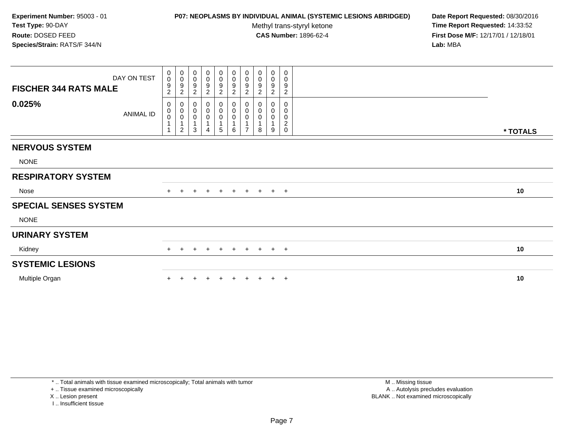# **P07: NEOPLASMS BY INDIVIDUAL ANIMAL (SYSTEMIC LESIONS ABRIDGED) Date Report Requested:** 08/30/2016

Methyl trans-styryl ketone<br>CAS Number: 1896-62-4

 **Time Report Requested:** 14:33:52 **First Dose M/F:** 12/17/01 / 12/18/01<br>**Lab:** MBA **Lab:** MBA

| DAY ON TEST<br><b>FISCHER 344 RATS MALE</b> | 0<br>$\mathsf{O}\xspace$<br>9<br>$\overline{c}$                    | $\begin{smallmatrix}0\\0\end{smallmatrix}$<br>$\frac{9}{2}$            | $\pmb{0}$<br>$\mathsf 0$<br>9<br>$\overline{c}$ | $_{\rm 0}^{\rm 0}$<br>$\begin{array}{c} 9 \\ 2 \end{array}$ | $\begin{array}{c} 0 \\ 0 \\ 9 \\ 2 \end{array}$ | $_0^0$<br>$\frac{9}{2}$ | $\begin{array}{c} 0 \\ 0 \\ 9 \\ 2 \end{array}$                   | 0<br>$\pmb{0}$<br>9<br>$\overline{2}$ | $\pmb{0}$<br>$\pmb{0}$<br>9<br>$\overline{c}$ | 0<br>$\mathbf 0$<br>9<br>$\overline{c}$            |          |  |
|---------------------------------------------|--------------------------------------------------------------------|------------------------------------------------------------------------|-------------------------------------------------|-------------------------------------------------------------|-------------------------------------------------|-------------------------|-------------------------------------------------------------------|---------------------------------------|-----------------------------------------------|----------------------------------------------------|----------|--|
| 0.025%<br><b>ANIMAL ID</b>                  | 0<br>$\begin{smallmatrix}0\0\0\end{smallmatrix}$<br>$\overline{1}$ | $\mathbf 0$<br>$\begin{matrix} 0 \\ 0 \\ 1 \end{matrix}$<br>$\sqrt{2}$ | 0<br>0<br>0<br>3                                | 0<br>$\boldsymbol{0}$<br>0<br>Δ                             | 0<br>$\pmb{0}$<br>$\pmb{0}$<br>1<br>5           | 0<br>0<br>0<br>6        | 0<br>$\begin{smallmatrix}0\\0\end{smallmatrix}$<br>$\overline{ }$ | O<br>0<br>0<br>1<br>8                 | 0<br>0<br>9                                   | 0<br>0<br>0<br>$\overline{\mathbf{c}}$<br>$\Omega$ | * TOTALS |  |
| <b>NERVOUS SYSTEM</b>                       |                                                                    |                                                                        |                                                 |                                                             |                                                 |                         |                                                                   |                                       |                                               |                                                    |          |  |
| <b>NONE</b>                                 |                                                                    |                                                                        |                                                 |                                                             |                                                 |                         |                                                                   |                                       |                                               |                                                    |          |  |
| <b>RESPIRATORY SYSTEM</b>                   |                                                                    |                                                                        |                                                 |                                                             |                                                 |                         |                                                                   |                                       |                                               |                                                    |          |  |
| Nose                                        |                                                                    | $+$<br>$+$                                                             | $\pm$                                           | $+$                                                         | $+$                                             | $+$                     |                                                                   | $+ + + +$                             |                                               |                                                    | 10       |  |
| <b>SPECIAL SENSES SYSTEM</b>                |                                                                    |                                                                        |                                                 |                                                             |                                                 |                         |                                                                   |                                       |                                               |                                                    |          |  |
| <b>NONE</b>                                 |                                                                    |                                                                        |                                                 |                                                             |                                                 |                         |                                                                   |                                       |                                               |                                                    |          |  |
| <b>URINARY SYSTEM</b>                       |                                                                    |                                                                        |                                                 |                                                             |                                                 |                         |                                                                   |                                       |                                               |                                                    |          |  |
| Kidney                                      |                                                                    | $+$<br>$+$                                                             | $\pm$                                           | $+$                                                         | $+$                                             |                         | + + + + +                                                         |                                       |                                               |                                                    | 10       |  |
| <b>SYSTEMIC LESIONS</b>                     |                                                                    |                                                                        |                                                 |                                                             |                                                 |                         |                                                                   |                                       |                                               |                                                    |          |  |
| Multiple Organ                              |                                                                    |                                                                        |                                                 |                                                             |                                                 |                         |                                                                   |                                       |                                               | $\pm$                                              | 10       |  |

\* .. Total animals with tissue examined microscopically; Total animals with tumor

+ .. Tissue examined microscopically

X .. Lesion present

I .. Insufficient tissue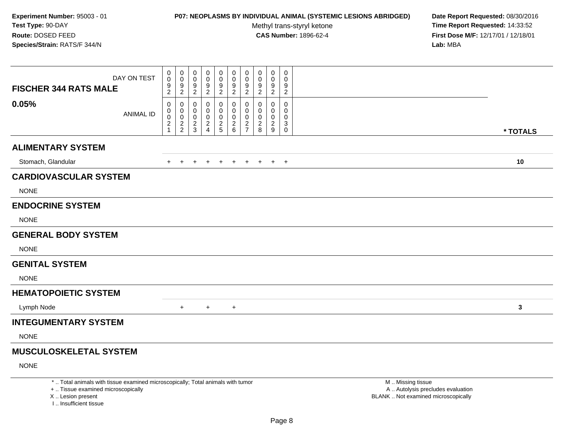# **P07: NEOPLASMS BY INDIVIDUAL ANIMAL (SYSTEMIC LESIONS ABRIDGED) Date Report Requested:** 08/30/2016

Methyl trans-styryl ketone<br>CAS Number: 1896-62-4

 **Time Report Requested:** 14:33:52 **First Dose M/F:** 12/17/01 / 12/18/01<br>**Lab:** MBA **Lab:** MBA

| DAY ON TEST<br><b>FISCHER 344 RATS MALE</b> | $\pmb{0}$<br>$\pmb{0}$<br>9 | 0<br>0<br>9                | 0<br>0<br>9              | 0<br>0<br>9                | 0<br>0<br>9              | $\mathbf 0$<br>$\mathbf 0$<br>$9\,$                  | 0<br>0<br>9                        | $\mathbf 0$<br>0<br>9             | 0<br>0<br>9              | 0<br>0<br>9              |          |
|---------------------------------------------|-----------------------------|----------------------------|--------------------------|----------------------------|--------------------------|------------------------------------------------------|------------------------------------|-----------------------------------|--------------------------|--------------------------|----------|
| 0.05%<br><b>ANIMAL ID</b>                   | $\overline{c}$<br>0<br>0    | $\overline{c}$<br>0<br>0   | $\overline{c}$<br>0<br>0 | $\boldsymbol{2}$<br>0<br>0 | $\overline{c}$<br>0<br>0 | $\overline{2}$<br>0<br>0                             | $\overline{c}$<br>0<br>$\mathbf 0$ | $\overline{\mathbf{c}}$<br>0<br>0 | $\overline{c}$<br>0<br>0 | $\overline{c}$<br>0<br>0 |          |
|                                             | $\pmb{0}$<br>$\frac{2}{1}$  | $\pmb{0}$<br>$\frac{2}{2}$ | 0<br>$\frac{2}{3}$       | 0<br>$\frac{2}{4}$         | $\pmb{0}$<br>$rac{2}{5}$ | $\mathsf 0$<br>$\begin{array}{c} 2 \\ 6 \end{array}$ | 0<br>$\frac{2}{7}$                 | 0<br>$\overline{c}$<br>8          | 0<br>$\overline{2}$<br>9 | 0<br>3<br>$\mathbf 0$    | * TOTALS |
| <b>ALIMENTARY SYSTEM</b>                    |                             |                            |                          |                            |                          |                                                      |                                    |                                   |                          |                          |          |
| Stomach, Glandular                          | $+$                         | $+$                        | $\pm$                    | $\pm$                      | $+$                      | $+$                                                  | $+$                                | $+$                               |                          | $+$ $+$                  | 10       |
| <b>CARDIOVASCULAR SYSTEM</b>                |                             |                            |                          |                            |                          |                                                      |                                    |                                   |                          |                          |          |
| <b>NONE</b>                                 |                             |                            |                          |                            |                          |                                                      |                                    |                                   |                          |                          |          |
| <b>ENDOCRINE SYSTEM</b>                     |                             |                            |                          |                            |                          |                                                      |                                    |                                   |                          |                          |          |
| <b>NONE</b>                                 |                             |                            |                          |                            |                          |                                                      |                                    |                                   |                          |                          |          |
| <b>GENERAL BODY SYSTEM</b>                  |                             |                            |                          |                            |                          |                                                      |                                    |                                   |                          |                          |          |
| <b>NONE</b>                                 |                             |                            |                          |                            |                          |                                                      |                                    |                                   |                          |                          |          |
| <b>GENITAL SYSTEM</b>                       |                             |                            |                          |                            |                          |                                                      |                                    |                                   |                          |                          |          |
| <b>NONE</b>                                 |                             |                            |                          |                            |                          |                                                      |                                    |                                   |                          |                          |          |
| <b>HEMATOPOIETIC SYSTEM</b>                 |                             |                            |                          |                            |                          |                                                      |                                    |                                   |                          |                          |          |
| Lymph Node                                  |                             | $+$                        |                          | $+$                        |                          | $+$                                                  |                                    |                                   |                          |                          | 3        |
| <b>INTEGUMENTARY SYSTEM</b>                 |                             |                            |                          |                            |                          |                                                      |                                    |                                   |                          |                          |          |
| <b>NONE</b>                                 |                             |                            |                          |                            |                          |                                                      |                                    |                                   |                          |                          |          |
| <b>MUSCULOSKELETAL SYSTEM</b>               |                             |                            |                          |                            |                          |                                                      |                                    |                                   |                          |                          |          |
| <b>NONE</b>                                 |                             |                            |                          |                            |                          |                                                      |                                    |                                   |                          |                          |          |

\* .. Total animals with tissue examined microscopically; Total animals with tumor

+ .. Tissue examined microscopically

X .. Lesion present

I .. Insufficient tissue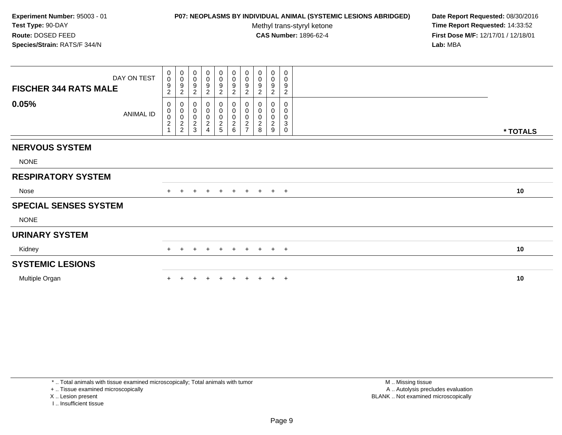# **P07: NEOPLASMS BY INDIVIDUAL ANIMAL (SYSTEMIC LESIONS ABRIDGED) Date Report Requested:** 08/30/2016

Methyl trans-styryl ketone<br>CAS Number: 1896-62-4

 **Time Report Requested:** 14:33:52 **First Dose M/F:** 12/17/01 / 12/18/01<br>**Lab:** MBA **Lab:** MBA

| <b>FISCHER 344 RATS MALE</b> | DAY ON TEST      | $\begin{smallmatrix}0\0\0\end{smallmatrix}$<br>9<br>$\overline{c}$ | $\begin{smallmatrix}0\\0\end{smallmatrix}$<br>$9\,$<br>$\boldsymbol{2}$ | 0<br>$\pmb{0}$<br>9<br>$\overline{c}$                | 0<br>$\mathsf 0$<br>9<br>$\overline{2}$               | $\pmb{0}$<br>$\pmb{0}$<br>$\frac{9}{2}$      | $\mathbf 0$<br>$\pmb{0}$<br>$\frac{9}{2}$ | $\begin{smallmatrix}0\\0\end{smallmatrix}$<br>$\boldsymbol{9}$<br>$\sqrt{2}$ | 0<br>0<br>9<br>$\overline{c}$                                        | 0<br>$\mathbf 0$<br>9<br>$\overline{c}$      | 0<br>0<br>9<br>$\overline{c}$                                     |          |
|------------------------------|------------------|--------------------------------------------------------------------|-------------------------------------------------------------------------|------------------------------------------------------|-------------------------------------------------------|----------------------------------------------|-------------------------------------------|------------------------------------------------------------------------------|----------------------------------------------------------------------|----------------------------------------------|-------------------------------------------------------------------|----------|
| 0.05%                        | <b>ANIMAL ID</b> | 0<br>0002                                                          | $\pmb{0}$<br>$\begin{matrix}0\\0\\2\\2\end{matrix}$                     | 0<br>$\pmb{0}$<br>$\pmb{0}$<br>$\boldsymbol{2}$<br>3 | $\mathbf 0$<br>$\mathbf 0$<br>$\overline{\mathbf{c}}$ | 0<br>$\pmb{0}$<br>$\pmb{0}$<br>$\frac{2}{5}$ | 0<br>0<br>0<br>$\frac{2}{6}$              | $\pmb{0}$<br>$\overline{0}$<br>0<br>$\frac{2}{7}$                            | 0<br>$\pmb{0}$<br>$\pmb{0}$<br>$\begin{array}{c} 2 \\ 8 \end{array}$ | 0<br>0<br>$\pmb{0}$<br>$\boldsymbol{2}$<br>9 | 0<br>0<br>$\mathbf 0$<br>$\ensuremath{\mathsf{3}}$<br>$\mathbf 0$ | * TOTALS |
| <b>NERVOUS SYSTEM</b>        |                  |                                                                    |                                                                         |                                                      |                                                       |                                              |                                           |                                                                              |                                                                      |                                              |                                                                   |          |
| <b>NONE</b>                  |                  |                                                                    |                                                                         |                                                      |                                                       |                                              |                                           |                                                                              |                                                                      |                                              |                                                                   |          |
| <b>RESPIRATORY SYSTEM</b>    |                  |                                                                    |                                                                         |                                                      |                                                       |                                              |                                           |                                                                              |                                                                      |                                              |                                                                   |          |
| Nose                         |                  | $+$                                                                | $+$                                                                     | $\pm$                                                | $+$                                                   | $+$                                          | $+$                                       |                                                                              | $+ + + +$                                                            |                                              |                                                                   | 10       |
| <b>SPECIAL SENSES SYSTEM</b> |                  |                                                                    |                                                                         |                                                      |                                                       |                                              |                                           |                                                                              |                                                                      |                                              |                                                                   |          |
| <b>NONE</b>                  |                  |                                                                    |                                                                         |                                                      |                                                       |                                              |                                           |                                                                              |                                                                      |                                              |                                                                   |          |
| <b>URINARY SYSTEM</b>        |                  |                                                                    |                                                                         |                                                      |                                                       |                                              |                                           |                                                                              |                                                                      |                                              |                                                                   |          |
| Kidney                       |                  | $+$                                                                | $+$                                                                     | $+$                                                  | $+$                                                   | $+$                                          | + + + + +                                 |                                                                              |                                                                      |                                              |                                                                   | 10       |
| <b>SYSTEMIC LESIONS</b>      |                  |                                                                    |                                                                         |                                                      |                                                       |                                              |                                           |                                                                              |                                                                      |                                              |                                                                   |          |
| Multiple Organ               |                  |                                                                    |                                                                         |                                                      |                                                       |                                              |                                           |                                                                              |                                                                      |                                              | $\pm$                                                             | 10       |

\* .. Total animals with tissue examined microscopically; Total animals with tumor

+ .. Tissue examined microscopically

X .. Lesion present

I .. Insufficient tissue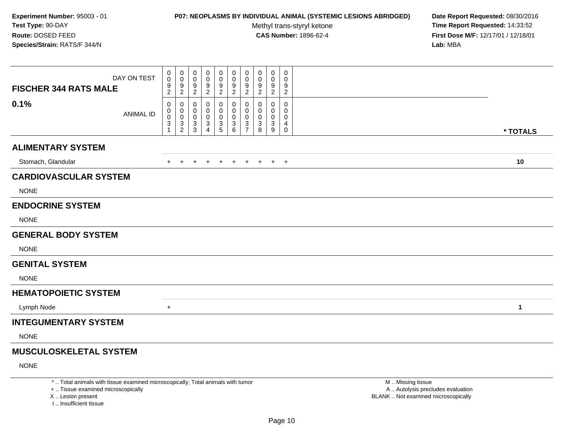# **P07: NEOPLASMS BY INDIVIDUAL ANIMAL (SYSTEMIC LESIONS ABRIDGED) Date Report Requested:** 08/30/2016

Methyl trans-styryl ketone<br>CAS Number: 1896-62-4

 **Time Report Requested:** 14:33:52 **First Dose M/F:** 12/17/01 / 12/18/01<br>**Lab:** MBA **Lab:** MBA

| DAY ON TEST<br><b>FISCHER 344 RATS MALE</b> | 0<br>0<br>9<br>$\overline{c}$ | 0<br>$\pmb{0}$<br>$\boldsymbol{9}$<br>$\overline{2}$ | 0<br>0<br>9<br>$\overline{2}$ | 0<br>0<br>9<br>$\boldsymbol{2}$    | 0<br>0<br>9<br>$\overline{2}$        | 0<br>0<br>9<br>$\overline{2}$                    | 0<br>0<br>9<br>$\overline{2}$                         | 0<br>0<br>9<br>$\boldsymbol{2}$ | 0<br>0<br>9<br>$\overline{2}$ | $\mathbf 0$<br>0<br>9<br>$\overline{2}$ |             |
|---------------------------------------------|-------------------------------|------------------------------------------------------|-------------------------------|------------------------------------|--------------------------------------|--------------------------------------------------|-------------------------------------------------------|---------------------------------|-------------------------------|-----------------------------------------|-------------|
| 0.1%<br><b>ANIMAL ID</b>                    | 0<br>0<br>$\pmb{0}$<br>3      | 0<br>$\pmb{0}$<br>$\mathbf 0$<br>$\frac{3}{2}$       | 0<br>0<br>0<br>3<br>3         | 0<br>0<br>0<br>3<br>$\overline{4}$ | 0<br>0<br>$\pmb{0}$<br>$\frac{3}{5}$ | 0<br>0<br>$\mathbf 0$<br>$\mathbf{3}$<br>$\,6\,$ | 0<br>0<br>$\mathbf 0$<br>$\sqrt{3}$<br>$\overline{7}$ | 0<br>0<br>0<br>3<br>8           | 0<br>0<br>0<br>3<br>9         | 0<br>0<br>0<br>4<br>$\mathbf 0$         | * TOTALS    |
| <b>ALIMENTARY SYSTEM</b>                    |                               |                                                      |                               |                                    |                                      |                                                  |                                                       |                                 |                               |                                         |             |
| Stomach, Glandular                          | $+$                           | $+$                                                  | $+$                           | $+$                                | $+$                                  | $+$                                              |                                                       | + + + +                         |                               |                                         | 10          |
| <b>CARDIOVASCULAR SYSTEM</b>                |                               |                                                      |                               |                                    |                                      |                                                  |                                                       |                                 |                               |                                         |             |
| <b>NONE</b>                                 |                               |                                                      |                               |                                    |                                      |                                                  |                                                       |                                 |                               |                                         |             |
| <b>ENDOCRINE SYSTEM</b>                     |                               |                                                      |                               |                                    |                                      |                                                  |                                                       |                                 |                               |                                         |             |
| <b>NONE</b>                                 |                               |                                                      |                               |                                    |                                      |                                                  |                                                       |                                 |                               |                                         |             |
| <b>GENERAL BODY SYSTEM</b>                  |                               |                                                      |                               |                                    |                                      |                                                  |                                                       |                                 |                               |                                         |             |
| <b>NONE</b>                                 |                               |                                                      |                               |                                    |                                      |                                                  |                                                       |                                 |                               |                                         |             |
| <b>GENITAL SYSTEM</b>                       |                               |                                                      |                               |                                    |                                      |                                                  |                                                       |                                 |                               |                                         |             |
| <b>NONE</b>                                 |                               |                                                      |                               |                                    |                                      |                                                  |                                                       |                                 |                               |                                         |             |
| <b>HEMATOPOIETIC SYSTEM</b>                 |                               |                                                      |                               |                                    |                                      |                                                  |                                                       |                                 |                               |                                         |             |
| Lymph Node                                  | $+$                           |                                                      |                               |                                    |                                      |                                                  |                                                       |                                 |                               |                                         | $\mathbf 1$ |
| <b>INTEGUMENTARY SYSTEM</b>                 |                               |                                                      |                               |                                    |                                      |                                                  |                                                       |                                 |                               |                                         |             |
| <b>NONE</b>                                 |                               |                                                      |                               |                                    |                                      |                                                  |                                                       |                                 |                               |                                         |             |
| <b>MUSCULOSKELETAL SYSTEM</b>               |                               |                                                      |                               |                                    |                                      |                                                  |                                                       |                                 |                               |                                         |             |

NONE

\* .. Total animals with tissue examined microscopically; Total animals with tumor

+ .. Tissue examined microscopically

X .. Lesion present

I .. Insufficient tissue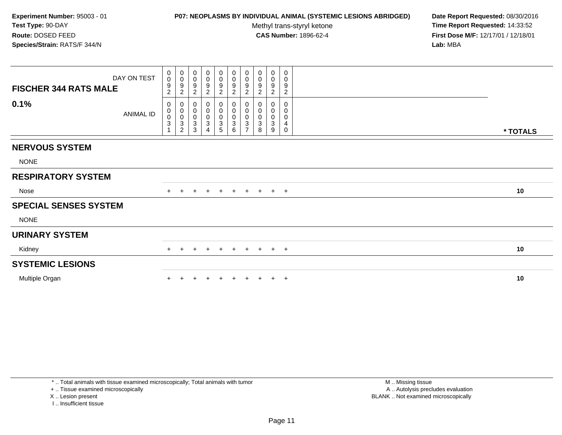# **P07: NEOPLASMS BY INDIVIDUAL ANIMAL (SYSTEMIC LESIONS ABRIDGED) Date Report Requested:** 08/30/2016

Methyl trans-styryl ketone<br>CAS Number: 1896-62-4

 **Time Report Requested:** 14:33:52 **First Dose M/F:** 12/17/01 / 12/18/01<br>**Lab:** MBA **Lab:** MBA

| DAY ON TEST<br><b>FISCHER 344 RATS MALE</b><br>0.1% | 0<br>$\pmb{0}$<br>9<br>$\sqrt{2}$<br>0 | 0<br>$\mathbf 0$<br>$\boldsymbol{9}$<br>$\sqrt{2}$<br>0 | 0<br>$\pmb{0}$<br>$\boldsymbol{9}$<br>$\overline{c}$<br>0 | $_{\rm 0}^{\rm 0}$<br>$\boldsymbol{9}$<br>$\overline{2}$<br>0 | $\begin{array}{c} 0 \\ 0 \\ 9 \\ 2 \end{array}$<br>0 | $_{\rm 0}^{\rm 0}$<br>$\frac{9}{2}$<br>0 | $\begin{smallmatrix}0\\0\\9\end{smallmatrix}$<br>$\overline{2}$<br>0 | 0<br>$\mathsf{O}\xspace$<br>9<br>$\overline{c}$<br>$\Omega$ | $\pmb{0}$<br>$\pmb{0}$<br>9<br>$\boldsymbol{2}$ | 0<br>0<br>9<br>$\boldsymbol{2}$<br>$\Omega$ |          |  |
|-----------------------------------------------------|----------------------------------------|---------------------------------------------------------|-----------------------------------------------------------|---------------------------------------------------------------|------------------------------------------------------|------------------------------------------|----------------------------------------------------------------------|-------------------------------------------------------------|-------------------------------------------------|---------------------------------------------|----------|--|
| <b>ANIMAL ID</b>                                    | $_{\rm 0}^{\rm 0}$<br>$\mathbf{3}$     | $\pmb{0}$<br>$_{3}^{\rm 0}$<br>$\overline{c}$           | $\pmb{0}$<br>$\pmb{0}$<br>3<br>3                          | $\pmb{0}$<br>$\pmb{0}$<br>$\ensuremath{\mathsf{3}}$<br>Δ      | $\pmb{0}$<br>$\pmb{0}$<br>$\sqrt{3}$<br>5            | 0<br>0<br>$\mathbf{3}$<br>6              | $\pmb{0}$<br>$\mathbf 0$<br>$\mathbf{3}$<br>$\overline{ }$           | 0<br>0<br>3<br>8                                            | 0<br>0<br>3<br>9                                | 0<br>0<br>4<br>$\Omega$                     | * TOTALS |  |
| <b>NERVOUS SYSTEM</b>                               |                                        |                                                         |                                                           |                                                               |                                                      |                                          |                                                                      |                                                             |                                                 |                                             |          |  |
| <b>NONE</b>                                         |                                        |                                                         |                                                           |                                                               |                                                      |                                          |                                                                      |                                                             |                                                 |                                             |          |  |
| <b>RESPIRATORY SYSTEM</b>                           |                                        |                                                         |                                                           |                                                               |                                                      |                                          |                                                                      |                                                             |                                                 |                                             |          |  |
| Nose                                                | $+$                                    | $+$                                                     | $\pm$                                                     | $\pm$                                                         | $+$                                                  | $+$                                      | $+$                                                                  |                                                             | $+$ $+$ $+$                                     |                                             | 10       |  |
| <b>SPECIAL SENSES SYSTEM</b>                        |                                        |                                                         |                                                           |                                                               |                                                      |                                          |                                                                      |                                                             |                                                 |                                             |          |  |
| <b>NONE</b>                                         |                                        |                                                         |                                                           |                                                               |                                                      |                                          |                                                                      |                                                             |                                                 |                                             |          |  |
| <b>URINARY SYSTEM</b>                               |                                        |                                                         |                                                           |                                                               |                                                      |                                          |                                                                      |                                                             |                                                 |                                             |          |  |
| Kidney                                              | $+$                                    | $+$                                                     | $\pm$                                                     | $+$                                                           | $+$                                                  | $+$                                      | $+$                                                                  |                                                             | $+$ $+$ $+$                                     |                                             | 10       |  |
| <b>SYSTEMIC LESIONS</b>                             |                                        |                                                         |                                                           |                                                               |                                                      |                                          |                                                                      |                                                             |                                                 |                                             |          |  |
| Multiple Organ                                      |                                        |                                                         |                                                           |                                                               |                                                      |                                          |                                                                      |                                                             |                                                 | $\pm$                                       | 10       |  |

\* .. Total animals with tissue examined microscopically; Total animals with tumor

+ .. Tissue examined microscopically

X .. Lesion present

I .. Insufficient tissue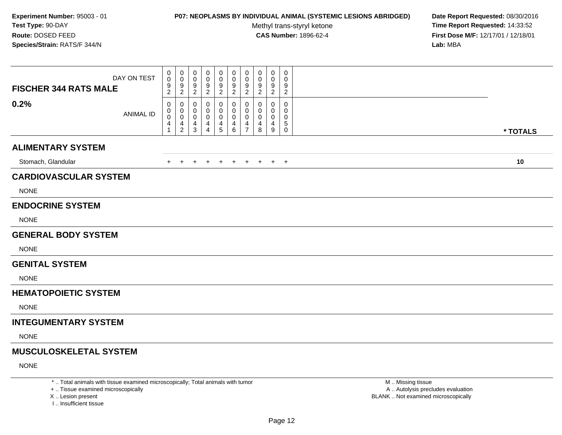### **P07: NEOPLASMS BY INDIVIDUAL ANIMAL (SYSTEMIC LESIONS ABRIDGED) Date Report Requested:** 08/30/2016

Methyl trans-styryl ketone<br>CAS Number: 1896-62-4

 **Time Report Requested:** 14:33:52 **First Dose M/F:** 12/17/01 / 12/18/01<br>**Lab:** MBA **Lab:** MBA

| DAY ON TEST<br><b>FISCHER 344 RATS MALE</b> | $\mathbf 0$<br>$\pmb{0}$<br>9 | $\pmb{0}$<br>0<br>9                | $\mathbf 0$<br>$\Omega$<br>9 | 0<br>0<br>9    | 0<br>0<br>$\boldsymbol{9}$ | 0<br>0<br>$\boldsymbol{9}$         | 0<br>0<br>9              | 0<br>$\mathbf 0$<br>9 | 0<br>0<br>9 | 0<br>0<br>9    |          |
|---------------------------------------------|-------------------------------|------------------------------------|------------------------------|----------------|----------------------------|------------------------------------|--------------------------|-----------------------|-------------|----------------|----------|
|                                             | $\overline{c}$                | $\overline{2}$                     | 2                            | $\overline{c}$ | $\boldsymbol{2}$           | $\overline{2}$                     | $\overline{2}$           | $\overline{2}$        | 2           | $\overline{2}$ |          |
| 0.2%<br><b>ANIMAL ID</b>                    | 0<br>0                        | 0<br>0                             | 0<br>0                       | 0<br>0         | 0<br>0                     | 0<br>0                             | 0<br>$\mathbf 0$         | 0<br>0                | 0<br>0      | 0<br>$\Omega$  |          |
|                                             | $\pmb{0}$<br>4                | $\mathbf 0$<br>4<br>$\overline{2}$ | 0<br>4<br>3                  | 0<br>4<br>4    | 0<br>4<br>$\overline{5}$   | $\mathbf 0$<br>4<br>$6\phantom{1}$ | 0<br>4<br>$\overline{7}$ | 0<br>4<br>8           | 0<br>4<br>9 | 0<br>5<br>0    |          |
|                                             |                               |                                    |                              |                |                            |                                    |                          |                       |             |                | * TOTALS |
| <b>ALIMENTARY SYSTEM</b>                    |                               |                                    |                              |                |                            |                                    |                          |                       |             |                |          |
| Stomach, Glandular                          | $^+$                          | $\overline{+}$                     |                              |                | $\div$                     | $+$                                | $\pm$                    | $+$                   | $+$ $+$     |                | 10       |
| <b>CARDIOVASCULAR SYSTEM</b>                |                               |                                    |                              |                |                            |                                    |                          |                       |             |                |          |
| <b>NONE</b>                                 |                               |                                    |                              |                |                            |                                    |                          |                       |             |                |          |
| <b>ENDOCRINE SYSTEM</b>                     |                               |                                    |                              |                |                            |                                    |                          |                       |             |                |          |
| <b>NONE</b>                                 |                               |                                    |                              |                |                            |                                    |                          |                       |             |                |          |
| <b>GENERAL BODY SYSTEM</b>                  |                               |                                    |                              |                |                            |                                    |                          |                       |             |                |          |
| <b>NONE</b>                                 |                               |                                    |                              |                |                            |                                    |                          |                       |             |                |          |
| <b>GENITAL SYSTEM</b>                       |                               |                                    |                              |                |                            |                                    |                          |                       |             |                |          |
| <b>NONE</b>                                 |                               |                                    |                              |                |                            |                                    |                          |                       |             |                |          |
| <b>HEMATOPOIETIC SYSTEM</b>                 |                               |                                    |                              |                |                            |                                    |                          |                       |             |                |          |
| <b>NONE</b>                                 |                               |                                    |                              |                |                            |                                    |                          |                       |             |                |          |
| <b>INTEGUMENTARY SYSTEM</b>                 |                               |                                    |                              |                |                            |                                    |                          |                       |             |                |          |
| <b>NONE</b>                                 |                               |                                    |                              |                |                            |                                    |                          |                       |             |                |          |
| <b>MUSCULOSKELETAL SYSTEM</b>               |                               |                                    |                              |                |                            |                                    |                          |                       |             |                |          |
| <b>NONE</b>                                 |                               |                                    |                              |                |                            |                                    |                          |                       |             |                |          |

\* .. Total animals with tissue examined microscopically; Total animals with tumor

+ .. Tissue examined microscopically

X .. Lesion present

I .. Insufficient tissue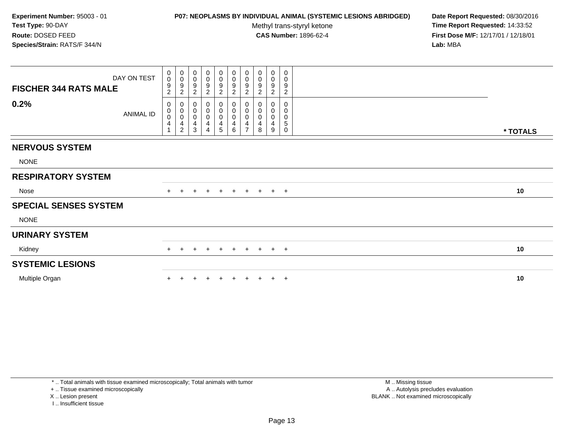# **P07: NEOPLASMS BY INDIVIDUAL ANIMAL (SYSTEMIC LESIONS ABRIDGED) Date Report Requested:** 08/30/2016

Methyl trans-styryl ketone<br>CAS Number: 1896-62-4

 **Time Report Requested:** 14:33:52 **First Dose M/F:** 12/17/01 / 12/18/01<br>**Lab:** MBA **Lab:** MBA

| DAY ON TEST<br><b>FISCHER 344 RATS MALE</b><br>0.2%<br>ANIMAL ID | $\begin{smallmatrix}0\0\0\end{smallmatrix}$<br>9<br>$\overline{c}$<br>0<br>$\mathbf 0$ | $\begin{smallmatrix}0\\0\end{smallmatrix}$<br>$\overline{9}$<br>$\sqrt{2}$<br>$\begin{smallmatrix}0\\0\\0\end{smallmatrix}$ | $\pmb{0}$<br>$\pmb{0}$<br>9<br>$\overline{c}$<br>0<br>$\pmb{0}$ | $_{\rm 0}^{\rm 0}$<br>9<br>$\overline{2}$<br>0 | $\begin{smallmatrix}0\0\0\9\end{smallmatrix}$<br>$\overline{c}$<br>0<br>$\pmb{0}$ | 0<br>$\begin{array}{c} 0 \\ 9 \\ 2 \end{array}$<br>0<br>0 | $\begin{smallmatrix}0\0\0\9\end{smallmatrix}$<br>$\sqrt{2}$<br>$_{\rm 0}^{\rm 0}$ | 0<br>$\pmb{0}$<br>9<br>$\sqrt{2}$<br>0<br>0 | $\boldsymbol{0}$<br>$\pmb{0}$<br>9<br>$\overline{c}$<br>0<br>0 | 0<br>$\mathbf 0$<br>9<br>$\overline{c}$<br>0<br>0 |          |
|------------------------------------------------------------------|----------------------------------------------------------------------------------------|-----------------------------------------------------------------------------------------------------------------------------|-----------------------------------------------------------------|------------------------------------------------|-----------------------------------------------------------------------------------|-----------------------------------------------------------|-----------------------------------------------------------------------------------|---------------------------------------------|----------------------------------------------------------------|---------------------------------------------------|----------|
|                                                                  | $\mathsf{O}\xspace$<br>4                                                               | $\frac{4}{2}$                                                                                                               | $\pmb{0}$<br>4<br>3                                             | 0<br>4                                         | $\pmb{0}$<br>4<br>5                                                               | 0<br>$\overline{4}$<br>6                                  | $\overline{0}$<br>$\overline{\mathbf{4}}$<br>$\overline{z}$                       | $\pmb{0}$<br>4<br>8                         | $\pmb{0}$<br>4<br>9                                            | $\mathbf 0$<br>5<br>$\mathbf 0$                   | * TOTALS |
| <b>NERVOUS SYSTEM</b>                                            |                                                                                        |                                                                                                                             |                                                                 |                                                |                                                                                   |                                                           |                                                                                   |                                             |                                                                |                                                   |          |
| <b>NONE</b>                                                      |                                                                                        |                                                                                                                             |                                                                 |                                                |                                                                                   |                                                           |                                                                                   |                                             |                                                                |                                                   |          |
| <b>RESPIRATORY SYSTEM</b>                                        |                                                                                        |                                                                                                                             |                                                                 |                                                |                                                                                   |                                                           |                                                                                   |                                             |                                                                |                                                   |          |
| Nose                                                             | $+$                                                                                    | $+$                                                                                                                         | $\ddot{}$                                                       | $+$                                            | $+$                                                                               | $+$                                                       |                                                                                   |                                             | $+ + + +$                                                      |                                                   | 10       |
| <b>SPECIAL SENSES SYSTEM</b>                                     |                                                                                        |                                                                                                                             |                                                                 |                                                |                                                                                   |                                                           |                                                                                   |                                             |                                                                |                                                   |          |
| <b>NONE</b>                                                      |                                                                                        |                                                                                                                             |                                                                 |                                                |                                                                                   |                                                           |                                                                                   |                                             |                                                                |                                                   |          |
| <b>URINARY SYSTEM</b>                                            |                                                                                        |                                                                                                                             |                                                                 |                                                |                                                                                   |                                                           |                                                                                   |                                             |                                                                |                                                   |          |
| Kidney                                                           | $+$                                                                                    | $+$                                                                                                                         | $+$                                                             | $+$                                            | $+$                                                                               | + + + + +                                                 |                                                                                   |                                             |                                                                |                                                   | 10       |
| <b>SYSTEMIC LESIONS</b>                                          |                                                                                        |                                                                                                                             |                                                                 |                                                |                                                                                   |                                                           |                                                                                   |                                             |                                                                |                                                   |          |
| Multiple Organ                                                   |                                                                                        |                                                                                                                             |                                                                 |                                                |                                                                                   |                                                           |                                                                                   |                                             |                                                                | $\pm$                                             | 10       |

I .. Insufficient tissue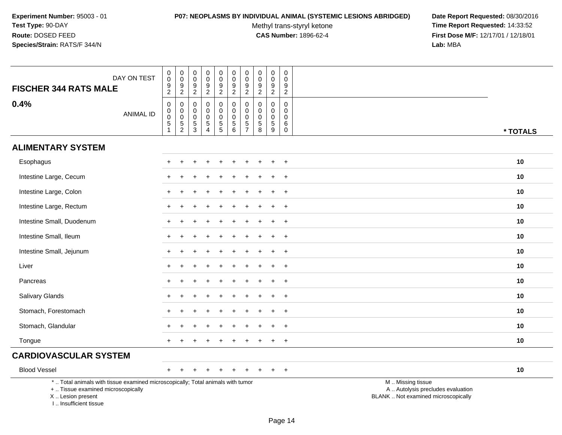### **P07: NEOPLASMS BY INDIVIDUAL ANIMAL (SYSTEMIC LESIONS ABRIDGED) Date Report Requested:** 08/30/2016

Methyl trans-styryl ketone<br>CAS Number: 1896-62-4

| DAY ON TEST<br><b>FISCHER 344 RATS MALE</b>                                                                                                                         | 0<br>0<br>$\boldsymbol{9}$<br>$\overline{a}$           | $\boldsymbol{0}$<br>$\mathbf 0$<br>$9\,$<br>$\overline{2}$ | $\boldsymbol{0}$<br>$\boldsymbol{0}$<br>9<br>$\overline{c}$ | $\mathbf 0$<br>$\mathsf{O}\xspace$<br>$\boldsymbol{9}$                           | 0<br>$\mathbf 0$<br>$\boldsymbol{9}$                                                           | 0<br>$\mathbf 0$<br>$\boldsymbol{9}$<br>$\overline{c}$                             | 0<br>$\mathbf 0$<br>9<br>$\overline{c}$          | 0<br>0<br>$\boldsymbol{9}$<br>$\overline{c}$                          | $\boldsymbol{0}$<br>$\pmb{0}$<br>$\boldsymbol{9}$<br>$\overline{c}$               | 0<br>0<br>9<br>$\overline{c}$                              |                                                                                               |          |
|---------------------------------------------------------------------------------------------------------------------------------------------------------------------|--------------------------------------------------------|------------------------------------------------------------|-------------------------------------------------------------|----------------------------------------------------------------------------------|------------------------------------------------------------------------------------------------|------------------------------------------------------------------------------------|--------------------------------------------------|-----------------------------------------------------------------------|-----------------------------------------------------------------------------------|------------------------------------------------------------|-----------------------------------------------------------------------------------------------|----------|
| 0.4%<br><b>ANIMAL ID</b>                                                                                                                                            | $\mathbf 0$<br>0<br>0<br>$\,$ 5 $\,$<br>$\overline{1}$ | 0<br>$\mathbf 0$<br>$\mathsf{O}\xspace$<br>$\frac{5}{2}$   | $\mathbf 0$<br>0<br>$\boldsymbol{0}$<br>$\frac{5}{3}$       | $\sqrt{2}$<br>$\mathbf 0$<br>$\mathbf 0$<br>$\mathsf{O}\xspace$<br>$\frac{5}{4}$ | $\sqrt{2}$<br>$\mathbf 0$<br>$\mathbf 0$<br>$\pmb{0}$<br>$\begin{array}{c} 5 \\ 5 \end{array}$ | $\mathbf 0$<br>$\mathbf 0$<br>$\mathbf 0$<br>$\begin{array}{c} 5 \\ 6 \end{array}$ | 0<br>$\mathbf 0$<br>$\mathbf 0$<br>$\frac{5}{7}$ | $\mathbf 0$<br>$\Omega$<br>0<br>$\begin{array}{c} 5 \\ 8 \end{array}$ | $\mathsf{O}\xspace$<br>$\mathbf 0$<br>$\mathbf 0$<br>$\sqrt{5}$<br>$\overline{9}$ | $\mathbf 0$<br>$\Omega$<br>$\mathbf 0$<br>6<br>$\mathbf 0$ |                                                                                               | * TOTALS |
| <b>ALIMENTARY SYSTEM</b>                                                                                                                                            |                                                        |                                                            |                                                             |                                                                                  |                                                                                                |                                                                                    |                                                  |                                                                       |                                                                                   |                                                            |                                                                                               |          |
| Esophagus                                                                                                                                                           |                                                        |                                                            |                                                             |                                                                                  |                                                                                                |                                                                                    |                                                  |                                                                       |                                                                                   | $\div$                                                     |                                                                                               | 10       |
| Intestine Large, Cecum                                                                                                                                              |                                                        |                                                            |                                                             |                                                                                  |                                                                                                |                                                                                    |                                                  |                                                                       |                                                                                   | $\ddot{}$                                                  |                                                                                               | 10       |
| Intestine Large, Colon                                                                                                                                              |                                                        |                                                            |                                                             |                                                                                  |                                                                                                |                                                                                    |                                                  |                                                                       |                                                                                   | $+$                                                        |                                                                                               | 10       |
| Intestine Large, Rectum                                                                                                                                             |                                                        |                                                            |                                                             |                                                                                  |                                                                                                |                                                                                    |                                                  |                                                                       |                                                                                   | $\overline{ }$                                             |                                                                                               | 10       |
| Intestine Small, Duodenum                                                                                                                                           |                                                        |                                                            |                                                             |                                                                                  |                                                                                                |                                                                                    |                                                  |                                                                       |                                                                                   | $+$                                                        |                                                                                               | 10       |
| Intestine Small, Ileum                                                                                                                                              |                                                        |                                                            |                                                             |                                                                                  |                                                                                                |                                                                                    |                                                  |                                                                       | $\div$                                                                            | $+$                                                        |                                                                                               | 10       |
| Intestine Small, Jejunum                                                                                                                                            |                                                        |                                                            |                                                             |                                                                                  |                                                                                                |                                                                                    |                                                  |                                                                       |                                                                                   | $\overline{ }$                                             |                                                                                               | 10       |
| Liver                                                                                                                                                               |                                                        |                                                            |                                                             |                                                                                  |                                                                                                |                                                                                    |                                                  |                                                                       |                                                                                   | $\pm$                                                      |                                                                                               | 10       |
| Pancreas                                                                                                                                                            |                                                        |                                                            |                                                             |                                                                                  |                                                                                                |                                                                                    |                                                  |                                                                       | $\ddot{}$                                                                         | $\overline{+}$                                             |                                                                                               | 10       |
| <b>Salivary Glands</b>                                                                                                                                              |                                                        |                                                            |                                                             |                                                                                  |                                                                                                |                                                                                    |                                                  |                                                                       |                                                                                   | $\ddot{}$                                                  |                                                                                               | 10       |
| Stomach, Forestomach                                                                                                                                                |                                                        |                                                            |                                                             |                                                                                  |                                                                                                |                                                                                    |                                                  |                                                                       |                                                                                   | $\div$                                                     |                                                                                               | 10       |
| Stomach, Glandular                                                                                                                                                  |                                                        |                                                            |                                                             |                                                                                  |                                                                                                |                                                                                    |                                                  |                                                                       |                                                                                   | $+$                                                        |                                                                                               | 10       |
| Tongue                                                                                                                                                              |                                                        |                                                            |                                                             |                                                                                  |                                                                                                |                                                                                    |                                                  |                                                                       |                                                                                   | $\overline{ }$                                             |                                                                                               | 10       |
| <b>CARDIOVASCULAR SYSTEM</b>                                                                                                                                        |                                                        |                                                            |                                                             |                                                                                  |                                                                                                |                                                                                    |                                                  |                                                                       |                                                                                   |                                                            |                                                                                               |          |
| <b>Blood Vessel</b>                                                                                                                                                 |                                                        |                                                            |                                                             |                                                                                  |                                                                                                |                                                                                    |                                                  |                                                                       |                                                                                   | $+$                                                        |                                                                                               | 10       |
| *  Total animals with tissue examined microscopically; Total animals with tumor<br>+  Tissue examined microscopically<br>X  Lesion present<br>I Insufficient tissue |                                                        |                                                            |                                                             |                                                                                  |                                                                                                |                                                                                    |                                                  |                                                                       |                                                                                   |                                                            | M  Missing tissue<br>A  Autolysis precludes evaluation<br>BLANK  Not examined microscopically |          |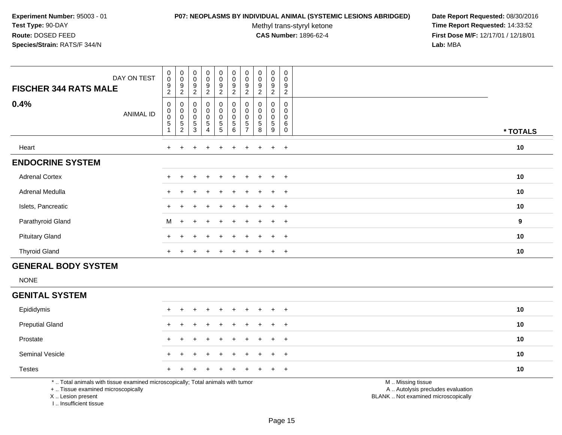### **P07: NEOPLASMS BY INDIVIDUAL ANIMAL (SYSTEMIC LESIONS ABRIDGED) Date Report Requested:** 08/30/2016

Methyl trans-styryl ketone<br>CAS Number: 1896-62-4

 **Time Report Requested:** 14:33:52 **First Dose M/F:** 12/17/01 / 12/18/01<br>**Lab:** MBA **Lab:** MBA

| DAY ON TEST<br><b>FISCHER 344 RATS MALE</b> | $\begin{smallmatrix}0\\0\end{smallmatrix}$<br>$\boldsymbol{9}$<br>$\overline{c}$ | $_{\rm 0}^{\rm 0}$<br>$\boldsymbol{9}$<br>$\overline{c}$            | $_{\rm 0}^{\rm 0}$<br>9<br>$\overline{2}$                      | $\begin{smallmatrix} 0\\0 \end{smallmatrix}$<br>9<br>$\overline{c}$ | $_{\rm 0}^{\rm 0}$<br>$\boldsymbol{9}$<br>$\overline{c}$ | $\begin{smallmatrix}0\\0\end{smallmatrix}$<br>$\boldsymbol{9}$<br>$\overline{c}$ | $\begin{smallmatrix} 0\\0 \end{smallmatrix}$<br>$\boldsymbol{9}$<br>2 | $_{\rm 0}^{\rm 0}$<br>$\boldsymbol{9}$<br>$\overline{c}$ | 0<br>$\pmb{0}$<br>$\boldsymbol{9}$<br>2 | $\pmb{0}$<br>$\mathbf 0$<br>$\boldsymbol{9}$<br>$\boldsymbol{2}$ |                  |
|---------------------------------------------|----------------------------------------------------------------------------------|---------------------------------------------------------------------|----------------------------------------------------------------|---------------------------------------------------------------------|----------------------------------------------------------|----------------------------------------------------------------------------------|-----------------------------------------------------------------------|----------------------------------------------------------|-----------------------------------------|------------------------------------------------------------------|------------------|
| 0.4%<br>ANIMAL ID                           | $\pmb{0}$<br>$\begin{matrix} 0 \\ 0 \end{matrix}$<br>$\mathbf 5$                 | $\begin{matrix}0\\0\\0\end{matrix}$<br>$\sqrt{5}$<br>$\overline{2}$ | $\begin{matrix} 0 \\ 0 \\ 0 \end{matrix}$<br>5<br>$\mathbf{3}$ | 0<br>$\mathsf 0$<br>$\mathsf 0$<br>5<br>$\overline{4}$              | 0<br>$\pmb{0}$<br>$\mathbf 0$<br>$\sqrt{5}$<br>5         | 0<br>$\pmb{0}$<br>$\pmb{0}$<br>$\sqrt{5}$<br>6                                   | 0<br>$\pmb{0}$<br>$\pmb{0}$<br>5<br>$\overline{ }$                    | 0<br>$\pmb{0}$<br>$\pmb{0}$<br>$\mathbf 5$<br>8          | 0<br>$\mathbf 0$<br>$\pmb{0}$<br>5<br>9 | 0<br>0<br>0<br>6<br>$\Omega$                                     | * TOTALS         |
| Heart                                       | $\pm$                                                                            |                                                                     |                                                                |                                                                     |                                                          |                                                                                  |                                                                       |                                                          | $\ddot{}$                               | $+$                                                              | 10               |
| <b>ENDOCRINE SYSTEM</b>                     |                                                                                  |                                                                     |                                                                |                                                                     |                                                          |                                                                                  |                                                                       |                                                          |                                         |                                                                  |                  |
| <b>Adrenal Cortex</b>                       | $+$                                                                              | $\pm$                                                               | $\pm$                                                          | $\ddot{}$                                                           | $+$                                                      | $+$                                                                              | $+$                                                                   | $+$                                                      | $+$                                     | $+$                                                              | 10               |
| Adrenal Medulla                             | $\pm$                                                                            | $\pm$                                                               |                                                                | $\div$                                                              | $+$                                                      | $+$                                                                              | $+$                                                                   | $\pm$                                                    | $\overline{+}$                          | $+$                                                              | 10               |
| Islets, Pancreatic                          |                                                                                  |                                                                     |                                                                | $\div$                                                              | $+$                                                      | $+$                                                                              | $+$                                                                   | $+$                                                      | $+$                                     | $+$                                                              | 10               |
| Parathyroid Gland                           | M                                                                                | $+$                                                                 | $\ddot{}$                                                      | $\ddot{}$                                                           | $+$                                                      | $+$                                                                              | $+$                                                                   | $\pm$                                                    | $\ddot{}$                               | $+$                                                              | $\boldsymbol{9}$ |
| <b>Pituitary Gland</b>                      | $+$                                                                              |                                                                     |                                                                | $\div$                                                              | $+$                                                      | $\div$                                                                           |                                                                       |                                                          | $\ddot{}$                               | $+$                                                              | 10               |
| <b>Thyroid Gland</b>                        | $\ddot{}$                                                                        | $\pm$                                                               | $\div$                                                         | $\pm$                                                               | $\pm$                                                    | $\pm$                                                                            | $\pm$                                                                 | $+$                                                      | $\pm$                                   | $+$                                                              | 10               |

# **GENERAL BODY SYSTEM**

NONE

# **GENITAL SYSTEM**

| Epididymis             |  | + + + + + + + + + + |  |  |  |  | 10 |
|------------------------|--|---------------------|--|--|--|--|----|
| <b>Preputial Gland</b> |  | + + + + + + + + + + |  |  |  |  | 10 |
| Prostate               |  | + + + + + + + + + + |  |  |  |  | 10 |
| <b>Seminal Vesicle</b> |  | + + + + + + + + + + |  |  |  |  | 10 |
| <b>Testes</b>          |  | + + + + + + + + + + |  |  |  |  | 10 |
|                        |  |                     |  |  |  |  |    |

\* .. Total animals with tissue examined microscopically; Total animals with tumor

+ .. Tissue examined microscopically

X .. Lesion present

I .. Insufficient tissue

M .. Missing tissue

y the contract of the contract of the contract of the contract of the contract of the contract of the contract of  $A$ . Autolysis precludes evaluation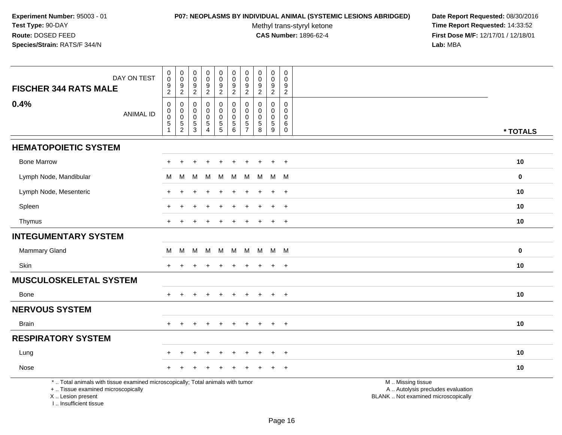### **P07: NEOPLASMS BY INDIVIDUAL ANIMAL (SYSTEMIC LESIONS ABRIDGED) Date Report Requested:** 08/30/2016

Methyl trans-styryl ketone<br>CAS Number: 1896-62-4

 **Time Report Requested:** 14:33:52 **First Dose M/F:** 12/17/01 / 12/18/01<br>Lab: MBA **Lab:** MBA

|                                                                                                                                            | DAY ON TEST      | $\pmb{0}$<br>$\mathbf 0$                       | $\begin{smallmatrix} 0\\0 \end{smallmatrix}$ | $\pmb{0}$<br>$\ddot{\mathbf{0}}$     | $\begin{smallmatrix}0\0\0\end{smallmatrix}$           | $_{\rm 0}^{\rm 0}$                                                               | $\mathbf 0$<br>$\mathbf 0$                              | $\pmb{0}$<br>$\mathbf 0$                 | $\pmb{0}$<br>$\ddot{\mathbf{0}}$                     | $\mathsf 0$<br>$\bar{0}$                                 | $\pmb{0}$<br>$\mathbf 0$                    |                                                                                               |             |
|--------------------------------------------------------------------------------------------------------------------------------------------|------------------|------------------------------------------------|----------------------------------------------|--------------------------------------|-------------------------------------------------------|----------------------------------------------------------------------------------|---------------------------------------------------------|------------------------------------------|------------------------------------------------------|----------------------------------------------------------|---------------------------------------------|-----------------------------------------------------------------------------------------------|-------------|
| <b>FISCHER 344 RATS MALE</b>                                                                                                               |                  | $\boldsymbol{9}$<br>$\overline{c}$             | 9<br>$\overline{2}$                          | $\boldsymbol{9}$<br>$\overline{2}$   | $\boldsymbol{9}$<br>$\overline{2}$                    | $\frac{9}{2}$                                                                    | $\frac{9}{2}$                                           | 9<br>$\overline{2}$                      | $\frac{9}{2}$                                        | $\boldsymbol{9}$<br>$\overline{2}$                       | 9<br>$\overline{2}$                         |                                                                                               |             |
| 0.4%                                                                                                                                       | <b>ANIMAL ID</b> | $\mathbf 0$<br>$\mathsf 0$<br>$\mathbf 0$<br>5 | 0<br>$\pmb{0}$<br>$\pmb{0}$<br>$\frac{5}{2}$ | $\mathbf 0$<br>0<br>$\mathbf 0$<br>5 | $\mathbf 0$<br>$\mathbf 0$<br>$\pmb{0}$<br>$\sqrt{5}$ | $\mathbf 0$<br>$\mathbf 0$<br>$\pmb{0}$<br>$\begin{array}{c} 5 \\ 5 \end{array}$ | $\mathbf 0$<br>$\mathbf 0$<br>$\mathbf 0$<br>$\sqrt{5}$ | $\Omega$<br>$\Omega$<br>$\mathbf 0$<br>5 | $\mathbf 0$<br>$\Omega$<br>$\mathbf 0$<br>$\sqrt{5}$ | $\Omega$<br>$\mathbf 0$<br>$\mathbf 0$<br>$\overline{5}$ | $\mathbf 0$<br>$\Omega$<br>$\mathbf 0$<br>6 |                                                                                               |             |
|                                                                                                                                            |                  | $\mathbf{1}$                                   |                                              | $\overline{3}$                       | $\overline{4}$                                        |                                                                                  | 6                                                       | $\overline{7}$                           | $\,8\,$                                              | $\overline{9}$                                           | $\mathsf{O}$                                |                                                                                               | * TOTALS    |
| <b>HEMATOPOIETIC SYSTEM</b>                                                                                                                |                  |                                                |                                              |                                      |                                                       |                                                                                  |                                                         |                                          |                                                      |                                                          |                                             |                                                                                               |             |
| <b>Bone Marrow</b>                                                                                                                         |                  |                                                |                                              |                                      |                                                       |                                                                                  |                                                         |                                          |                                                      |                                                          | $\div$                                      |                                                                                               | 10          |
| Lymph Node, Mandibular                                                                                                                     |                  | M                                              | M                                            | M                                    | M                                                     | M                                                                                | M                                                       | M                                        | M                                                    | M M                                                      |                                             |                                                                                               | $\mathbf 0$ |
| Lymph Node, Mesenteric                                                                                                                     |                  |                                                |                                              |                                      |                                                       |                                                                                  |                                                         |                                          |                                                      | $\ddot{}$                                                | $\overline{+}$                              |                                                                                               | 10          |
| Spleen                                                                                                                                     |                  |                                                |                                              |                                      |                                                       |                                                                                  |                                                         |                                          |                                                      |                                                          | $+$                                         |                                                                                               | 10          |
| Thymus                                                                                                                                     |                  | $+$                                            |                                              |                                      |                                                       |                                                                                  |                                                         |                                          |                                                      | $+$                                                      | $+$                                         |                                                                                               | 10          |
| <b>INTEGUMENTARY SYSTEM</b>                                                                                                                |                  |                                                |                                              |                                      |                                                       |                                                                                  |                                                         |                                          |                                                      |                                                          |                                             |                                                                                               |             |
| <b>Mammary Gland</b>                                                                                                                       |                  | M                                              | M                                            | M                                    | M                                                     | M                                                                                | M                                                       | M                                        | M                                                    | M M                                                      |                                             |                                                                                               | $\mathbf 0$ |
| Skin                                                                                                                                       |                  |                                                |                                              |                                      |                                                       |                                                                                  |                                                         |                                          |                                                      | $\div$                                                   | $\ddot{}$                                   |                                                                                               | 10          |
| <b>MUSCULOSKELETAL SYSTEM</b>                                                                                                              |                  |                                                |                                              |                                      |                                                       |                                                                                  |                                                         |                                          |                                                      |                                                          |                                             |                                                                                               |             |
| <b>Bone</b>                                                                                                                                |                  |                                                |                                              | $\div$                               | $\pm$                                                 | $\ddot{}$                                                                        | $+$                                                     | $\pm$                                    | $+$                                                  | $+$                                                      | $+$                                         |                                                                                               | 10          |
| <b>NERVOUS SYSTEM</b>                                                                                                                      |                  |                                                |                                              |                                      |                                                       |                                                                                  |                                                         |                                          |                                                      |                                                          |                                             |                                                                                               |             |
| <b>Brain</b>                                                                                                                               |                  |                                                |                                              |                                      |                                                       |                                                                                  |                                                         |                                          |                                                      | $\ddot{}$                                                | $+$                                         |                                                                                               | 10          |
| <b>RESPIRATORY SYSTEM</b>                                                                                                                  |                  |                                                |                                              |                                      |                                                       |                                                                                  |                                                         |                                          |                                                      |                                                          |                                             |                                                                                               |             |
| Lung                                                                                                                                       |                  |                                                |                                              |                                      |                                                       |                                                                                  |                                                         |                                          |                                                      | $\div$                                                   | $\overline{+}$                              |                                                                                               | 10          |
| Nose                                                                                                                                       |                  |                                                |                                              |                                      |                                                       |                                                                                  |                                                         |                                          |                                                      |                                                          | $\ddot{}$                                   |                                                                                               | 10          |
| *  Total animals with tissue examined microscopically; Total animals with tumor<br>+  Tissue examined microscopically<br>X  Lesion present |                  |                                                |                                              |                                      |                                                       |                                                                                  |                                                         |                                          |                                                      |                                                          |                                             | M  Missing tissue<br>A  Autolysis precludes evaluation<br>BLANK  Not examined microscopically |             |

I .. Insufficient tissue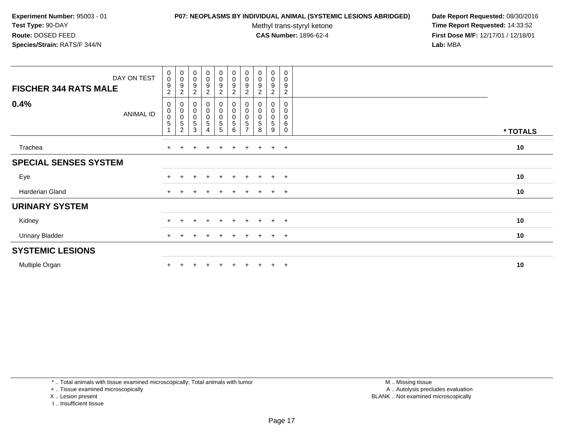### **P07: NEOPLASMS BY INDIVIDUAL ANIMAL (SYSTEMIC LESIONS ABRIDGED) Date Report Requested:** 08/30/2016

Methyl trans-styryl ketone<br>CAS Number: 1896-62-4

 **Time Report Requested:** 14:33:52 **First Dose M/F:** 12/17/01 / 12/18/01<br>**Lab:** MBA **Lab:** MBA

| DAY ON TEST<br><b>FISCHER 344 RATS MALE</b> | $\begin{smallmatrix}0\0\0\end{smallmatrix}$<br>$\boldsymbol{9}$<br>$\overline{c}$ | $_{\rm 0}^{\rm 0}$<br>$\boldsymbol{9}$<br>$\boldsymbol{2}$ | $\begin{array}{c} 0 \\ 0 \\ 9 \\ 2 \end{array}$                  | $_{\rm 0}^{\rm 0}$<br>$\boldsymbol{9}$<br>$\overline{c}$ | $\begin{smallmatrix}0\\0\end{smallmatrix}$<br>$\boldsymbol{9}$<br>$\boldsymbol{2}$ | $\begin{smallmatrix}0\0\0\end{smallmatrix}$<br>$\boldsymbol{9}$<br>$\overline{c}$ | $\begin{smallmatrix}0\\0\end{smallmatrix}$<br>9<br>$\overline{c}$ | $\begin{smallmatrix}0\0\0\9\end{smallmatrix}$<br>2 | $\begin{smallmatrix} 0\\0 \end{smallmatrix}$<br>$\frac{9}{2}$ | 0<br>$\mathbf 0$<br>9<br>$\overline{2}$ |          |  |
|---------------------------------------------|-----------------------------------------------------------------------------------|------------------------------------------------------------|------------------------------------------------------------------|----------------------------------------------------------|------------------------------------------------------------------------------------|-----------------------------------------------------------------------------------|-------------------------------------------------------------------|----------------------------------------------------|---------------------------------------------------------------|-----------------------------------------|----------|--|
| 0.4%<br><b>ANIMAL ID</b>                    | 0<br>$\pmb{0}$<br>$\mathbf 0$<br>$\,$ 5 $\,$                                      | 0<br>$\pmb{0}$<br>$\,$ 5 $\,$<br>$\overline{c}$            | $\mathbf 0$<br>$_{\rm 0}^{\rm 0}$<br>$\,$ 5 $\,$<br>$\mathbf{3}$ | 0<br>$\begin{bmatrix} 0 \\ 0 \\ 5 \end{bmatrix}$<br>4    | 0<br>$\pmb{0}$<br>$\pmb{0}$<br>$\mathbf 5$<br>5                                    | $\pmb{0}$<br>$\mathbf 0$<br>$\mathbf 5$<br>6                                      | $\pmb{0}$<br>$\pmb{0}$<br>5<br>$\overline{ }$                     | 0<br>$_{\rm 0}^{\rm 0}$<br>$\mathbf 5$<br>8        | $\boldsymbol{0}$<br>$\overline{0}$<br>0<br>$\sqrt{5}$<br>9    | 0<br>0<br>$\mathsf 0$<br>6<br>0         | * TOTALS |  |
| Trachea                                     | $+$                                                                               | $+$                                                        |                                                                  | $+$                                                      | $\pm$                                                                              | $\ddot{}$                                                                         | $+$                                                               | $\ddot{}$                                          | $+$                                                           | $+$                                     | 10       |  |
| <b>SPECIAL SENSES SYSTEM</b>                |                                                                                   |                                                            |                                                                  |                                                          |                                                                                    |                                                                                   |                                                                   |                                                    |                                                               |                                         |          |  |
| Eye                                         | $\pm$                                                                             |                                                            | $\div$                                                           | $+$                                                      | $+$                                                                                | $+$                                                                               | $+$                                                               | $+$                                                | $+$                                                           | $+$                                     | 10       |  |
| Harderian Gland                             | $+$                                                                               |                                                            |                                                                  | $\div$                                                   | $\div$                                                                             |                                                                                   | $+$                                                               | $\pm$                                              | $+$                                                           | $+$                                     | 10       |  |
| <b>URINARY SYSTEM</b>                       |                                                                                   |                                                            |                                                                  |                                                          |                                                                                    |                                                                                   |                                                                   |                                                    |                                                               |                                         |          |  |
| Kidney                                      | $+$                                                                               | ÷.                                                         | $+$                                                              | $+$                                                      | $+$                                                                                | $+$                                                                               | $+$                                                               | $+$                                                | $+$                                                           | $+$                                     | 10       |  |
| <b>Urinary Bladder</b>                      | $\pm$                                                                             |                                                            |                                                                  | $\ddot{}$                                                | ÷                                                                                  |                                                                                   | ÷.                                                                | $+$                                                | $+$                                                           | $+$                                     | 10       |  |
| <b>SYSTEMIC LESIONS</b>                     |                                                                                   |                                                            |                                                                  |                                                          |                                                                                    |                                                                                   |                                                                   |                                                    |                                                               |                                         |          |  |
| Multiple Organ                              |                                                                                   |                                                            |                                                                  |                                                          |                                                                                    |                                                                                   |                                                                   |                                                    | $\pm$                                                         | $+$                                     | 10       |  |

\* .. Total animals with tissue examined microscopically; Total animals with tumor

+ .. Tissue examined microscopically

X .. Lesion present

I .. Insufficient tissue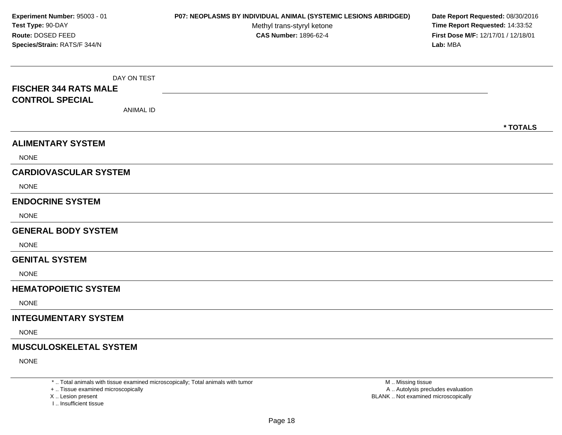DAY ON TEST**FISCHER 344 RATS MALECONTROL SPECIAL**ANIMAL ID**\* TOTALSALIMENTARY SYSTEMNONE CARDIOVASCULAR SYSTEM**NONE**ENDOCRINE SYSTEM**NONE**GENERAL BODY SYSTEM**NONE**GENITAL SYSTEM**NONE**HEMATOPOIETIC SYSTEMNONE INTEGUMENTARY SYSTEM**NONE**MUSCULOSKELETAL SYSTEM**NONE**Experiment Number:** 95003 - 01 **P07: NEOPLASMS BY INDIVIDUAL ANIMAL (SYSTEMIC LESIONS ABRIDGED) Date Report Requested:** 08/30/2016 **Test Type:** 90-DAYMethyl trans-styryl ketone<br>CAS Number: 1896-62-4 **Time Report Requested:** 14:33:52 **Route:** DOSED FEED**First Dose M/F:** 12/17/01 / 12/18/01<br>**Lab:** MBA **Species/Strain:** RATS/F 344/N**Lab:** MBA

\* .. Total animals with tissue examined microscopically; Total animals with tumor

+ .. Tissue examined microscopically

X .. Lesion present

I .. Insufficient tissue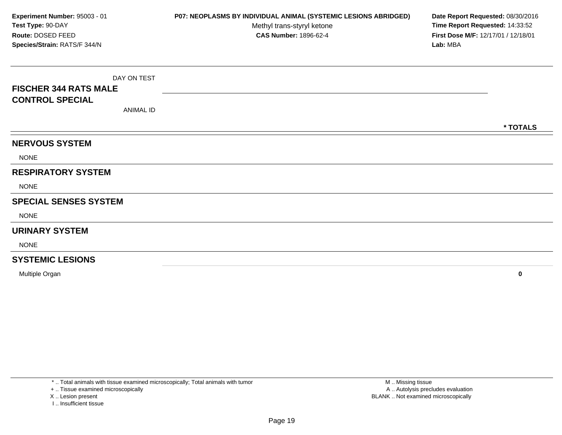DAY ON TEST**FISCHER 344 RATS MALECONTROL SPECIAL**ANIMAL ID**\* TOTALSNERVOUS SYSTEM**NONE**RESPIRATORY SYSTEM**NONE**SPECIAL SENSES SYSTEM**NONE**URINARY SYSTEM**NONE**SYSTEMIC LESIONSExperiment Number:** 95003 - 01 **P07: NEOPLASMS BY INDIVIDUAL ANIMAL (SYSTEMIC LESIONS ABRIDGED) Date Report Requested:** 08/30/2016 **Test Type:** 90-DAYMethyl trans-styryl ketone<br>CAS Number: 1896-62-4 **Time Report Requested:** 14:33:52 **Route:** DOSED FEED**First Dose M/F:** 12/17/01 / 12/18/01<br>**Lab:** MBA **Species/Strain:** RATS/F 344/N**Lab:** MBA

Multiple Organ**<sup>0</sup>**

\* .. Total animals with tissue examined microscopically; Total animals with tumor

+ .. Tissue examined microscopically

X .. Lesion present

I .. Insufficient tissue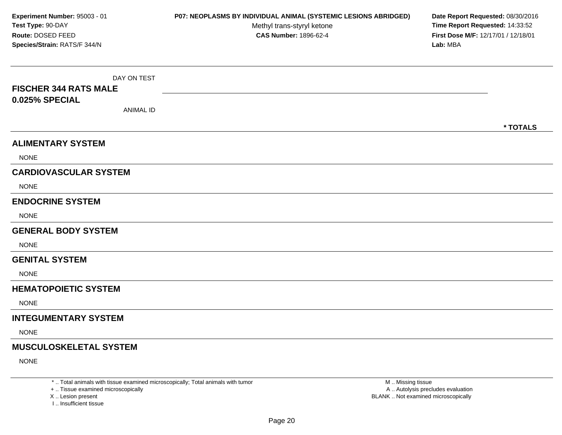DAY ON TEST**FISCHER 344 RATS MALE0.025% SPECIAL**ANIMAL ID**\* TOTALSALIMENTARY SYSTEM**NONE**CARDIOVASCULAR SYSTEM**NONE**ENDOCRINE SYSTEM**NONE**GENERAL BODY SYSTEM**NONE**GENITAL SYSTEM**NONE**HEMATOPOIETIC SYSTEMNONE INTEGUMENTARY SYSTEM**NONE**MUSCULOSKELETAL SYSTEM**NONE**Experiment Number:** 95003 - 01 **P07: NEOPLASMS BY INDIVIDUAL ANIMAL (SYSTEMIC LESIONS ABRIDGED) Date Report Requested:** 08/30/2016 **Test Type:** 90-DAYMethyl trans-styryl ketone<br>CAS Number: 1896-62-4 **Time Report Requested:** 14:33:52 **Route:** DOSED FEED**First Dose M/F:** 12/17/01 / 12/18/01<br>**Lab:** MBA **Species/Strain:** RATS/F 344/N**Lab:** MBA

\* .. Total animals with tissue examined microscopically; Total animals with tumor

+ .. Tissue examined microscopically

X .. Lesion present

I .. Insufficient tissue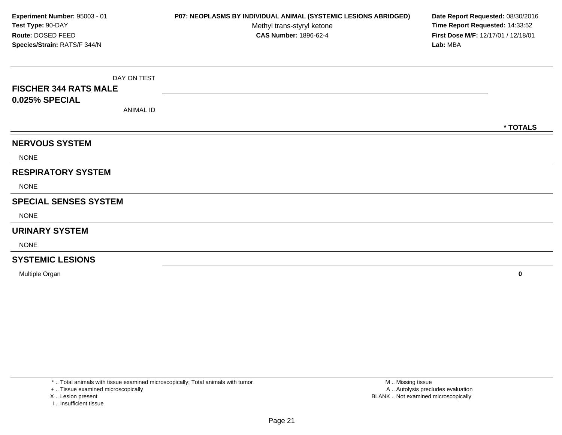DAY ON TEST**FISCHER 344 RATS MALE0.025% SPECIAL**ANIMAL ID**\* TOTALSNERVOUS SYSTEM**NONE**RESPIRATORY SYSTEM**NONE**SPECIAL SENSES SYSTEM**NONE**URINARY SYSTEM**NONE**SYSTEMIC LESIONSExperiment Number:** 95003 - 01 **P07: NEOPLASMS BY INDIVIDUAL ANIMAL (SYSTEMIC LESIONS ABRIDGED) Date Report Requested:** 08/30/2016 **Test Type:** 90-DAYMethyl trans-styryl ketone<br>CAS Number: 1896-62-4 **Time Report Requested:** 14:33:52 **Route:** DOSED FEED**First Dose M/F:** 12/17/01 / 12/18/01<br>**Lab:** MBA **Species/Strain:** RATS/F 344/N**Lab:** MBA

Multiple Organ**<sup>0</sup>**

\* .. Total animals with tissue examined microscopically; Total animals with tumor

+ .. Tissue examined microscopically

X .. Lesion present

I .. Insufficient tissue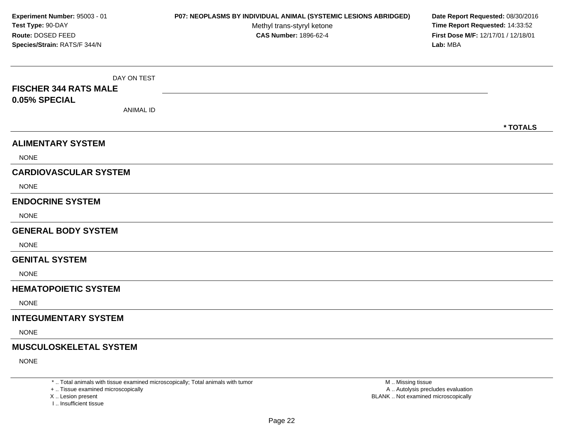DAY ON TEST**FISCHER 344 RATS MALE0.05% SPECIAL**ANIMAL ID**\* TOTALSALIMENTARY SYSTEM**NONE**CARDIOVASCULAR SYSTEM**NONE**ENDOCRINE SYSTEM**NONE**GENERAL BODY SYSTEM**NONE**GENITAL SYSTEM**NONE**HEMATOPOIETIC SYSTEMNONE INTEGUMENTARY SYSTEM**NONE**MUSCULOSKELETAL SYSTEM**NONE**Experiment Number:** 95003 - 01 **P07: NEOPLASMS BY INDIVIDUAL ANIMAL (SYSTEMIC LESIONS ABRIDGED) Date Report Requested:** 08/30/2016 **Test Type:** 90-DAYMethyl trans-styryl ketone<br>CAS Number: 1896-62-4 **Time Report Requested:** 14:33:52 **Route:** DOSED FEED**First Dose M/F:** 12/17/01 / 12/18/01<br>**Lab:** MBA **Species/Strain:** RATS/F 344/N**Lab:** MBA

\* .. Total animals with tissue examined microscopically; Total animals with tumor

+ .. Tissue examined microscopically

X .. Lesion present

I .. Insufficient tissue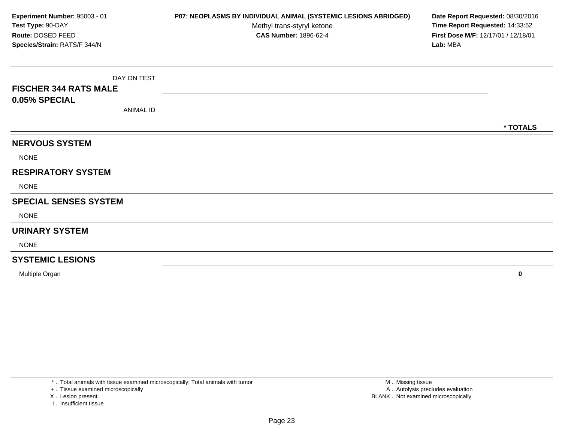DAY ON TEST**FISCHER 344 RATS MALE0.05% SPECIAL**ANIMAL ID**\* TOTALSNERVOUS SYSTEM**NONE**RESPIRATORY SYSTEM**NONE**SPECIAL SENSES SYSTEM**NONE**URINARY SYSTEM**NONE**SYSTEMIC LESIONSExperiment Number:** 95003 - 01 **P07: NEOPLASMS BY INDIVIDUAL ANIMAL (SYSTEMIC LESIONS ABRIDGED) Date Report Requested:** 08/30/2016 **Test Type:** 90-DAYMethyl trans-styryl ketone<br>CAS Number: 1896-62-4 **Time Report Requested:** 14:33:52 **Route:** DOSED FEED**First Dose M/F:** 12/17/01 / 12/18/01<br>**Lab:** MBA **Species/Strain:** RATS/F 344/N**Lab:** MBA

Multiple Organ**<sup>0</sup>**

\* .. Total animals with tissue examined microscopically; Total animals with tumor

+ .. Tissue examined microscopically

X .. Lesion present

I .. Insufficient tissue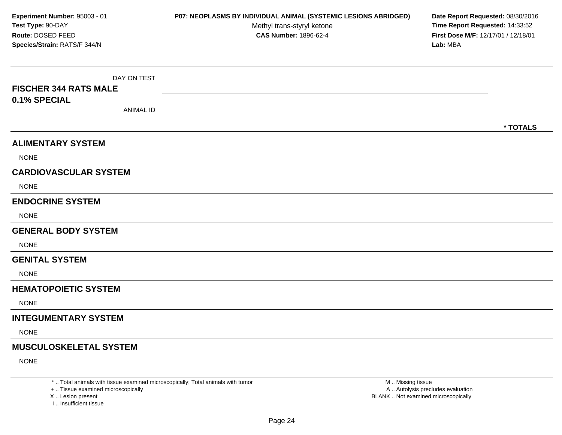DAY ON TEST**FISCHER 344 RATS MALE0.1% SPECIAL**ANIMAL ID**\* TOTALSALIMENTARY SYSTEM**NONE**CARDIOVASCULAR SYSTEM**NONE**ENDOCRINE SYSTEM**NONE**GENERAL BODY SYSTEM**NONE**GENITAL SYSTEM**NONE**HEMATOPOIETIC SYSTEMNONE INTEGUMENTARY SYSTEM**NONE**MUSCULOSKELETAL SYSTEM**NONE**Experiment Number:** 95003 - 01 **P07: NEOPLASMS BY INDIVIDUAL ANIMAL (SYSTEMIC LESIONS ABRIDGED) Date Report Requested:** 08/30/2016 **Test Type:** 90-DAYMethyl trans-styryl ketone<br>CAS Number: 1896-62-4 **Time Report Requested:** 14:33:52 **Route:** DOSED FEED**First Dose M/F:** 12/17/01 / 12/18/01<br>**Lab:** MBA **Species/Strain:** RATS/F 344/N**Lab:** MBA

\* .. Total animals with tissue examined microscopically; Total animals with tumor

+ .. Tissue examined microscopically

X .. Lesion present

I .. Insufficient tissue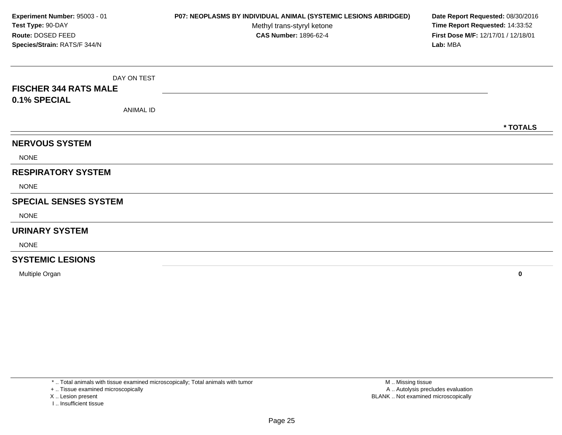DAY ON TEST**FISCHER 344 RATS MALE0.1% SPECIAL**ANIMAL ID**\* TOTALSNERVOUS SYSTEM**NONE**RESPIRATORY SYSTEM**NONE**SPECIAL SENSES SYSTEM**NONE**URINARY SYSTEM**NONE**SYSTEMIC LESIONSExperiment Number:** 95003 - 01 **P07: NEOPLASMS BY INDIVIDUAL ANIMAL (SYSTEMIC LESIONS ABRIDGED) Date Report Requested:** 08/30/2016 **Test Type:** 90-DAYMethyl trans-styryl ketone<br>CAS Number: 1896-62-4 **Time Report Requested:** 14:33:52 **Route:** DOSED FEED**First Dose M/F:** 12/17/01 / 12/18/01<br>**Lab:** MBA **Species/Strain:** RATS/F 344/N**Lab:** MBA

Multiple Organ**<sup>0</sup>**

\* .. Total animals with tissue examined microscopically; Total animals with tumor

+ .. Tissue examined microscopically

X .. Lesion present

I .. Insufficient tissue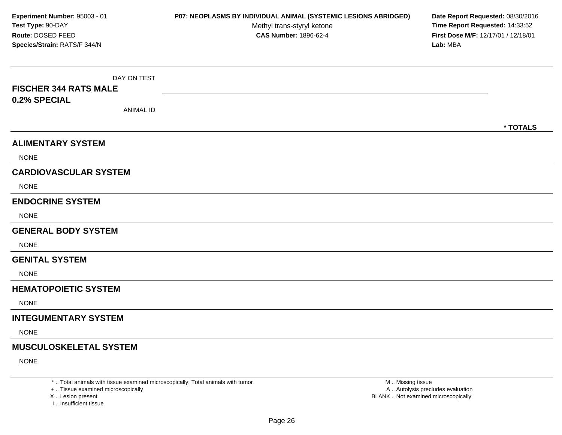DAY ON TEST**FISCHER 344 RATS MALE0.2% SPECIAL**ANIMAL ID**\* TOTALSALIMENTARY SYSTEM**NONE**CARDIOVASCULAR SYSTEM**NONE**ENDOCRINE SYSTEM**NONE**GENERAL BODY SYSTEM**NONE**GENITAL SYSTEM**NONE**HEMATOPOIETIC SYSTEMNONE INTEGUMENTARY SYSTEM**NONE**MUSCULOSKELETAL SYSTEM**NONE**Experiment Number:** 95003 - 01 **P07: NEOPLASMS BY INDIVIDUAL ANIMAL (SYSTEMIC LESIONS ABRIDGED) Date Report Requested:** 08/30/2016 **Test Type:** 90-DAYMethyl trans-styryl ketone<br>CAS Number: 1896-62-4 **Time Report Requested:** 14:33:52 **Route:** DOSED FEED**First Dose M/F:** 12/17/01 / 12/18/01<br>**Lab:** MBA **Species/Strain:** RATS/F 344/N**Lab:** MBA

\* .. Total animals with tissue examined microscopically; Total animals with tumor

+ .. Tissue examined microscopically

X .. Lesion present

I .. Insufficient tissue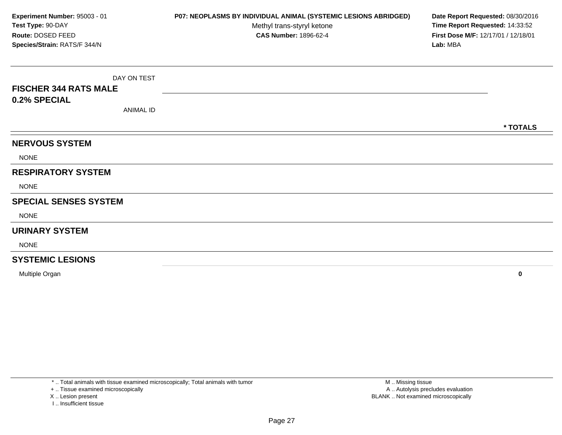DAY ON TEST**FISCHER 344 RATS MALE0.2% SPECIAL**ANIMAL ID**\* TOTALSNERVOUS SYSTEM**NONE**RESPIRATORY SYSTEM**NONE**SPECIAL SENSES SYSTEM**NONE**URINARY SYSTEM**NONE**SYSTEMIC LESIONSExperiment Number:** 95003 - 01 **P07: NEOPLASMS BY INDIVIDUAL ANIMAL (SYSTEMIC LESIONS ABRIDGED) Date Report Requested:** 08/30/2016 **Test Type:** 90-DAYMethyl trans-styryl ketone<br>CAS Number: 1896-62-4 **Time Report Requested:** 14:33:52 **Route:** DOSED FEED**First Dose M/F:** 12/17/01 / 12/18/01<br>**Lab:** MBA **Species/Strain:** RATS/F 344/N**Lab:** MBA

Multiple Organ**<sup>0</sup>**

\* .. Total animals with tissue examined microscopically; Total animals with tumor

+ .. Tissue examined microscopically

X .. Lesion present

I .. Insufficient tissue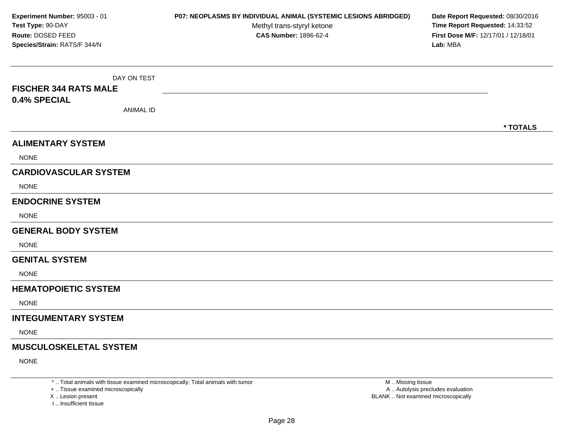DAY ON TEST**FISCHER 344 RATS MALE0.4% SPECIAL**ANIMAL ID**\* TOTALSALIMENTARY SYSTEM**NONE**CARDIOVASCULAR SYSTEM**NONE**ENDOCRINE SYSTEM**NONE**GENERAL BODY SYSTEM**NONE**GENITAL SYSTEM**NONE**HEMATOPOIETIC SYSTEMNONE INTEGUMENTARY SYSTEM**NONE**MUSCULOSKELETAL SYSTEM**NONE**Experiment Number:** 95003 - 01 **P07: NEOPLASMS BY INDIVIDUAL ANIMAL (SYSTEMIC LESIONS ABRIDGED) Date Report Requested:** 08/30/2016 **Test Type:** 90-DAYMethyl trans-styryl ketone<br>CAS Number: 1896-62-4 **Time Report Requested:** 14:33:52 **Route:** DOSED FEED**First Dose M/F:** 12/17/01 / 12/18/01<br>**Lab:** MBA **Species/Strain:** RATS/F 344/N**Lab:** MBA

\* .. Total animals with tissue examined microscopically; Total animals with tumor

+ .. Tissue examined microscopically

X .. Lesion present

I .. Insufficient tissue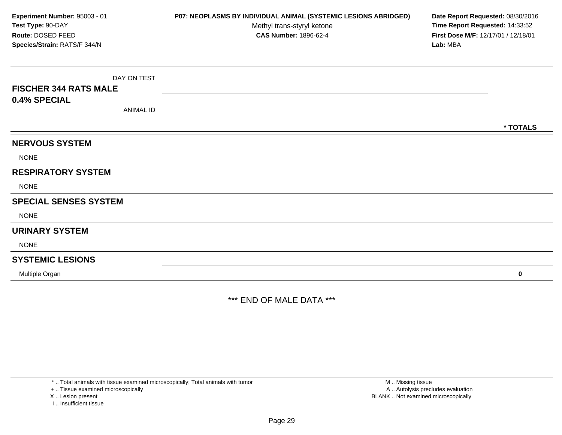DAY ON TEST**FISCHER 344 RATS MALE0.4% SPECIAL**ANIMAL ID**\* TOTALSNERVOUS SYSTEM**NONE**RESPIRATORY SYSTEM**NONE**SPECIAL SENSES SYSTEM**NONE**URINARY SYSTEM**NONE**SYSTEMIC LESIONS**Multiple Organ **<sup>0</sup> Experiment Number:** 95003 - 01 **P07: NEOPLASMS BY INDIVIDUAL ANIMAL (SYSTEMIC LESIONS ABRIDGED) Date Report Requested:** 08/30/2016 **Test Type:** 90-DAYMethyl trans-styryl ketone<br>CAS Number: 1896-62-4 **Time Report Requested:** 14:33:52 **Route:** DOSED FEED**First Dose M/F:** 12/17/01 / 12/18/01<br>**Lab:** MBA **Species/Strain:** RATS/F 344/N**Lab:** MBA

\*\*\* END OF MALE DATA \*\*\*

\* .. Total animals with tissue examined microscopically; Total animals with tumor

+ .. Tissue examined microscopically

X .. Lesion present

I .. Insufficient tissue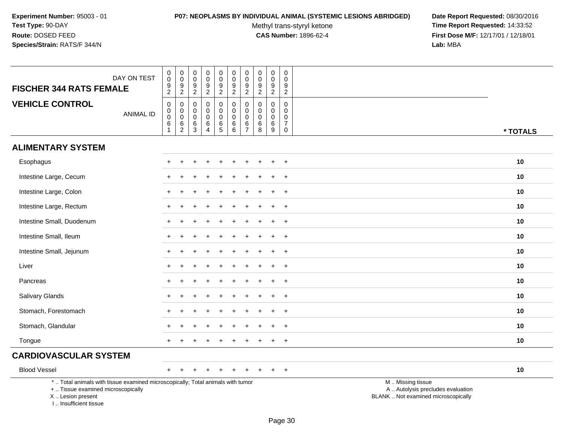### **P07: NEOPLASMS BY INDIVIDUAL ANIMAL (SYSTEMIC LESIONS ABRIDGED) Date Report Requested:** 08/30/2016

Methyl trans-styryl ketone<br>CAS Number: 1896-62-4

| DAY ON TEST<br><b>FISCHER 344 RATS FEMALE</b>                                                                                                                       | $\pmb{0}$<br>$\mathsf{O}\xspace$<br>$\frac{9}{2}$                                                    | $\pmb{0}$<br>$\overline{0}$<br>$9\,$<br>$\overline{2}$     | $\pmb{0}$<br>$\mathbf 0$<br>$9\,$<br>$\sqrt{2}$                          | $\pmb{0}$<br>$\mathbf 0$<br>$\boldsymbol{9}$<br>$\overline{2}$       | $\boldsymbol{0}$<br>$\ddot{\mathbf{0}}$<br>$\overline{9}$<br>$\overline{2}$ | $\begin{smallmatrix}0\0\0\9\end{smallmatrix}$<br>$\overline{2}$ | $\pmb{0}$<br>$\mathbf 0$<br>$\boldsymbol{9}$<br>$\overline{2}$       | $\boldsymbol{0}$<br>$\mathsf 0$<br>$\boldsymbol{9}$<br>$\overline{2}$ | $\mathbf 0$<br>$\mathbf 0$<br>9<br>$\overline{2}$       | 0<br>$\mathbf 0$<br>9<br>$\overline{2}$                                |                                                                                               |          |
|---------------------------------------------------------------------------------------------------------------------------------------------------------------------|------------------------------------------------------------------------------------------------------|------------------------------------------------------------|--------------------------------------------------------------------------|----------------------------------------------------------------------|-----------------------------------------------------------------------------|-----------------------------------------------------------------|----------------------------------------------------------------------|-----------------------------------------------------------------------|---------------------------------------------------------|------------------------------------------------------------------------|-----------------------------------------------------------------------------------------------|----------|
| <b>VEHICLE CONTROL</b><br><b>ANIMAL ID</b>                                                                                                                          | $\mathsf{O}\xspace$<br>$\begin{smallmatrix}0\0\0\end{smallmatrix}$<br>$6\phantom{a}$<br>$\mathbf{1}$ | $\mathbf 0$<br>$\mathbf 0$<br>$\mathbf 0$<br>$\frac{6}{2}$ | $\mathbf 0$<br>$\overline{0}$<br>$\overline{0}$<br>$\,6$<br>$\mathbf{3}$ | $\mathbf 0$<br>$\mathbf 0$<br>$\mathbf 0$<br>$\,6$<br>$\overline{4}$ | 0<br>$\mathbf 0$<br>0<br>$\frac{6}{5}$                                      | $\pmb{0}$<br>$\mathbf 0$<br>$\mathbf 0$<br>$\frac{6}{6}$        | $\mathbf 0$<br>$\mathbf 0$<br>$\mathbf 0$<br>$\,6$<br>$\overline{7}$ | $\boldsymbol{0}$<br>$\mathbf 0$<br>$\mathbf 0$<br>$\,6$<br>8          | $\pmb{0}$<br>$\mathbf 0$<br>$\mathbf 0$<br>$\,6\,$<br>9 | $\pmb{0}$<br>$\mathbf 0$<br>$\mathbf 0$<br>$\overline{7}$<br>$\pmb{0}$ |                                                                                               | * TOTALS |
| <b>ALIMENTARY SYSTEM</b>                                                                                                                                            |                                                                                                      |                                                            |                                                                          |                                                                      |                                                                             |                                                                 |                                                                      |                                                                       |                                                         |                                                                        |                                                                                               |          |
| Esophagus                                                                                                                                                           |                                                                                                      |                                                            |                                                                          |                                                                      |                                                                             |                                                                 |                                                                      |                                                                       |                                                         | $\ddot{}$                                                              |                                                                                               | 10       |
| Intestine Large, Cecum                                                                                                                                              |                                                                                                      |                                                            |                                                                          |                                                                      |                                                                             |                                                                 |                                                                      |                                                                       |                                                         | $\ddot{}$                                                              |                                                                                               | 10       |
| Intestine Large, Colon                                                                                                                                              |                                                                                                      |                                                            |                                                                          |                                                                      |                                                                             |                                                                 |                                                                      |                                                                       |                                                         | $\overline{+}$                                                         |                                                                                               | 10       |
| Intestine Large, Rectum                                                                                                                                             | $^+$                                                                                                 |                                                            |                                                                          |                                                                      |                                                                             |                                                                 |                                                                      |                                                                       | $\ddot{}$                                               | $\overline{+}$                                                         |                                                                                               | 10       |
| Intestine Small, Duodenum                                                                                                                                           |                                                                                                      |                                                            |                                                                          |                                                                      |                                                                             |                                                                 |                                                                      |                                                                       |                                                         | $\ddot{}$                                                              |                                                                                               | 10       |
| Intestine Small, Ileum                                                                                                                                              |                                                                                                      |                                                            |                                                                          |                                                                      |                                                                             |                                                                 |                                                                      |                                                                       |                                                         | $\ddot{}$                                                              |                                                                                               | 10       |
| Intestine Small, Jejunum                                                                                                                                            | $\div$                                                                                               |                                                            |                                                                          |                                                                      |                                                                             |                                                                 |                                                                      |                                                                       |                                                         | $\overline{+}$                                                         |                                                                                               | 10       |
| Liver                                                                                                                                                               |                                                                                                      |                                                            |                                                                          |                                                                      |                                                                             |                                                                 |                                                                      |                                                                       |                                                         | $\ddot{}$                                                              |                                                                                               | 10       |
| Pancreas                                                                                                                                                            |                                                                                                      |                                                            |                                                                          |                                                                      |                                                                             |                                                                 |                                                                      |                                                                       |                                                         | $\ddot{}$                                                              |                                                                                               | 10       |
| Salivary Glands                                                                                                                                                     |                                                                                                      |                                                            |                                                                          |                                                                      |                                                                             |                                                                 |                                                                      |                                                                       |                                                         | $\ddot{}$                                                              |                                                                                               | 10       |
| Stomach, Forestomach                                                                                                                                                |                                                                                                      |                                                            |                                                                          |                                                                      |                                                                             |                                                                 |                                                                      |                                                                       |                                                         | $\overline{+}$                                                         |                                                                                               | 10       |
| Stomach, Glandular                                                                                                                                                  |                                                                                                      |                                                            |                                                                          |                                                                      |                                                                             |                                                                 |                                                                      |                                                                       |                                                         | $\overline{+}$                                                         |                                                                                               | 10       |
| Tongue                                                                                                                                                              |                                                                                                      |                                                            |                                                                          |                                                                      |                                                                             |                                                                 |                                                                      |                                                                       |                                                         | $\overline{+}$                                                         |                                                                                               | 10       |
| <b>CARDIOVASCULAR SYSTEM</b>                                                                                                                                        |                                                                                                      |                                                            |                                                                          |                                                                      |                                                                             |                                                                 |                                                                      |                                                                       |                                                         |                                                                        |                                                                                               |          |
| <b>Blood Vessel</b>                                                                                                                                                 | $\pm$                                                                                                |                                                            |                                                                          |                                                                      |                                                                             |                                                                 |                                                                      |                                                                       |                                                         | $+$                                                                    |                                                                                               | 10       |
| *  Total animals with tissue examined microscopically; Total animals with tumor<br>+  Tissue examined microscopically<br>X  Lesion present<br>I Insufficient tissue |                                                                                                      |                                                            |                                                                          |                                                                      |                                                                             |                                                                 |                                                                      |                                                                       |                                                         |                                                                        | M  Missing tissue<br>A  Autolysis precludes evaluation<br>BLANK  Not examined microscopically |          |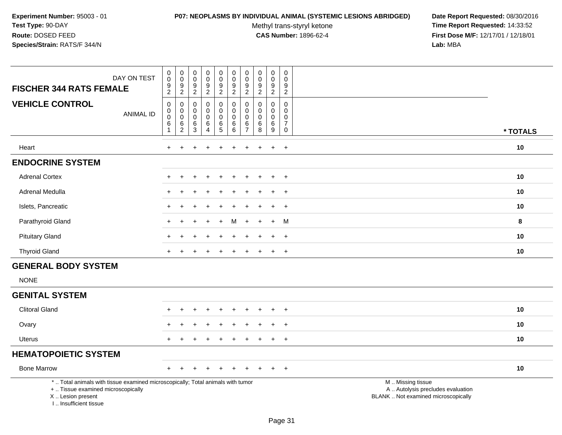### **P07: NEOPLASMS BY INDIVIDUAL ANIMAL (SYSTEMIC LESIONS ABRIDGED) Date Report Requested:** 08/30/2016

Methyl trans-styryl ketone<br>CAS Number: 1896-62-4

| DAY ON TEST<br><b>FISCHER 344 RATS FEMALE</b>                                                                                                                      | $\mathbf 0$<br>$\pmb{0}$<br>9<br>$\overline{c}$        | $\mathbf 0$<br>$\mathsf{O}\xspace$<br>$\frac{9}{2}$                            | $\pmb{0}$<br>$\mathbf 0$<br>$\frac{9}{2}$            | $\pmb{0}$<br>$\pmb{0}$<br>$\overline{9}$<br>$\overline{2}$           | $\pmb{0}$<br>$\mathbf 0$<br>$\boldsymbol{9}$<br>$\overline{2}$                     | $\mathbf 0$<br>$\mathbf 0$<br>$9\,$<br>$\overline{2}$   | 0<br>$\pmb{0}$<br>9<br>$\overline{c}$                         | $\mathbf 0$<br>$\mathsf{O}\xspace$<br>9<br>$\overline{2}$ | $\pmb{0}$<br>$\pmb{0}$<br>$\boldsymbol{9}$<br>$\overline{2}$ | 0<br>$\mathbf 0$<br>9<br>$\overline{2}$                                 |                                                                                               |          |
|--------------------------------------------------------------------------------------------------------------------------------------------------------------------|--------------------------------------------------------|--------------------------------------------------------------------------------|------------------------------------------------------|----------------------------------------------------------------------|------------------------------------------------------------------------------------|---------------------------------------------------------|---------------------------------------------------------------|-----------------------------------------------------------|--------------------------------------------------------------|-------------------------------------------------------------------------|-----------------------------------------------------------------------------------------------|----------|
| <b>VEHICLE CONTROL</b><br><b>ANIMAL ID</b>                                                                                                                         | $\pmb{0}$<br>$\mathsf 0$<br>0<br>$\,6$<br>$\mathbf{1}$ | $\mathbf 0$<br>$\mathbf 0$<br>$\mathsf{O}\xspace$<br>$\,6\,$<br>$\overline{c}$ | $\mathbf 0$<br>0<br>$\boldsymbol{0}$<br>$\,6\,$<br>3 | $\pmb{0}$<br>$\mathbf 0$<br>$\mathbf 0$<br>$\,6\,$<br>$\overline{4}$ | $\mathbf 0$<br>$\mathbf 0$<br>$\mathbf 0$<br>$\begin{array}{c} 6 \\ 5 \end{array}$ | $\pmb{0}$<br>$\mathbf 0$<br>$\mathbf 0$<br>$\,6\,$<br>6 | $\Omega$<br>$\mathbf 0$<br>$\mathbf 0$<br>6<br>$\overline{7}$ | $\mathbf 0$<br>$\mathbf 0$<br>$\mathbf 0$<br>$\,6\,$<br>8 | $\pmb{0}$<br>$\mathbf 0$<br>$\pmb{0}$<br>$\,6\,$<br>9        | $\Omega$<br>$\mathbf 0$<br>$\mathbf 0$<br>$\overline{7}$<br>$\mathbf 0$ |                                                                                               | * TOTALS |
| Heart                                                                                                                                                              | $+$                                                    | $\ddot{}$                                                                      |                                                      | ÷                                                                    | $\div$                                                                             | $\ddot{}$                                               | $\pm$                                                         | $\pm$                                                     | $\ddot{}$                                                    | $+$                                                                     |                                                                                               | 10       |
| <b>ENDOCRINE SYSTEM</b>                                                                                                                                            |                                                        |                                                                                |                                                      |                                                                      |                                                                                    |                                                         |                                                               |                                                           |                                                              |                                                                         |                                                                                               |          |
| <b>Adrenal Cortex</b>                                                                                                                                              |                                                        |                                                                                |                                                      |                                                                      |                                                                                    |                                                         |                                                               |                                                           | $\ddot{}$                                                    | $+$                                                                     |                                                                                               | 10       |
| Adrenal Medulla                                                                                                                                                    |                                                        |                                                                                |                                                      |                                                                      |                                                                                    |                                                         |                                                               |                                                           | $\ddot{}$                                                    | $\ddot{}$                                                               |                                                                                               | 10       |
| Islets, Pancreatic                                                                                                                                                 |                                                        |                                                                                |                                                      |                                                                      |                                                                                    |                                                         |                                                               |                                                           | $\ddot{}$                                                    | $+$                                                                     |                                                                                               | 10       |
| Parathyroid Gland                                                                                                                                                  |                                                        |                                                                                |                                                      |                                                                      | $+$                                                                                | м                                                       | $\ddot{}$                                                     |                                                           | $\ddot{+}$                                                   | M                                                                       |                                                                                               | 8        |
| <b>Pituitary Gland</b>                                                                                                                                             |                                                        |                                                                                |                                                      |                                                                      |                                                                                    |                                                         |                                                               |                                                           | $\div$                                                       | $+$                                                                     |                                                                                               | 10       |
| <b>Thyroid Gland</b>                                                                                                                                               |                                                        |                                                                                |                                                      |                                                                      |                                                                                    |                                                         |                                                               |                                                           | $\pm$                                                        | $\overline{+}$                                                          |                                                                                               | 10       |
| <b>GENERAL BODY SYSTEM</b>                                                                                                                                         |                                                        |                                                                                |                                                      |                                                                      |                                                                                    |                                                         |                                                               |                                                           |                                                              |                                                                         |                                                                                               |          |
| <b>NONE</b>                                                                                                                                                        |                                                        |                                                                                |                                                      |                                                                      |                                                                                    |                                                         |                                                               |                                                           |                                                              |                                                                         |                                                                                               |          |
| <b>GENITAL SYSTEM</b>                                                                                                                                              |                                                        |                                                                                |                                                      |                                                                      |                                                                                    |                                                         |                                                               |                                                           |                                                              |                                                                         |                                                                                               |          |
| <b>Clitoral Gland</b>                                                                                                                                              |                                                        |                                                                                |                                                      |                                                                      |                                                                                    |                                                         |                                                               |                                                           |                                                              | $\ddot{}$                                                               |                                                                                               | 10       |
| Ovary                                                                                                                                                              |                                                        |                                                                                |                                                      |                                                                      |                                                                                    |                                                         |                                                               |                                                           |                                                              | $\ddot{}$                                                               |                                                                                               | 10       |
| Uterus                                                                                                                                                             |                                                        |                                                                                |                                                      |                                                                      |                                                                                    |                                                         |                                                               |                                                           | $\pm$                                                        | $^{+}$                                                                  |                                                                                               | 10       |
| <b>HEMATOPOIETIC SYSTEM</b>                                                                                                                                        |                                                        |                                                                                |                                                      |                                                                      |                                                                                    |                                                         |                                                               |                                                           |                                                              |                                                                         |                                                                                               |          |
| <b>Bone Marrow</b>                                                                                                                                                 |                                                        |                                                                                |                                                      |                                                                      |                                                                                    |                                                         |                                                               |                                                           | $\pm$                                                        | $+$                                                                     |                                                                                               | 10       |
| *  Total animals with tissue examined microscopically; Total animals with tumor<br>+  Tissue examined microscopically<br>X Lesion present<br>I Insufficient tissue |                                                        |                                                                                |                                                      |                                                                      |                                                                                    |                                                         |                                                               |                                                           |                                                              |                                                                         | M  Missing tissue<br>A  Autolysis precludes evaluation<br>BLANK  Not examined microscopically |          |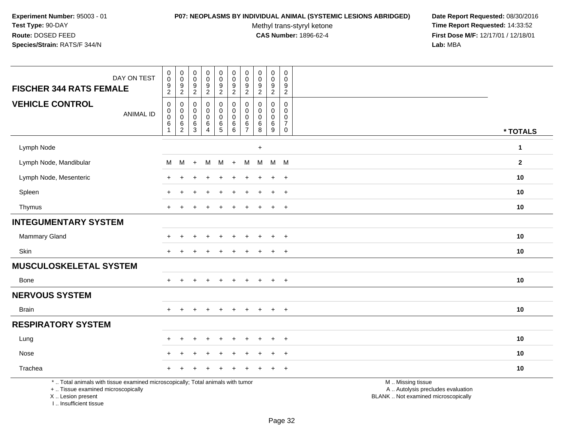### **P07: NEOPLASMS BY INDIVIDUAL ANIMAL (SYSTEMIC LESIONS ABRIDGED) Date Report Requested:** 08/30/2016

Methyl trans-styryl ketone<br>CAS Number: 1896-62-4

| <b>FISCHER 344 RATS FEMALE</b>                                                                                                                                       | DAY ON TEST      | ${\bf 0}$<br>$\pmb{0}$<br>$\boldsymbol{9}$<br>$\overline{c}$ | $\begin{smallmatrix} 0\\0 \end{smallmatrix}$<br>$\frac{9}{2}$                | $\mathbf 0$<br>$\mathbf 0$<br>$\boldsymbol{9}$<br>$\sqrt{2}$ | $\pmb{0}$<br>$\mathbf 0$<br>$\boldsymbol{9}$<br>$\boldsymbol{2}$     | $\pmb{0}$<br>$\mathbf 0$<br>$\frac{9}{2}$                            | $\pmb{0}$<br>$\mathsf{O}\xspace$<br>$\boldsymbol{9}$<br>$\overline{2}$ | $\mathsf{O}\xspace$<br>0<br>9<br>$\overline{2}$            | $_{\rm 0}^{\rm 0}$<br>$\boldsymbol{9}$<br>$\overline{2}$  | $\pmb{0}$<br>$\mathbf 0$<br>$\boldsymbol{9}$<br>$\overline{2}$ | $\mathbf 0$<br>$\mathbf 0$<br>9<br>2                                       |                                                                                               |                |
|----------------------------------------------------------------------------------------------------------------------------------------------------------------------|------------------|--------------------------------------------------------------|------------------------------------------------------------------------------|--------------------------------------------------------------|----------------------------------------------------------------------|----------------------------------------------------------------------|------------------------------------------------------------------------|------------------------------------------------------------|-----------------------------------------------------------|----------------------------------------------------------------|----------------------------------------------------------------------------|-----------------------------------------------------------------------------------------------|----------------|
| <b>VEHICLE CONTROL</b>                                                                                                                                               | <b>ANIMAL ID</b> | $\pmb{0}$<br>$\pmb{0}$<br>$\mathbf 0$<br>6<br>$\overline{1}$ | $\mathbf 0$<br>$\pmb{0}$<br>$\mathsf{O}\xspace$<br>$\,6\,$<br>$\overline{2}$ | $\mathbf 0$<br>$\mathbf 0$<br>$\mathbf 0$<br>6<br>3          | $\mathbf 0$<br>$\mathbf 0$<br>$\mathbf 0$<br>$\,6$<br>$\overline{4}$ | $\pmb{0}$<br>$\pmb{0}$<br>$\mathsf{O}\xspace$<br>$\overline{6}$<br>5 | $\mathbf 0$<br>$\mathbf 0$<br>$\mathbf 0$<br>6<br>6                    | $\Omega$<br>$\Omega$<br>$\mathbf 0$<br>6<br>$\overline{7}$ | $\mathbf 0$<br>$\mathbf 0$<br>$\mathbf 0$<br>$\,6\,$<br>8 | $\Omega$<br>0<br>$\mathbf 0$<br>$\,6$<br>9                     | $\Omega$<br>$\mathbf 0$<br>$\mathbf 0$<br>$\overline{7}$<br>$\overline{0}$ |                                                                                               | * TOTALS       |
| Lymph Node                                                                                                                                                           |                  |                                                              |                                                                              |                                                              |                                                                      |                                                                      |                                                                        |                                                            | $\ddot{}$                                                 |                                                                |                                                                            |                                                                                               | 1              |
| Lymph Node, Mandibular                                                                                                                                               |                  | м                                                            | M                                                                            | $+$                                                          | M                                                                    | М                                                                    | $+$                                                                    | M                                                          | M                                                         | M                                                              | M                                                                          |                                                                                               | $\overline{2}$ |
| Lymph Node, Mesenteric                                                                                                                                               |                  |                                                              |                                                                              |                                                              |                                                                      |                                                                      |                                                                        |                                                            |                                                           | +                                                              | $\overline{+}$                                                             |                                                                                               | 10             |
| Spleen                                                                                                                                                               |                  |                                                              |                                                                              |                                                              |                                                                      |                                                                      |                                                                        |                                                            |                                                           | ÷                                                              | $\overline{+}$                                                             |                                                                                               | 10             |
| Thymus                                                                                                                                                               |                  | $\ddot{}$                                                    |                                                                              |                                                              |                                                                      |                                                                      |                                                                        |                                                            |                                                           | $\ddot{}$                                                      | $+$                                                                        |                                                                                               | 10             |
| <b>INTEGUMENTARY SYSTEM</b>                                                                                                                                          |                  |                                                              |                                                                              |                                                              |                                                                      |                                                                      |                                                                        |                                                            |                                                           |                                                                |                                                                            |                                                                                               |                |
| Mammary Gland                                                                                                                                                        |                  |                                                              |                                                                              |                                                              |                                                                      |                                                                      |                                                                        |                                                            |                                                           |                                                                | $+$                                                                        |                                                                                               | 10             |
| Skin                                                                                                                                                                 |                  | $\pm$                                                        | +                                                                            |                                                              | $\ddot{}$                                                            |                                                                      |                                                                        |                                                            |                                                           | $\ddot{}$                                                      | $+$                                                                        |                                                                                               | 10             |
| <b>MUSCULOSKELETAL SYSTEM</b>                                                                                                                                        |                  |                                                              |                                                                              |                                                              |                                                                      |                                                                      |                                                                        |                                                            |                                                           |                                                                |                                                                            |                                                                                               |                |
| <b>Bone</b>                                                                                                                                                          |                  | $\ddot{}$                                                    |                                                                              |                                                              |                                                                      |                                                                      |                                                                        |                                                            |                                                           | $+$                                                            | $+$                                                                        |                                                                                               | 10             |
| <b>NERVOUS SYSTEM</b>                                                                                                                                                |                  |                                                              |                                                                              |                                                              |                                                                      |                                                                      |                                                                        |                                                            |                                                           |                                                                |                                                                            |                                                                                               |                |
| <b>Brain</b>                                                                                                                                                         |                  | $+$                                                          | $\ddot{}$                                                                    |                                                              | $\div$                                                               |                                                                      | $\ddot{}$                                                              | $+$                                                        | $\ddot{}$                                                 | $+$                                                            | $+$                                                                        |                                                                                               | 10             |
| <b>RESPIRATORY SYSTEM</b>                                                                                                                                            |                  |                                                              |                                                                              |                                                              |                                                                      |                                                                      |                                                                        |                                                            |                                                           |                                                                |                                                                            |                                                                                               |                |
| Lung                                                                                                                                                                 |                  |                                                              |                                                                              |                                                              |                                                                      |                                                                      |                                                                        |                                                            |                                                           |                                                                | $\ddot{}$                                                                  |                                                                                               | 10             |
| Nose                                                                                                                                                                 |                  |                                                              |                                                                              |                                                              |                                                                      |                                                                      |                                                                        |                                                            |                                                           |                                                                | $\ddot{}$                                                                  |                                                                                               | 10             |
| Trachea                                                                                                                                                              |                  | $\div$                                                       |                                                                              |                                                              |                                                                      |                                                                      |                                                                        |                                                            |                                                           |                                                                | $\overline{+}$                                                             |                                                                                               | 10             |
| *  Total animals with tissue examined microscopically; Total animals with tumor<br>+  Tissue examined microscopically<br>X  Lesion present<br>I  Insufficient tissue |                  |                                                              |                                                                              |                                                              |                                                                      |                                                                      |                                                                        |                                                            |                                                           |                                                                |                                                                            | M  Missing tissue<br>A  Autolysis precludes evaluation<br>BLANK  Not examined microscopically |                |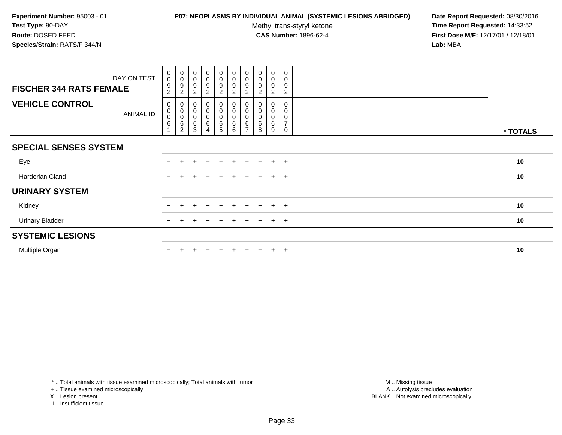# **P07: NEOPLASMS BY INDIVIDUAL ANIMAL (SYSTEMIC LESIONS ABRIDGED) Date Report Requested:** 08/30/2016

Methyl trans-styryl ketone<br>CAS Number: 1896-62-4

 **Time Report Requested:** 14:33:52 **First Dose M/F:** 12/17/01 / 12/18/01<br>**Lab:** MBA **Lab:** MBA

| DAY ON TEST                                | 0<br>$\mathbf 0$                 | $_{\rm 0}^{\rm 0}$                                                           | $_{\rm 0}^{\rm 0}$                                                | $\begin{smallmatrix}0\0\0\end{smallmatrix}$  | $_{0}^{0}$                             | $_0^0$                                 | $_{\rm 0}^{\rm 0}$    | $\begin{smallmatrix} 0\\0 \end{smallmatrix}$ | $\begin{smallmatrix} 0\\0 \end{smallmatrix}$ | 0<br>0                        |          |
|--------------------------------------------|----------------------------------|------------------------------------------------------------------------------|-------------------------------------------------------------------|----------------------------------------------|----------------------------------------|----------------------------------------|-----------------------|----------------------------------------------|----------------------------------------------|-------------------------------|----------|
| <b>FISCHER 344 RATS FEMALE</b>             | 9<br>$\overline{c}$              | $\boldsymbol{9}$<br>$\overline{c}$                                           | $\boldsymbol{9}$<br>$\overline{c}$                                | 9<br>$\overline{2}$                          | $\boldsymbol{9}$<br>$\boldsymbol{2}$   | 9<br>$\overline{2}$                    | 9<br>$\overline{2}$   | $\boldsymbol{9}$<br>$\overline{2}$           | $\boldsymbol{9}$<br>$\overline{2}$           | 9<br>$\overline{2}$           |          |
| <b>VEHICLE CONTROL</b><br><b>ANIMAL ID</b> | 0<br>$\pmb{0}$<br>$\pmb{0}$<br>6 | 0<br>$\begin{smallmatrix} 0\\0 \end{smallmatrix}$<br>$\,6$<br>$\overline{c}$ | $\pmb{0}$<br>$\begin{smallmatrix}0\\0\end{smallmatrix}$<br>6<br>3 | 0<br>0<br>$\mathbf 0$<br>6<br>$\overline{4}$ | $\pmb{0}$<br>$\mathbf 0$<br>$\,6$<br>5 | 0<br>$\pmb{0}$<br>$\mbox{O}$<br>6<br>6 | 0<br>$\mathbf 0$<br>6 | 0<br>$\pmb{0}$<br>$\pmb{0}$<br>$\,6$<br>8    | 0<br>$\pmb{0}$<br>$\pmb{0}$<br>$\,6\,$<br>9  | 0<br>0<br>$\overline{ }$<br>0 | * TOTALS |
| <b>SPECIAL SENSES SYSTEM</b>               |                                  |                                                                              |                                                                   |                                              |                                        |                                        |                       |                                              |                                              |                               |          |
| Eye                                        | $+$                              |                                                                              | $\div$                                                            | $\div$                                       | $\pm$                                  | $+$                                    | $\pm$                 | $\pm$                                        | $\pm$                                        | $+$                           | 10       |
| Harderian Gland                            | $+$                              |                                                                              |                                                                   | $\pm$                                        |                                        | $+$                                    | $+$                   | $+$                                          | $+$                                          | $+$                           | 10       |
| <b>URINARY SYSTEM</b>                      |                                  |                                                                              |                                                                   |                                              |                                        |                                        |                       |                                              |                                              |                               |          |
| Kidney                                     |                                  |                                                                              |                                                                   | $\div$                                       |                                        |                                        |                       |                                              | $\pm$                                        | $+$                           | 10       |
| <b>Urinary Bladder</b>                     | $+$                              |                                                                              | $\div$                                                            | $\pm$                                        | $+$                                    | $+$                                    | $\ddot{}$             | $+$                                          | $+$                                          | $+$                           | 10       |
| <b>SYSTEMIC LESIONS</b>                    |                                  |                                                                              |                                                                   |                                              |                                        |                                        |                       |                                              |                                              |                               |          |
| Multiple Organ                             |                                  |                                                                              |                                                                   |                                              |                                        |                                        |                       |                                              | $\ddot{}$                                    | $+$                           | 10       |

\* .. Total animals with tissue examined microscopically; Total animals with tumor

+ .. Tissue examined microscopically

- X .. Lesion present
- I .. Insufficient tissue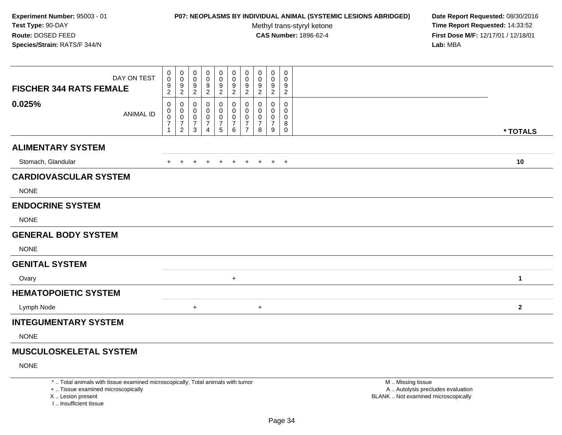# **P07: NEOPLASMS BY INDIVIDUAL ANIMAL (SYSTEMIC LESIONS ABRIDGED) Date Report Requested:** 08/30/2016

Methyl trans-styryl ketone<br>CAS Number: 1896-62-4

 **Time Report Requested:** 14:33:52 **First Dose M/F:** 12/17/01 / 12/18/01<br>**Lab:** MBA **Lab:** MBA

| <b>FISCHER 344 RATS FEMALE</b> | DAY ON TEST      | 0<br>$\pmb{0}$<br>$\frac{9}{2}$                 | 0<br>0<br>$\frac{9}{2}$                           | 0<br>0<br>9<br>$\overline{c}$      | 0<br>0<br>9<br>$\overline{2}$                   | 0<br>0<br>$\frac{9}{2}$            | 0<br>$\pmb{0}$<br>$\frac{9}{2}$              | 0<br>$\mathbf 0$<br>$\frac{9}{2}$               | 0<br>0<br>$\frac{9}{2}$            | 0<br>0<br>$\frac{9}{2}$            | 0<br>0<br>9<br>$\overline{c}$           |              |
|--------------------------------|------------------|-------------------------------------------------|---------------------------------------------------|------------------------------------|-------------------------------------------------|------------------------------------|----------------------------------------------|-------------------------------------------------|------------------------------------|------------------------------------|-----------------------------------------|--------------|
| 0.025%                         | <b>ANIMAL ID</b> | 0<br>0<br>$\mathsf{O}\xspace$<br>$\overline{7}$ | 0<br>0<br>0<br>$\boldsymbol{7}$<br>$\overline{c}$ | 0<br>0<br>0<br>$\overline{7}$<br>3 | 0<br>0<br>0<br>$\overline{7}$<br>$\overline{4}$ | 0<br>0<br>0<br>$\overline{7}$<br>5 | 0<br>0<br>$\pmb{0}$<br>$\boldsymbol{7}$<br>6 | 0<br>0<br>0<br>$\overline{7}$<br>$\overline{7}$ | 0<br>0<br>0<br>$\overline{7}$<br>8 | 0<br>0<br>0<br>$\overline{7}$<br>9 | 0<br>0<br>0<br>8<br>$\mathsf{O}\xspace$ | * TOTALS     |
| <b>ALIMENTARY SYSTEM</b>       |                  |                                                 |                                                   |                                    |                                                 |                                    |                                              |                                                 |                                    |                                    |                                         |              |
| Stomach, Glandular             |                  |                                                 |                                                   |                                    |                                                 |                                    |                                              |                                                 |                                    | $+$                                | $+$                                     | 10           |
| <b>CARDIOVASCULAR SYSTEM</b>   |                  |                                                 |                                                   |                                    |                                                 |                                    |                                              |                                                 |                                    |                                    |                                         |              |
| <b>NONE</b>                    |                  |                                                 |                                                   |                                    |                                                 |                                    |                                              |                                                 |                                    |                                    |                                         |              |
| <b>ENDOCRINE SYSTEM</b>        |                  |                                                 |                                                   |                                    |                                                 |                                    |                                              |                                                 |                                    |                                    |                                         |              |
| <b>NONE</b>                    |                  |                                                 |                                                   |                                    |                                                 |                                    |                                              |                                                 |                                    |                                    |                                         |              |
| <b>GENERAL BODY SYSTEM</b>     |                  |                                                 |                                                   |                                    |                                                 |                                    |                                              |                                                 |                                    |                                    |                                         |              |
| <b>NONE</b>                    |                  |                                                 |                                                   |                                    |                                                 |                                    |                                              |                                                 |                                    |                                    |                                         |              |
| <b>GENITAL SYSTEM</b>          |                  |                                                 |                                                   |                                    |                                                 |                                    |                                              |                                                 |                                    |                                    |                                         |              |
| Ovary                          |                  |                                                 |                                                   |                                    |                                                 |                                    | $+$                                          |                                                 |                                    |                                    |                                         | $\mathbf{1}$ |
| <b>HEMATOPOIETIC SYSTEM</b>    |                  |                                                 |                                                   |                                    |                                                 |                                    |                                              |                                                 |                                    |                                    |                                         |              |
| Lymph Node                     |                  |                                                 |                                                   | $\ddot{}$                          |                                                 |                                    |                                              |                                                 | $+$                                |                                    |                                         | $\mathbf{2}$ |
| <b>INTEGUMENTARY SYSTEM</b>    |                  |                                                 |                                                   |                                    |                                                 |                                    |                                              |                                                 |                                    |                                    |                                         |              |
| <b>NONE</b>                    |                  |                                                 |                                                   |                                    |                                                 |                                    |                                              |                                                 |                                    |                                    |                                         |              |
| <b>MUSCULOSKELETAL SYSTEM</b>  |                  |                                                 |                                                   |                                    |                                                 |                                    |                                              |                                                 |                                    |                                    |                                         |              |

NONE

\* .. Total animals with tissue examined microscopically; Total animals with tumor

+ .. Tissue examined microscopically

X .. Lesion present

I .. Insufficient tissue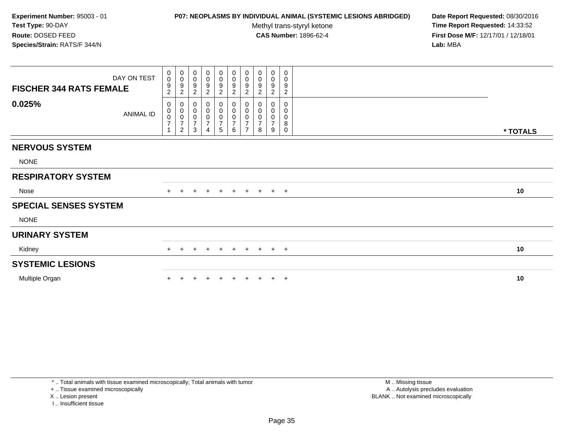# **P07: NEOPLASMS BY INDIVIDUAL ANIMAL (SYSTEMIC LESIONS ABRIDGED) Date Report Requested:** 08/30/2016

Methyl trans-styryl ketone<br>CAS Number: 1896-62-4

 **Time Report Requested:** 14:33:52 **First Dose M/F:** 12/17/01 / 12/18/01<br>**Lab:** MBA **Lab:** MBA

| <b>FISCHER 344 RATS FEMALE</b> | DAY ON TEST      | $_0^0$<br>9<br>$\overline{c}$                  | $\begin{smallmatrix}0\\0\end{smallmatrix}$<br>$9\,$<br>$\boldsymbol{2}$ | 0<br>$\pmb{0}$<br>9<br>$\overline{2}$              | $\pmb{0}$<br>$\mathbf 0$<br>9<br>$\overline{c}$ | $\pmb{0}$<br>$\mathbf 0$<br>$\boldsymbol{9}$<br>$\overline{2}$   | $\mathbf 0$<br>$\pmb{0}$<br>$\frac{9}{2}$ | $\begin{smallmatrix}0\\0\end{smallmatrix}$<br>$\boldsymbol{9}$<br>$\sqrt{2}$ | 0<br>0<br>9<br>$\overline{c}$              | $\boldsymbol{0}$<br>$\mathbf 0$<br>9<br>2         | 0<br>0<br>9<br>$\overline{c}$   |          |
|--------------------------------|------------------|------------------------------------------------|-------------------------------------------------------------------------|----------------------------------------------------|-------------------------------------------------|------------------------------------------------------------------|-------------------------------------------|------------------------------------------------------------------------------|--------------------------------------------|---------------------------------------------------|---------------------------------|----------|
| 0.025%                         | <b>ANIMAL ID</b> | 0<br>$\begin{matrix} 0 \\ 0 \\ 7 \end{matrix}$ | $\pmb{0}$<br>$\begin{matrix} 0 \\ 0 \\ 7 \end{matrix}$<br>$\sqrt{2}$    | 0<br>$\pmb{0}$<br>$\pmb{0}$<br>$\overline{7}$<br>3 | $\mathbf 0$<br>$\pmb{0}$<br>$\overline{7}$      | 0<br>$\pmb{0}$<br>$\pmb{0}$<br>$\overline{7}$<br>$5\phantom{.0}$ | 0<br>0<br>$\frac{0}{7}$<br>6              | $\pmb{0}$<br>$\overline{0}$<br>0<br>$\overline{7}$<br>$\overline{ }$         | 0<br>0<br>$\pmb{0}$<br>$\overline{7}$<br>8 | 0<br>0<br>$\boldsymbol{0}$<br>$\overline{7}$<br>9 | 0<br>0<br>0<br>8<br>$\mathbf 0$ | * TOTALS |
| <b>NERVOUS SYSTEM</b>          |                  |                                                |                                                                         |                                                    |                                                 |                                                                  |                                           |                                                                              |                                            |                                                   |                                 |          |
| <b>NONE</b>                    |                  |                                                |                                                                         |                                                    |                                                 |                                                                  |                                           |                                                                              |                                            |                                                   |                                 |          |
| <b>RESPIRATORY SYSTEM</b>      |                  |                                                |                                                                         |                                                    |                                                 |                                                                  |                                           |                                                                              |                                            |                                                   |                                 |          |
| Nose                           |                  |                                                |                                                                         | ÷                                                  | $\pm$                                           | $+$                                                              | $+$                                       | $+$                                                                          | $+$                                        |                                                   | $+$ $+$                         | 10       |
| <b>SPECIAL SENSES SYSTEM</b>   |                  |                                                |                                                                         |                                                    |                                                 |                                                                  |                                           |                                                                              |                                            |                                                   |                                 |          |
| <b>NONE</b>                    |                  |                                                |                                                                         |                                                    |                                                 |                                                                  |                                           |                                                                              |                                            |                                                   |                                 |          |
| <b>URINARY SYSTEM</b>          |                  |                                                |                                                                         |                                                    |                                                 |                                                                  |                                           |                                                                              |                                            |                                                   |                                 |          |
| Kidney                         |                  | $+$                                            | $\pm$                                                                   | $\pm$                                              | $\pm$                                           | $+$                                                              | $+$                                       | $+$                                                                          | $+$                                        |                                                   | $+$ $+$                         | 10       |
| <b>SYSTEMIC LESIONS</b>        |                  |                                                |                                                                         |                                                    |                                                 |                                                                  |                                           |                                                                              |                                            |                                                   |                                 |          |
| Multiple Organ                 |                  |                                                |                                                                         |                                                    |                                                 |                                                                  |                                           |                                                                              |                                            |                                                   | $\overline{ }$                  | 10       |

\* .. Total animals with tissue examined microscopically; Total animals with tumor

+ .. Tissue examined microscopically

X .. Lesion present

I .. Insufficient tissue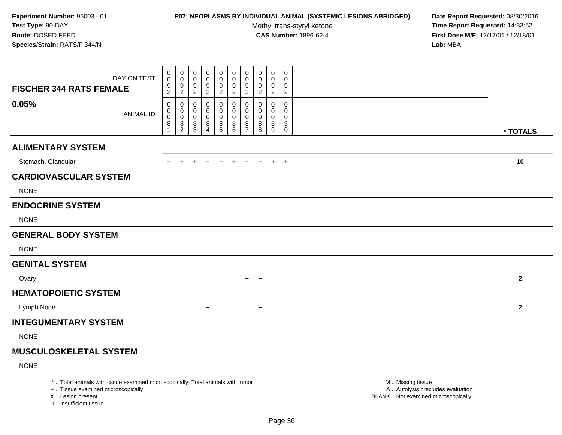# **P07: NEOPLASMS BY INDIVIDUAL ANIMAL (SYSTEMIC LESIONS ABRIDGED) Date Report Requested:** 08/30/2016

Methyl trans-styryl ketone<br>CAS Number: 1896-62-4

 **Time Report Requested:** 14:33:52 **First Dose M/F:** 12/17/01 / 12/18/01<br>**Lab:** MBA **Lab:** MBA

| DAY ON TEST<br><b>FISCHER 344 RATS FEMALE</b><br>0.05% | 0<br>$\mathbf 0$<br>9<br>$\sqrt{2}$ | $\mathbf 0$<br>0<br>9<br>$\sqrt{2}$                                   | 0<br>0<br>9<br>$\overline{c}$            | 0<br>0<br>9<br>2      | 0<br>0<br>9<br>$\boldsymbol{2}$ | 0<br>0<br>9<br>$\boldsymbol{2}$ | $\pmb{0}$<br>0<br>9<br>$\sqrt{2}$  | 0<br>0<br>9<br>$\overline{2}$ | 0<br>0<br>9<br>$\overline{2}$   | 0<br>0<br>9<br>$\overline{2}$<br>0 |              |
|--------------------------------------------------------|-------------------------------------|-----------------------------------------------------------------------|------------------------------------------|-----------------------|---------------------------------|---------------------------------|------------------------------------|-------------------------------|---------------------------------|------------------------------------|--------------|
| <b>ANIMAL ID</b>                                       | 0<br>0<br>$\pmb{0}$<br>8<br>1       | 0<br>0<br>$\pmb{0}$<br>$\begin{smallmatrix} 8 \\ 2 \end{smallmatrix}$ | 0<br>0<br>$\mathbf 0$<br>8<br>$\sqrt{3}$ | 0<br>0<br>0<br>8<br>4 | 0<br>0<br>0<br>8<br>5           | 0<br>0<br>0<br>8<br>6           | 0<br>0<br>0<br>8<br>$\overline{7}$ | 0<br>0<br>0<br>8<br>8         | 0<br>$\mathbf 0$<br>0<br>8<br>9 | 0<br>0<br>9<br>$\mathsf 0$         | * TOTALS     |
| <b>ALIMENTARY SYSTEM</b>                               |                                     |                                                                       |                                          |                       |                                 |                                 |                                    |                               |                                 |                                    |              |
| Stomach, Glandular                                     | $+$                                 | $\ddot{}$                                                             | $\ddot{}$                                | $\ddot{}$             | $\ddot{}$                       | $+$                             | $\pm$                              | $+$                           | $+$ $+$                         |                                    | 10           |
| <b>CARDIOVASCULAR SYSTEM</b>                           |                                     |                                                                       |                                          |                       |                                 |                                 |                                    |                               |                                 |                                    |              |
| <b>NONE</b>                                            |                                     |                                                                       |                                          |                       |                                 |                                 |                                    |                               |                                 |                                    |              |
| <b>ENDOCRINE SYSTEM</b>                                |                                     |                                                                       |                                          |                       |                                 |                                 |                                    |                               |                                 |                                    |              |
| <b>NONE</b>                                            |                                     |                                                                       |                                          |                       |                                 |                                 |                                    |                               |                                 |                                    |              |
| <b>GENERAL BODY SYSTEM</b>                             |                                     |                                                                       |                                          |                       |                                 |                                 |                                    |                               |                                 |                                    |              |
| <b>NONE</b>                                            |                                     |                                                                       |                                          |                       |                                 |                                 |                                    |                               |                                 |                                    |              |
| <b>GENITAL SYSTEM</b>                                  |                                     |                                                                       |                                          |                       |                                 |                                 |                                    |                               |                                 |                                    |              |
| Ovary                                                  |                                     |                                                                       |                                          |                       |                                 |                                 | $+$                                | $\ddot{}$                     |                                 |                                    | $\mathbf{2}$ |
| <b>HEMATOPOIETIC SYSTEM</b>                            |                                     |                                                                       |                                          |                       |                                 |                                 |                                    |                               |                                 |                                    |              |
| Lymph Node                                             |                                     |                                                                       |                                          | $+$                   |                                 |                                 |                                    | $+$                           |                                 |                                    | $\mathbf{2}$ |
| <b>INTEGUMENTARY SYSTEM</b>                            |                                     |                                                                       |                                          |                       |                                 |                                 |                                    |                               |                                 |                                    |              |
| <b>NONE</b>                                            |                                     |                                                                       |                                          |                       |                                 |                                 |                                    |                               |                                 |                                    |              |
| <b>MUSCULOSKELETAL SYSTEM</b>                          |                                     |                                                                       |                                          |                       |                                 |                                 |                                    |                               |                                 |                                    |              |
| <b>NONE</b>                                            |                                     |                                                                       |                                          |                       |                                 |                                 |                                    |                               |                                 |                                    |              |

\* .. Total animals with tissue examined microscopically; Total animals with tumor

+ .. Tissue examined microscopically

X .. Lesion present

I .. Insufficient tissue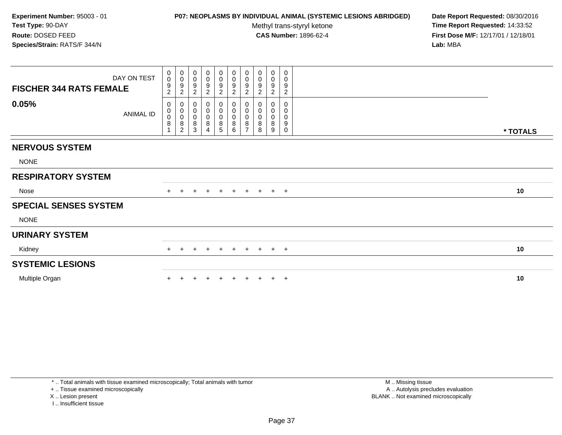# **P07: NEOPLASMS BY INDIVIDUAL ANIMAL (SYSTEMIC LESIONS ABRIDGED) Date Report Requested:** 08/30/2016

Methyl trans-styryl ketone<br>CAS Number: 1896-62-4

| DAY ON TEST<br><b>FISCHER 344 RATS FEMALE</b> | $\begin{smallmatrix}0\0\0\end{smallmatrix}$<br>9<br>$\overline{c}$ | $\begin{smallmatrix}0\\0\end{smallmatrix}$<br>$\overline{9}$<br>$\sqrt{2}$ | $\pmb{0}$<br>$\pmb{0}$<br>9<br>$\overline{c}$ | $_{\rm 0}^{\rm 0}$<br>9<br>$\overline{c}$ | $\begin{smallmatrix}0\0\0\9\end{smallmatrix}$<br>$\overline{2}$ | 0<br>$\begin{array}{c} 0 \\ 9 \\ 2 \end{array}$ | $\begin{smallmatrix}0\0\0\9\end{smallmatrix}$<br>$\sqrt{2}$     | 0<br>$\pmb{0}$<br>9<br>$\sqrt{2}$ | $\boldsymbol{0}$<br>$\pmb{0}$<br>9<br>$\overline{c}$ | 0<br>$\mathbf 0$<br>9<br>$\overline{c}$ |          |
|-----------------------------------------------|--------------------------------------------------------------------|----------------------------------------------------------------------------|-----------------------------------------------|-------------------------------------------|-----------------------------------------------------------------|-------------------------------------------------|-----------------------------------------------------------------|-----------------------------------|------------------------------------------------------|-----------------------------------------|----------|
| 0.05%<br>ANIMAL ID                            | 0<br>0<br>$\mathsf 0$<br>8                                         | $\mathbf 0$<br>$\begin{matrix} 0 \\ 0 \\ 8 \end{matrix}$<br>$\overline{2}$ | 0<br>$\pmb{0}$<br>$\pmb{0}$<br>8<br>3         | $\boldsymbol{0}$<br>0<br>8                | 0<br>$\pmb{0}$<br>$\pmb{0}$<br>$\bf 8$<br>5                     | 0<br>0<br>0<br>8<br>6                           | $\begin{matrix}0\\0\\0\end{matrix}$<br>$\, 8$<br>$\overline{ }$ | 0<br>0<br>$\pmb{0}$<br>8<br>8     | 0<br>0<br>0<br>8<br>9                                | 0<br>0<br>$\mathbf 0$<br>9<br>0         | * TOTALS |
| <b>NERVOUS SYSTEM</b>                         |                                                                    |                                                                            |                                               |                                           |                                                                 |                                                 |                                                                 |                                   |                                                      |                                         |          |
| <b>NONE</b>                                   |                                                                    |                                                                            |                                               |                                           |                                                                 |                                                 |                                                                 |                                   |                                                      |                                         |          |
| <b>RESPIRATORY SYSTEM</b>                     |                                                                    |                                                                            |                                               |                                           |                                                                 |                                                 |                                                                 |                                   |                                                      |                                         |          |
| Nose                                          | $+$                                                                | $+$                                                                        | $\ddot{}$                                     | $+$                                       | $+$                                                             | $+$                                             |                                                                 | $+ + + +$                         |                                                      |                                         | 10       |
| <b>SPECIAL SENSES SYSTEM</b>                  |                                                                    |                                                                            |                                               |                                           |                                                                 |                                                 |                                                                 |                                   |                                                      |                                         |          |
| <b>NONE</b>                                   |                                                                    |                                                                            |                                               |                                           |                                                                 |                                                 |                                                                 |                                   |                                                      |                                         |          |
| <b>URINARY SYSTEM</b>                         |                                                                    |                                                                            |                                               |                                           |                                                                 |                                                 |                                                                 |                                   |                                                      |                                         |          |
| Kidney                                        | $+$                                                                | $+$                                                                        | $\pm$                                         | $+$                                       | $+$                                                             |                                                 | + + + + +                                                       |                                   |                                                      |                                         | 10       |
| <b>SYSTEMIC LESIONS</b>                       |                                                                    |                                                                            |                                               |                                           |                                                                 |                                                 |                                                                 |                                   |                                                      |                                         |          |
| Multiple Organ                                |                                                                    |                                                                            |                                               |                                           |                                                                 |                                                 |                                                                 |                                   |                                                      | $\pm$                                   | 10       |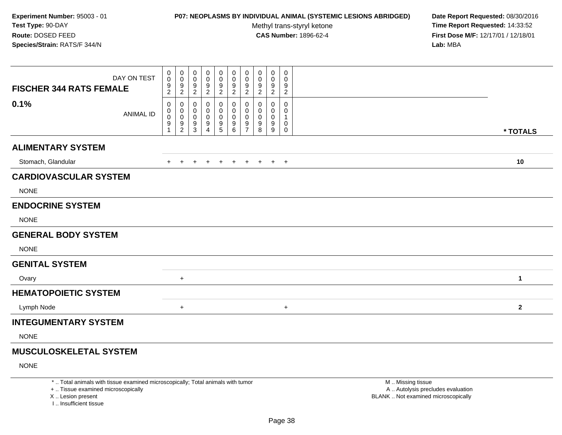# **P07: NEOPLASMS BY INDIVIDUAL ANIMAL (SYSTEMIC LESIONS ABRIDGED) Date Report Requested:** 08/30/2016

Methyl trans-styryl ketone<br>CAS Number: 1896-62-4

 **Time Report Requested:** 14:33:52 **First Dose M/F:** 12/17/01 / 12/18/01<br>**Lab:** MBA **Lab:** MBA

| <b>FISCHER 344 RATS FEMALE</b> | DAY ON TEST      | 0<br>0<br>9<br>$\overline{2}$ | $\mathbf 0$<br>$\mathbf 0$<br>$\boldsymbol{9}$<br>$\overline{2}$ | 0<br>0<br>9<br>$\overline{2}$ | 0<br>0<br>9<br>$\boldsymbol{2}$    | 0<br>0<br>$\frac{9}{2}$      | 0<br>0<br>$\frac{9}{2}$                              | 0<br>$\mathbf 0$<br>$\frac{9}{2}$                           | 0<br>0<br>9<br>$\sqrt{2}$ | $\mathbf 0$<br>0<br>9<br>$\overline{2}$ | 0<br>0<br>9<br>$\overline{a}$ |              |
|--------------------------------|------------------|-------------------------------|------------------------------------------------------------------|-------------------------------|------------------------------------|------------------------------|------------------------------------------------------|-------------------------------------------------------------|---------------------------|-----------------------------------------|-------------------------------|--------------|
| 0.1%                           | <b>ANIMAL ID</b> | 0<br>0<br>0<br>9              | 0<br>0<br>$\mathbf 0$<br>$\boldsymbol{9}$<br>$\overline{c}$      | 0<br>0<br>0<br>9<br>3         | 0<br>0<br>0<br>9<br>$\overline{4}$ | 0<br>0<br>0<br>$\frac{9}{5}$ | 0<br>0<br>0<br>$\begin{array}{c} 9 \\ 6 \end{array}$ | 0<br>$\mathbf 0$<br>0<br>$\boldsymbol{9}$<br>$\overline{7}$ | 0<br>0<br>0<br>9<br>8     | 0<br>0<br>0<br>9<br>9                   | 0<br>0<br>0<br>$\mathbf 0$    | * TOTALS     |
| <b>ALIMENTARY SYSTEM</b>       |                  |                               |                                                                  |                               |                                    |                              |                                                      |                                                             |                           |                                         |                               |              |
| Stomach, Glandular             |                  | $+$                           |                                                                  |                               |                                    | $\overline{+}$               | $\ddot{}$                                            | $+$                                                         | $+$                       |                                         | $+$ $+$                       | 10           |
| <b>CARDIOVASCULAR SYSTEM</b>   |                  |                               |                                                                  |                               |                                    |                              |                                                      |                                                             |                           |                                         |                               |              |
| <b>NONE</b>                    |                  |                               |                                                                  |                               |                                    |                              |                                                      |                                                             |                           |                                         |                               |              |
| <b>ENDOCRINE SYSTEM</b>        |                  |                               |                                                                  |                               |                                    |                              |                                                      |                                                             |                           |                                         |                               |              |
| <b>NONE</b>                    |                  |                               |                                                                  |                               |                                    |                              |                                                      |                                                             |                           |                                         |                               |              |
| <b>GENERAL BODY SYSTEM</b>     |                  |                               |                                                                  |                               |                                    |                              |                                                      |                                                             |                           |                                         |                               |              |
| <b>NONE</b>                    |                  |                               |                                                                  |                               |                                    |                              |                                                      |                                                             |                           |                                         |                               |              |
| <b>GENITAL SYSTEM</b>          |                  |                               |                                                                  |                               |                                    |                              |                                                      |                                                             |                           |                                         |                               |              |
| Ovary                          |                  |                               | $+$                                                              |                               |                                    |                              |                                                      |                                                             |                           |                                         |                               | $\mathbf{1}$ |
| <b>HEMATOPOIETIC SYSTEM</b>    |                  |                               |                                                                  |                               |                                    |                              |                                                      |                                                             |                           |                                         |                               |              |
| Lymph Node                     |                  |                               | $\ddot{}$                                                        |                               |                                    |                              |                                                      |                                                             |                           |                                         | $+$                           | $\mathbf{2}$ |
| <b>INTEGUMENTARY SYSTEM</b>    |                  |                               |                                                                  |                               |                                    |                              |                                                      |                                                             |                           |                                         |                               |              |
| <b>NONE</b>                    |                  |                               |                                                                  |                               |                                    |                              |                                                      |                                                             |                           |                                         |                               |              |
| <b>MUSCULOSKELETAL SYSTEM</b>  |                  |                               |                                                                  |                               |                                    |                              |                                                      |                                                             |                           |                                         |                               |              |

## NONE

\* .. Total animals with tissue examined microscopically; Total animals with tumor

+ .. Tissue examined microscopically

X .. Lesion present

I .. Insufficient tissue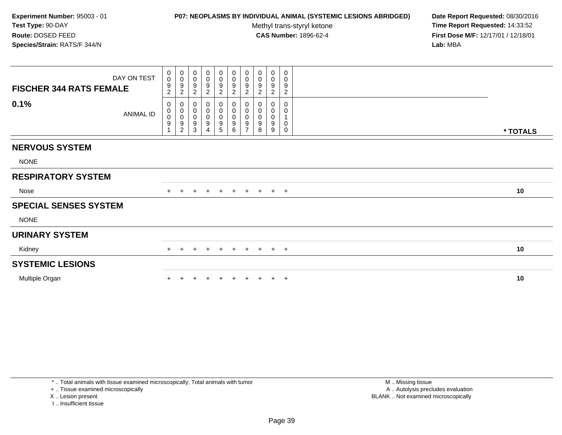# **P07: NEOPLASMS BY INDIVIDUAL ANIMAL (SYSTEMIC LESIONS ABRIDGED) Date Report Requested:** 08/30/2016

Methyl trans-styryl ketone<br>CAS Number: 1896-62-4

| DAY ON TEST<br><b>FISCHER 344 RATS FEMALE</b> | $\begin{smallmatrix}0\0\0\end{smallmatrix}$<br>9<br>$\overline{c}$ | $\begin{smallmatrix}0\\0\end{smallmatrix}$<br>$\frac{9}{2}$  | $\pmb{0}$<br>$\pmb{0}$<br>9<br>$\overline{c}$ | $_{\rm 0}^{\rm 0}$<br>9<br>$\overline{2}$ | $\begin{smallmatrix}0\0\0\9\end{smallmatrix}$<br>$\overline{2}$        | 0<br>$\begin{array}{c} 0 \\ 9 \\ 2 \end{array}$ | $\begin{array}{c} 0 \\ 0 \\ 9 \\ 2 \end{array}$                           | 0<br>$\pmb{0}$<br>9<br>$\sqrt{2}$ | $\boldsymbol{0}$<br>$\pmb{0}$<br>$\boldsymbol{9}$<br>$\overline{c}$ | 0<br>$\mathbf 0$<br>9<br>$\overline{c}$ |          |
|-----------------------------------------------|--------------------------------------------------------------------|--------------------------------------------------------------|-----------------------------------------------|-------------------------------------------|------------------------------------------------------------------------|-------------------------------------------------|---------------------------------------------------------------------------|-----------------------------------|---------------------------------------------------------------------|-----------------------------------------|----------|
| 0.1%<br>ANIMAL ID                             | 0<br>$\mathbf 0$<br>$\ddot{\mathbf{0}}$<br>9                       | $\pmb{0}$<br>$\begin{array}{c} 0 \\ 0 \\ 9 \\ 2 \end{array}$ | 0<br>$\pmb{0}$<br>$\pmb{0}$<br>9<br>3         | 0<br>$\mathbf 0$<br>9                     | 0<br>$\pmb{0}$<br>$\mathbf 0$<br>$\begin{array}{c} 9 \\ 5 \end{array}$ | 0<br>0<br>0<br>9<br>6                           | $\begin{matrix}0\\0\\0\end{matrix}$<br>$\boldsymbol{9}$<br>$\overline{ }$ | 0<br>0<br>$\pmb{0}$<br>9<br>8     | 0<br>0<br>$\pmb{0}$<br>9<br>9                                       | 0<br>0<br>$\mathbf 0$<br>0              | * TOTALS |
| <b>NERVOUS SYSTEM</b>                         |                                                                    |                                                              |                                               |                                           |                                                                        |                                                 |                                                                           |                                   |                                                                     |                                         |          |
| <b>NONE</b>                                   |                                                                    |                                                              |                                               |                                           |                                                                        |                                                 |                                                                           |                                   |                                                                     |                                         |          |
| <b>RESPIRATORY SYSTEM</b>                     |                                                                    |                                                              |                                               |                                           |                                                                        |                                                 |                                                                           |                                   |                                                                     |                                         |          |
| Nose                                          | $+$                                                                | $+$                                                          | $\ddot{}$                                     | $+$                                       | $+$                                                                    | $+$                                             |                                                                           |                                   | $+ + + +$                                                           |                                         | 10       |
| <b>SPECIAL SENSES SYSTEM</b>                  |                                                                    |                                                              |                                               |                                           |                                                                        |                                                 |                                                                           |                                   |                                                                     |                                         |          |
| <b>NONE</b>                                   |                                                                    |                                                              |                                               |                                           |                                                                        |                                                 |                                                                           |                                   |                                                                     |                                         |          |
| <b>URINARY SYSTEM</b>                         |                                                                    |                                                              |                                               |                                           |                                                                        |                                                 |                                                                           |                                   |                                                                     |                                         |          |
| Kidney                                        | $+$                                                                | $+$                                                          | $\pm$                                         | $+$                                       | $+$                                                                    |                                                 | + + + + +                                                                 |                                   |                                                                     |                                         | 10       |
| <b>SYSTEMIC LESIONS</b>                       |                                                                    |                                                              |                                               |                                           |                                                                        |                                                 |                                                                           |                                   |                                                                     |                                         |          |
| Multiple Organ                                |                                                                    |                                                              |                                               |                                           |                                                                        |                                                 |                                                                           |                                   |                                                                     | $\pm$                                   | 10       |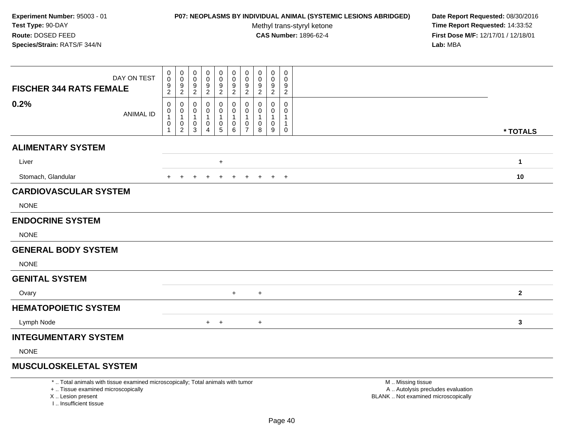#### **P07: NEOPLASMS BY INDIVIDUAL ANIMAL (SYSTEMIC LESIONS ABRIDGED) Date Report Requested:** 08/30/2016

Methyl trans-styryl ketone<br>CAS Number: 1896-62-4

 **Time Report Requested:** 14:33:52 **First Dose M/F:** 12/17/01 / 12/18/01<br>**Lab:** MBA **Lab:** MBA

| DAY ON TEST<br><b>FISCHER 344 RATS FEMALE</b> | $\mathbf 0$<br>$\pmb{0}$      | 0<br>$\pmb{0}$                                    | 0<br>0<br>9      | 0<br>0                           | 0<br>0                                   | 0<br>0           | 0<br>0                                                                        | 0<br>0<br>9      | 0<br>0<br>9                     | 0<br>0<br>9    |                         |
|-----------------------------------------------|-------------------------------|---------------------------------------------------|------------------|----------------------------------|------------------------------------------|------------------|-------------------------------------------------------------------------------|------------------|---------------------------------|----------------|-------------------------|
|                                               | $\frac{9}{2}$                 | $\frac{9}{2}$                                     | $\overline{c}$   | $\frac{9}{2}$                    | $\frac{9}{2}$                            | $\frac{9}{2}$    | $\frac{9}{2}$                                                                 | $\overline{2}$   | $\overline{2}$                  | $\overline{c}$ |                         |
| 0.2%<br><b>ANIMAL ID</b>                      | 0<br>0<br>$\overline{1}$<br>0 | 0<br>0<br>$\mathbf{1}$<br>$\pmb{0}$<br>$\sqrt{2}$ | 0<br>0<br>0<br>3 | 0<br>0<br>$\mathbf{1}$<br>0<br>4 | 0<br>0<br>$\mathbf{1}$<br>$\pmb{0}$<br>5 | 0<br>0<br>0<br>6 | 0<br>$\boldsymbol{0}$<br>$\overline{1}$<br>$\boldsymbol{0}$<br>$\overline{7}$ | 0<br>0<br>0<br>8 | 0<br>0<br>$\mathbf 1$<br>0<br>9 | 0<br>0<br>0    | * TOTALS                |
| <b>ALIMENTARY SYSTEM</b>                      |                               |                                                   |                  |                                  |                                          |                  |                                                                               |                  |                                 |                |                         |
| Liver                                         |                               |                                                   |                  |                                  | $+$                                      |                  |                                                                               |                  |                                 |                | $\mathbf{1}$            |
| Stomach, Glandular                            | $+$                           | $\ddot{}$                                         | $\ddot{}$        | $\ddot{}$                        | $+$                                      | $+$              | $+$                                                                           | $+$              | $+$ $+$                         |                | 10                      |
| <b>CARDIOVASCULAR SYSTEM</b>                  |                               |                                                   |                  |                                  |                                          |                  |                                                                               |                  |                                 |                |                         |
| <b>NONE</b>                                   |                               |                                                   |                  |                                  |                                          |                  |                                                                               |                  |                                 |                |                         |
| <b>ENDOCRINE SYSTEM</b>                       |                               |                                                   |                  |                                  |                                          |                  |                                                                               |                  |                                 |                |                         |
| <b>NONE</b>                                   |                               |                                                   |                  |                                  |                                          |                  |                                                                               |                  |                                 |                |                         |
| <b>GENERAL BODY SYSTEM</b>                    |                               |                                                   |                  |                                  |                                          |                  |                                                                               |                  |                                 |                |                         |
| <b>NONE</b>                                   |                               |                                                   |                  |                                  |                                          |                  |                                                                               |                  |                                 |                |                         |
| <b>GENITAL SYSTEM</b>                         |                               |                                                   |                  |                                  |                                          |                  |                                                                               |                  |                                 |                |                         |
| Ovary                                         |                               |                                                   |                  |                                  |                                          | $+$              |                                                                               | $+$              |                                 |                | $\overline{\mathbf{2}}$ |
| <b>HEMATOPOIETIC SYSTEM</b>                   |                               |                                                   |                  |                                  |                                          |                  |                                                                               |                  |                                 |                |                         |
| Lymph Node                                    |                               |                                                   |                  |                                  | $+$ $+$                                  |                  |                                                                               | $+$              |                                 |                | 3                       |
| <b>INTEGUMENTARY SYSTEM</b>                   |                               |                                                   |                  |                                  |                                          |                  |                                                                               |                  |                                 |                |                         |
| <b>NONE</b>                                   |                               |                                                   |                  |                                  |                                          |                  |                                                                               |                  |                                 |                |                         |

# **MUSCULOSKELETAL SYSTEM**

\* .. Total animals with tissue examined microscopically; Total animals with tumor

+ .. Tissue examined microscopically

X .. Lesion present

I .. Insufficient tissue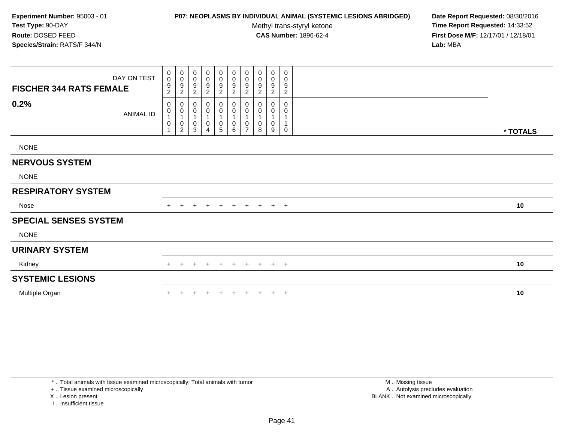# **P07: NEOPLASMS BY INDIVIDUAL ANIMAL (SYSTEMIC LESIONS ABRIDGED) Date Report Requested:** 08/30/2016

Methyl trans-styryl ketone<br>CAS Number: 1896-62-4

| <b>FISCHER 344 RATS FEMALE</b> | DAY ON TEST | $_{\rm 0}^{\rm 0}$<br>$\frac{9}{2}$                   | $\begin{smallmatrix}0\\0\end{smallmatrix}$<br>$\boldsymbol{9}$<br>$\sqrt{2}$ | 0<br>0<br>9<br>$\overline{c}$      | $\pmb{0}$<br>0<br>9<br>2                              | $_{\rm 0}^{\rm 0}$<br>9<br>2     | $\begin{smallmatrix}0\0\0\end{smallmatrix}$<br>$\boldsymbol{9}$<br>$\overline{2}$ | $\begin{smallmatrix}0\\0\end{smallmatrix}$<br>$\boldsymbol{9}$<br>$\overline{c}$ | $_{\rm 0}^{\rm 0}$<br>9<br>$\sqrt{2}$      | 0<br>$\pmb{0}$<br>$\boldsymbol{9}$<br>$\overline{2}$ | 0<br>0<br>9<br>$\overline{c}$ |          |  |
|--------------------------------|-------------|-------------------------------------------------------|------------------------------------------------------------------------------|------------------------------------|-------------------------------------------------------|----------------------------------|-----------------------------------------------------------------------------------|----------------------------------------------------------------------------------|--------------------------------------------|------------------------------------------------------|-------------------------------|----------|--|
| 0.2%                           | ANIMAL ID   | 0<br>0<br>$\mathbf{1}$<br>$\pmb{0}$<br>$\overline{A}$ | 0<br>$\pmb{0}$<br>$\mathbf{1}$<br>$\frac{0}{2}$                              | 0<br>0<br>$\overline{1}$<br>0<br>3 | 0<br>0<br>$\mathbf 1$<br>0<br>$\overline{\mathbf{4}}$ | 0<br>$\pmb{0}$<br>$\pmb{0}$<br>5 | 0<br>$\pmb{0}$<br>$\mathbf{1}$<br>$\pmb{0}$<br>6                                  | 0<br>$\pmb{0}$<br>0<br>$\overline{7}$                                            | 0<br>0<br>$\overline{1}$<br>$\pmb{0}$<br>8 | 0<br>0<br>$\mathbf{1}$<br>$\pmb{0}$<br>9             | 0<br>0<br>1<br>0              | * TOTALS |  |
| <b>NONE</b>                    |             |                                                       |                                                                              |                                    |                                                       |                                  |                                                                                   |                                                                                  |                                            |                                                      |                               |          |  |
| <b>NERVOUS SYSTEM</b>          |             |                                                       |                                                                              |                                    |                                                       |                                  |                                                                                   |                                                                                  |                                            |                                                      |                               |          |  |
| <b>NONE</b>                    |             |                                                       |                                                                              |                                    |                                                       |                                  |                                                                                   |                                                                                  |                                            |                                                      |                               |          |  |
| <b>RESPIRATORY SYSTEM</b>      |             |                                                       |                                                                              |                                    |                                                       |                                  |                                                                                   |                                                                                  |                                            |                                                      |                               |          |  |
| Nose                           |             | $+$                                                   |                                                                              |                                    | $+$                                                   | $+$                              | $+$                                                                               | $+$                                                                              | $+$                                        | $+$ $+$                                              |                               | 10       |  |
| <b>SPECIAL SENSES SYSTEM</b>   |             |                                                       |                                                                              |                                    |                                                       |                                  |                                                                                   |                                                                                  |                                            |                                                      |                               |          |  |
| <b>NONE</b>                    |             |                                                       |                                                                              |                                    |                                                       |                                  |                                                                                   |                                                                                  |                                            |                                                      |                               |          |  |
| <b>URINARY SYSTEM</b>          |             |                                                       |                                                                              |                                    |                                                       |                                  |                                                                                   |                                                                                  |                                            |                                                      |                               |          |  |
| Kidney                         |             | $+$                                                   | $\ddot{}$                                                                    | $\pm$                              | $+$                                                   | $+$                              | $+$                                                                               | $+$                                                                              |                                            | $+$ $+$ $+$                                          |                               | 10       |  |
| <b>SYSTEMIC LESIONS</b>        |             |                                                       |                                                                              |                                    |                                                       |                                  |                                                                                   |                                                                                  |                                            |                                                      |                               |          |  |
| Multiple Organ                 |             |                                                       |                                                                              |                                    |                                                       | $\ddot{}$                        | $+$                                                                               | $\ddot{}$                                                                        | $\ddot{}$                                  |                                                      | $+$ $+$                       | 10       |  |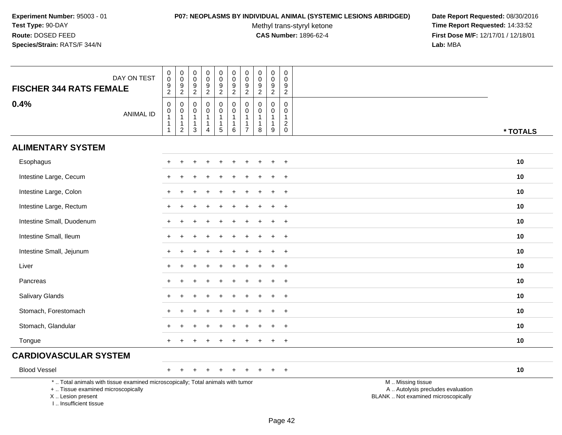### **P07: NEOPLASMS BY INDIVIDUAL ANIMAL (SYSTEMIC LESIONS ABRIDGED) Date Report Requested:** 08/30/2016

Methyl trans-styryl ketone<br>CAS Number: 1896-62-4

| <b>FISCHER 344 RATS FEMALE</b>                                                   | DAY ON TEST                                                                     | $\begin{smallmatrix}0\0\0\end{smallmatrix}$<br>9<br>$\overline{2}$ | $\pmb{0}$<br>$\frac{0}{9}$                                      | $\boldsymbol{0}$<br>$\mathsf{O}\xspace$<br>$\boldsymbol{9}$<br>$\overline{2}$ | $\pmb{0}$<br>$\mathbf 0$<br>9<br>$\overline{2}$                              | 0<br>$\mathbf 0$<br>$\boldsymbol{9}$<br>$\boldsymbol{2}$ | $_{\rm 0}^{\rm 0}$<br>$\overline{9}$<br>$\overline{2}$          | $\mathbf 0$<br>$\mathbf 0$<br>9<br>$\overline{2}$                            | $\pmb{0}$<br>$\pmb{0}$<br>$\boldsymbol{9}$<br>$\overline{2}$ | $\pmb{0}$<br>$\ddot{\mathbf{0}}$<br>$\boldsymbol{9}$<br>$\overline{2}$ | $\mathbf 0$<br>$\mathbf 0$<br>9<br>$\sqrt{2}$                |                                                                                               |
|----------------------------------------------------------------------------------|---------------------------------------------------------------------------------|--------------------------------------------------------------------|-----------------------------------------------------------------|-------------------------------------------------------------------------------|------------------------------------------------------------------------------|----------------------------------------------------------|-----------------------------------------------------------------|------------------------------------------------------------------------------|--------------------------------------------------------------|------------------------------------------------------------------------|--------------------------------------------------------------|-----------------------------------------------------------------------------------------------|
| 0.4%                                                                             | <b>ANIMAL ID</b>                                                                | $\mathbf 0$<br>0<br>$\mathbf{1}$<br>$\overline{1}$<br>1            | $\mathbf 0$<br>$\pmb{0}$<br>$\mathbf{1}$<br>1<br>$\overline{c}$ | $\mathbf 0$<br>$\mathbf 0$<br>$\mathbf{1}$<br>$\mathbf{1}$<br>3               | $\mathbf 0$<br>$\mathbf 0$<br>$\mathbf{1}$<br>$\mathbf{1}$<br>$\overline{4}$ | 0<br>$\pmb{0}$<br>$\mathbf{1}$<br>$\mathbf{1}$<br>5      | $\mathbf 0$<br>$\mathbf 0$<br>$\mathbf{1}$<br>$\mathbf{1}$<br>6 | $\mathbf 0$<br>$\mathbf 0$<br>$\mathbf{1}$<br>$\mathbf{1}$<br>$\overline{7}$ | $\mathbf 0$<br>0<br>$\mathbf{1}$<br>8                        | $\mathbf 0$<br>$\mathbf 0$<br>$\mathbf{1}$<br>$\mathbf{1}$<br>9        | $\mathbf 0$<br>$\mathbf 0$<br>$\overline{1}$<br>$^2_{\rm 0}$ | * TOTALS                                                                                      |
| <b>ALIMENTARY SYSTEM</b>                                                         |                                                                                 |                                                                    |                                                                 |                                                                               |                                                                              |                                                          |                                                                 |                                                                              |                                                              |                                                                        |                                                              |                                                                                               |
| Esophagus                                                                        |                                                                                 |                                                                    |                                                                 |                                                                               |                                                                              |                                                          |                                                                 |                                                                              |                                                              |                                                                        | $\overline{+}$                                               | 10                                                                                            |
| Intestine Large, Cecum                                                           |                                                                                 |                                                                    |                                                                 |                                                                               |                                                                              |                                                          |                                                                 |                                                                              |                                                              |                                                                        | $\ddot{}$                                                    | 10                                                                                            |
| Intestine Large, Colon                                                           |                                                                                 |                                                                    |                                                                 |                                                                               |                                                                              |                                                          |                                                                 |                                                                              |                                                              |                                                                        | $+$                                                          | 10                                                                                            |
| Intestine Large, Rectum                                                          |                                                                                 |                                                                    |                                                                 |                                                                               |                                                                              |                                                          |                                                                 |                                                                              |                                                              |                                                                        | $+$                                                          | 10                                                                                            |
| Intestine Small, Duodenum                                                        |                                                                                 |                                                                    |                                                                 |                                                                               |                                                                              |                                                          |                                                                 |                                                                              |                                                              |                                                                        | $\ddot{}$                                                    | 10                                                                                            |
| Intestine Small, Ileum                                                           |                                                                                 |                                                                    |                                                                 |                                                                               |                                                                              |                                                          |                                                                 |                                                                              |                                                              |                                                                        | $\div$                                                       | 10                                                                                            |
| Intestine Small, Jejunum                                                         |                                                                                 | $+$                                                                |                                                                 |                                                                               |                                                                              |                                                          |                                                                 |                                                                              |                                                              |                                                                        | $+$                                                          | 10                                                                                            |
| Liver                                                                            |                                                                                 | $\pm$                                                              |                                                                 |                                                                               |                                                                              |                                                          |                                                                 |                                                                              |                                                              |                                                                        | $\overline{+}$                                               | 10                                                                                            |
| Pancreas                                                                         |                                                                                 |                                                                    |                                                                 |                                                                               |                                                                              |                                                          |                                                                 |                                                                              |                                                              |                                                                        | $\div$                                                       | 10                                                                                            |
| Salivary Glands                                                                  |                                                                                 |                                                                    |                                                                 |                                                                               |                                                                              |                                                          |                                                                 |                                                                              |                                                              |                                                                        | $\overline{ }$                                               | 10                                                                                            |
| Stomach, Forestomach                                                             |                                                                                 |                                                                    |                                                                 |                                                                               |                                                                              |                                                          |                                                                 |                                                                              |                                                              |                                                                        | $+$                                                          | 10                                                                                            |
| Stomach, Glandular                                                               |                                                                                 |                                                                    |                                                                 |                                                                               |                                                                              |                                                          |                                                                 |                                                                              |                                                              |                                                                        | $\ddot{}$                                                    | 10                                                                                            |
| Tongue                                                                           |                                                                                 |                                                                    |                                                                 |                                                                               |                                                                              |                                                          |                                                                 |                                                                              |                                                              |                                                                        | $\ddot{}$                                                    | 10                                                                                            |
| <b>CARDIOVASCULAR SYSTEM</b>                                                     |                                                                                 |                                                                    |                                                                 |                                                                               |                                                                              |                                                          |                                                                 |                                                                              |                                                              |                                                                        |                                                              |                                                                                               |
| <b>Blood Vessel</b>                                                              |                                                                                 | $+$                                                                | $\pm$                                                           |                                                                               |                                                                              | $\div$                                                   |                                                                 | $\div$                                                                       |                                                              | $\pm$                                                                  | $+$                                                          | 10                                                                                            |
| +  Tissue examined microscopically<br>X  Lesion present<br>I Insufficient tissue | *  Total animals with tissue examined microscopically; Total animals with tumor |                                                                    |                                                                 |                                                                               |                                                                              |                                                          |                                                                 |                                                                              |                                                              |                                                                        |                                                              | M  Missing tissue<br>A  Autolysis precludes evaluation<br>BLANK  Not examined microscopically |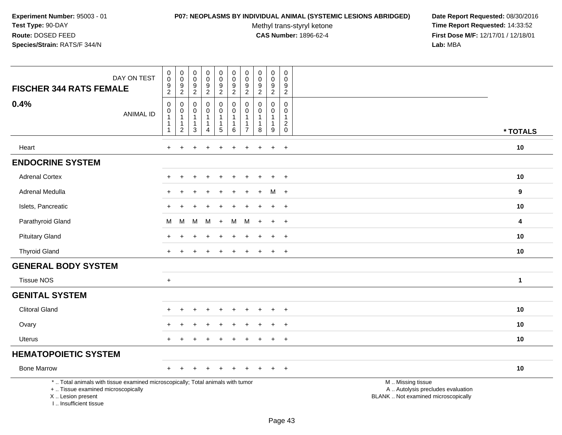# **P07: NEOPLASMS BY INDIVIDUAL ANIMAL (SYSTEMIC LESIONS ABRIDGED) Date Report Requested:** 08/30/2016

Methyl trans-styryl ketone<br>CAS Number: 1896-62-4

| DAY ON TEST<br><b>FISCHER 344 RATS FEMALE</b>                                                                                                                         | $\pmb{0}$<br>$\pmb{0}$<br>9<br>$\sqrt{2}$                                          | $\pmb{0}$<br>$\mathbf 0$<br>$9\,$<br>$\overline{2}$   | $\boldsymbol{0}$<br>$\mathbf 0$<br>$\frac{9}{2}$      | $\pmb{0}$<br>$_{9}^{\rm 0}$<br>$\overline{2}$                    | $\pmb{0}$<br>$\mathbf 0$<br>$\frac{9}{2}$                               | $\boldsymbol{0}$<br>$\mathbf 0$<br>$\boldsymbol{9}$<br>$\overline{2}$ | $\pmb{0}$<br>$\mathbf 0$<br>$\boldsymbol{9}$<br>$\sqrt{2}$        | $\pmb{0}$<br>$\mathbf 0$<br>$\frac{9}{2}$                           | $\pmb{0}$<br>$\mathbf 0$<br>9<br>$\overline{2}$               | $\pmb{0}$<br>$\mathbf 0$<br>$\frac{9}{2}$                         |                                                                                               |              |
|-----------------------------------------------------------------------------------------------------------------------------------------------------------------------|------------------------------------------------------------------------------------|-------------------------------------------------------|-------------------------------------------------------|------------------------------------------------------------------|-------------------------------------------------------------------------|-----------------------------------------------------------------------|-------------------------------------------------------------------|---------------------------------------------------------------------|---------------------------------------------------------------|-------------------------------------------------------------------|-----------------------------------------------------------------------------------------------|--------------|
| 0.4%<br><b>ANIMAL ID</b>                                                                                                                                              | $\mathsf{O}\xspace$<br>$\pmb{0}$<br>$\overline{1}$<br>$\mathbf{1}$<br>$\mathbf{1}$ | 0<br>$\pmb{0}$<br>$\mathbf{1}$<br>1<br>$\overline{c}$ | 0<br>0<br>$\mathbf{1}$<br>$\mathbf{1}$<br>$\mathsf 3$ | 0<br>$\pmb{0}$<br>$\mathbf{1}$<br>$\mathbf{1}$<br>$\overline{4}$ | $\mathbf 0$<br>$\mathsf{O}\xspace$<br>$\mathbf{1}$<br>$\mathbf{1}$<br>5 | 0<br>$\mathbf 0$<br>$\overline{1}$<br>$\mathbf{1}$<br>$\,6\,$         | $\mathbf 0$<br>$\mathbf 0$<br>$\mathbf{1}$<br>1<br>$\overline{7}$ | $\mathbf 0$<br>$\pmb{0}$<br>$\mathbf{1}$<br>$\mathbf{1}$<br>$\,8\,$ | 0<br>$\mathsf{O}\xspace$<br>$\mathbf{1}$<br>$\mathbf{1}$<br>9 | 0<br>$\mathbf 0$<br>$\mathbf{1}$<br>$\overline{c}$<br>$\mathbf 0$ |                                                                                               | * TOTALS     |
| Heart                                                                                                                                                                 | $\ddot{}$                                                                          | $\ddot{}$                                             |                                                       | $\ddot{}$                                                        | $\ddot{}$                                                               | $\ddot{}$                                                             | $\ddot{}$                                                         | ÷.                                                                  | $\ddot{}$                                                     | $+$                                                               |                                                                                               | 10           |
| <b>ENDOCRINE SYSTEM</b>                                                                                                                                               |                                                                                    |                                                       |                                                       |                                                                  |                                                                         |                                                                       |                                                                   |                                                                     |                                                               |                                                                   |                                                                                               |              |
| <b>Adrenal Cortex</b>                                                                                                                                                 |                                                                                    |                                                       |                                                       |                                                                  |                                                                         |                                                                       |                                                                   |                                                                     | $\ddot{}$                                                     | $+$                                                               |                                                                                               | $10$         |
| Adrenal Medulla                                                                                                                                                       |                                                                                    |                                                       |                                                       |                                                                  |                                                                         |                                                                       |                                                                   |                                                                     | м                                                             | $+$                                                               |                                                                                               | 9            |
| Islets, Pancreatic                                                                                                                                                    |                                                                                    |                                                       |                                                       |                                                                  |                                                                         |                                                                       |                                                                   |                                                                     | $+$                                                           | $+$                                                               |                                                                                               | $10$         |
| Parathyroid Gland                                                                                                                                                     | M                                                                                  | М                                                     | M                                                     | M                                                                | $+$                                                                     | м                                                                     | M                                                                 |                                                                     | $\ddot{}$                                                     | $+$                                                               |                                                                                               | 4            |
| <b>Pituitary Gland</b>                                                                                                                                                |                                                                                    |                                                       |                                                       |                                                                  |                                                                         |                                                                       |                                                                   |                                                                     |                                                               | $+$                                                               |                                                                                               | 10           |
| <b>Thyroid Gland</b>                                                                                                                                                  | $+$                                                                                |                                                       |                                                       |                                                                  |                                                                         |                                                                       |                                                                   |                                                                     | $+$                                                           | $+$                                                               |                                                                                               | 10           |
| <b>GENERAL BODY SYSTEM</b>                                                                                                                                            |                                                                                    |                                                       |                                                       |                                                                  |                                                                         |                                                                       |                                                                   |                                                                     |                                                               |                                                                   |                                                                                               |              |
| <b>Tissue NOS</b>                                                                                                                                                     | $\ddot{}$                                                                          |                                                       |                                                       |                                                                  |                                                                         |                                                                       |                                                                   |                                                                     |                                                               |                                                                   |                                                                                               | $\mathbf{1}$ |
| <b>GENITAL SYSTEM</b>                                                                                                                                                 |                                                                                    |                                                       |                                                       |                                                                  |                                                                         |                                                                       |                                                                   |                                                                     |                                                               |                                                                   |                                                                                               |              |
| <b>Clitoral Gland</b>                                                                                                                                                 |                                                                                    |                                                       |                                                       |                                                                  |                                                                         |                                                                       |                                                                   |                                                                     | $\div$                                                        | $+$                                                               |                                                                                               | 10           |
| Ovary                                                                                                                                                                 |                                                                                    |                                                       |                                                       |                                                                  |                                                                         |                                                                       |                                                                   |                                                                     | $\ddot{}$                                                     | $+$                                                               |                                                                                               | 10           |
| Uterus                                                                                                                                                                |                                                                                    |                                                       |                                                       |                                                                  |                                                                         |                                                                       |                                                                   |                                                                     | $\ddot{}$                                                     | $+$                                                               |                                                                                               | 10           |
| <b>HEMATOPOIETIC SYSTEM</b>                                                                                                                                           |                                                                                    |                                                       |                                                       |                                                                  |                                                                         |                                                                       |                                                                   |                                                                     |                                                               |                                                                   |                                                                                               |              |
| <b>Bone Marrow</b>                                                                                                                                                    |                                                                                    |                                                       |                                                       |                                                                  |                                                                         |                                                                       |                                                                   |                                                                     |                                                               | $\overline{+}$                                                    |                                                                                               | 10           |
| *  Total animals with tissue examined microscopically; Total animals with tumor<br>+  Tissue examined microscopically<br>X  Lesion present<br>I., Insufficient tissue |                                                                                    |                                                       |                                                       |                                                                  |                                                                         |                                                                       |                                                                   |                                                                     |                                                               |                                                                   | M  Missing tissue<br>A  Autolysis precludes evaluation<br>BLANK  Not examined microscopically |              |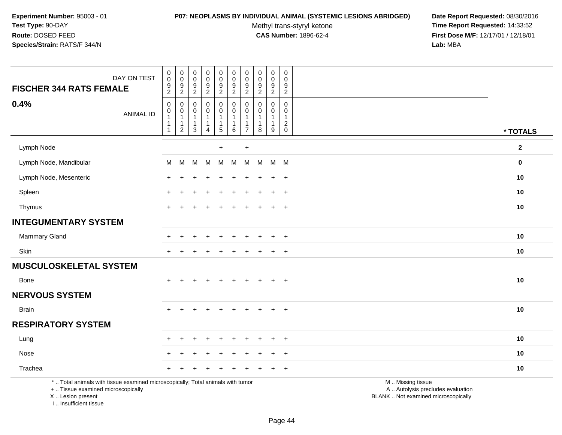### **P07: NEOPLASMS BY INDIVIDUAL ANIMAL (SYSTEMIC LESIONS ABRIDGED) Date Report Requested:** 08/30/2016

Methyl trans-styryl ketone<br>CAS Number: 1896-62-4

 **Time Report Requested:** 14:33:52 **First Dose M/F:** 12/17/01 / 12/18/01<br>Lab: MBA **Lab:** MBA

| <b>FISCHER 344 RATS FEMALE</b>                                                                                                             | DAY ON TEST      | $_{\rm 0}^{\rm 0}$<br>$\boldsymbol{9}$<br>$\overline{2}$                 | $\pmb{0}$<br>$\mathsf 0$<br>9<br>$\sqrt{2}$                        | 0<br>$\mathbf 0$<br>$\boldsymbol{9}$<br>$\sqrt{2}$          | $\pmb{0}$<br>$\pmb{0}$<br>$\boldsymbol{9}$<br>$\overline{c}$ | $\pmb{0}$<br>$\ddot{\mathbf{0}}$<br>9<br>$\overline{2}$                             | $\pmb{0}$<br>$\pmb{0}$<br>$\boldsymbol{9}$<br>$\overline{2}$ | $\pmb{0}$<br>$\pmb{0}$<br>$\boldsymbol{9}$<br>$\boldsymbol{2}$ | $\pmb{0}$<br>$\mathbf 0$<br>$\boldsymbol{9}$<br>$\overline{2}$                      | $\pmb{0}$<br>$\mathbf 0$<br>9<br>$\overline{2}$ | $\pmb{0}$<br>$\mathbf 0$<br>$\boldsymbol{9}$<br>$\overline{2}$ |                                                                                               |              |
|--------------------------------------------------------------------------------------------------------------------------------------------|------------------|--------------------------------------------------------------------------|--------------------------------------------------------------------|-------------------------------------------------------------|--------------------------------------------------------------|-------------------------------------------------------------------------------------|--------------------------------------------------------------|----------------------------------------------------------------|-------------------------------------------------------------------------------------|-------------------------------------------------|----------------------------------------------------------------|-----------------------------------------------------------------------------------------------|--------------|
| 0.4%                                                                                                                                       | <b>ANIMAL ID</b> | $\boldsymbol{0}$<br>0<br>$\mathbf 1$<br>$\overline{1}$<br>$\overline{1}$ | $\mathbf 0$<br>0<br>$\mathbf{1}$<br>$\mathbf{1}$<br>$\overline{2}$ | $\Omega$<br>$\Omega$<br>$\overline{1}$<br>1<br>$\mathbf{3}$ | 0<br>0<br>$\mathbf 1$<br>$\mathbf{1}$<br>$\overline{4}$      | $\mathbf 0$<br>$\mathbf 0$<br>$\mathbf{1}$<br>$\begin{array}{c} 1 \\ 5 \end{array}$ | $\mathbf 0$<br>$\mathbf 0$<br>1<br>1<br>$\,6\,$              | $\mathbf 0$<br>0<br>$\frac{1}{7}$                              | $\mathbf 0$<br>$\mathbf 0$<br>$\mathbf{1}$<br>$\begin{array}{c} 1 \\ 8 \end{array}$ | $\mathbf 0$<br>$\overline{0}$<br>1<br>9         | $\mathbf 0$<br>$\Omega$<br>$\mathbf{1}$<br>$^2_{\rm 0}$        |                                                                                               | * TOTALS     |
| Lymph Node                                                                                                                                 |                  |                                                                          |                                                                    |                                                             |                                                              | $+$                                                                                 |                                                              | $\ddot{}$                                                      |                                                                                     |                                                 |                                                                |                                                                                               | $\mathbf{2}$ |
| Lymph Node, Mandibular                                                                                                                     |                  | М                                                                        | М                                                                  | M                                                           | M                                                            | M                                                                                   | M                                                            | M                                                              | M                                                                                   | $M$ M                                           |                                                                |                                                                                               | $\mathbf 0$  |
| Lymph Node, Mesenteric                                                                                                                     |                  |                                                                          |                                                                    |                                                             |                                                              |                                                                                     |                                                              |                                                                |                                                                                     | ÷                                               | $\overline{+}$                                                 |                                                                                               | 10           |
| Spleen                                                                                                                                     |                  |                                                                          |                                                                    |                                                             |                                                              |                                                                                     |                                                              |                                                                |                                                                                     | $\ddot{}$                                       | $\ddot{}$                                                      |                                                                                               | 10           |
| Thymus                                                                                                                                     |                  | $+$                                                                      |                                                                    |                                                             |                                                              |                                                                                     |                                                              |                                                                |                                                                                     | $\ddot{}$                                       | $+$                                                            |                                                                                               | 10           |
| <b>INTEGUMENTARY SYSTEM</b>                                                                                                                |                  |                                                                          |                                                                    |                                                             |                                                              |                                                                                     |                                                              |                                                                |                                                                                     |                                                 |                                                                |                                                                                               |              |
| Mammary Gland                                                                                                                              |                  |                                                                          |                                                                    |                                                             |                                                              |                                                                                     |                                                              |                                                                |                                                                                     |                                                 | $\ddot{}$                                                      |                                                                                               | 10           |
| Skin                                                                                                                                       |                  | $+$                                                                      | $\div$                                                             |                                                             |                                                              | $\div$                                                                              | $\ddot{}$                                                    |                                                                | ÷.                                                                                  | $+$                                             | $+$                                                            |                                                                                               | 10           |
| <b>MUSCULOSKELETAL SYSTEM</b>                                                                                                              |                  |                                                                          |                                                                    |                                                             |                                                              |                                                                                     |                                                              |                                                                |                                                                                     |                                                 |                                                                |                                                                                               |              |
| Bone                                                                                                                                       |                  |                                                                          |                                                                    |                                                             |                                                              |                                                                                     | $\ddot{}$                                                    |                                                                |                                                                                     | $\overline{+}$                                  | $+$                                                            |                                                                                               | 10           |
| <b>NERVOUS SYSTEM</b>                                                                                                                      |                  |                                                                          |                                                                    |                                                             |                                                              |                                                                                     |                                                              |                                                                |                                                                                     |                                                 |                                                                |                                                                                               |              |
| <b>Brain</b>                                                                                                                               |                  | $+$                                                                      | $+$                                                                | $\ddot{}$                                                   | $\ddot{}$                                                    | $+$                                                                                 | $\ddot{}$                                                    | $+$                                                            | $\ddot{}$                                                                           | $+$                                             | $+$                                                            |                                                                                               | 10           |
| <b>RESPIRATORY SYSTEM</b>                                                                                                                  |                  |                                                                          |                                                                    |                                                             |                                                              |                                                                                     |                                                              |                                                                |                                                                                     |                                                 |                                                                |                                                                                               |              |
| Lung                                                                                                                                       |                  |                                                                          |                                                                    |                                                             |                                                              |                                                                                     |                                                              |                                                                |                                                                                     |                                                 |                                                                |                                                                                               | 10           |
| Nose                                                                                                                                       |                  |                                                                          |                                                                    |                                                             |                                                              |                                                                                     |                                                              |                                                                |                                                                                     | $\ddot{}$                                       | $\overline{+}$                                                 |                                                                                               | 10           |
| Trachea                                                                                                                                    |                  |                                                                          |                                                                    |                                                             |                                                              |                                                                                     |                                                              |                                                                |                                                                                     |                                                 | $\ddot{}$                                                      |                                                                                               | 10           |
| *  Total animals with tissue examined microscopically; Total animals with tumor<br>+  Tissue examined microscopically<br>X  Lesion present |                  |                                                                          |                                                                    |                                                             |                                                              |                                                                                     |                                                              |                                                                |                                                                                     |                                                 |                                                                | M  Missing tissue<br>A  Autolysis precludes evaluation<br>BLANK  Not examined microscopically |              |

I .. Insufficient tissue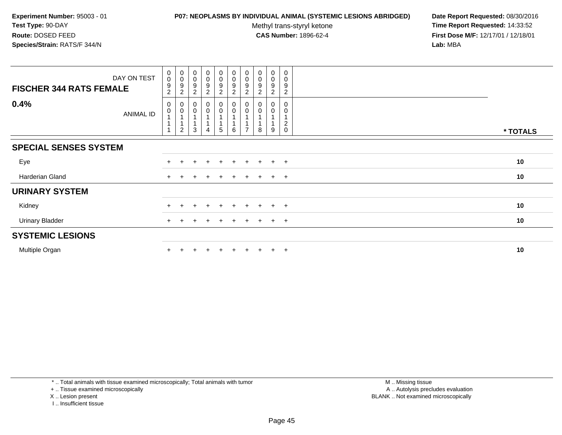## **P07: NEOPLASMS BY INDIVIDUAL ANIMAL (SYSTEMIC LESIONS ABRIDGED) Date Report Requested:** 08/30/2016

Methyl trans-styryl ketone<br>CAS Number: 1896-62-4

 **Time Report Requested:** 14:33:52 **First Dose M/F:** 12/17/01 / 12/18/01<br>**Lab:** MBA **Lab:** MBA

| DAY ON TEST<br><b>FISCHER 344 RATS FEMALE</b> | $\mathbf 0$<br>$\pmb{0}$<br>9<br>$\overline{c}$ | $_{\rm 0}^{\rm 0}$<br>9<br>$\boldsymbol{2}$ | $_{\rm 0}^{\rm 0}$<br>$\boldsymbol{9}$<br>$\overline{c}$ | $_{\rm 0}^{\rm 0}$<br>$\boldsymbol{9}$<br>$\overline{c}$ | $\begin{smallmatrix}0\0\0\9\end{smallmatrix}$<br>$\overline{c}$ | $\begin{smallmatrix}0\\0\end{smallmatrix}$<br>$\boldsymbol{9}$<br>$\overline{c}$ | $\begin{smallmatrix} 0\\0 \end{smallmatrix}$<br>$\boldsymbol{9}$<br>2 | $\begin{smallmatrix}0\0\0\end{smallmatrix}$<br>9<br>$\overline{2}$ | $\begin{smallmatrix} 0\\0 \end{smallmatrix}$<br>$\boldsymbol{9}$<br>$\overline{c}$ | 0<br>$\pmb{0}$<br>$\boldsymbol{9}$<br>$\overline{2}$ |          |
|-----------------------------------------------|-------------------------------------------------|---------------------------------------------|----------------------------------------------------------|----------------------------------------------------------|-----------------------------------------------------------------|----------------------------------------------------------------------------------|-----------------------------------------------------------------------|--------------------------------------------------------------------|------------------------------------------------------------------------------------|------------------------------------------------------|----------|
| 0.4%<br><b>ANIMAL ID</b>                      | 0<br>$\boldsymbol{0}$<br>$\overline{A}$         | 0<br>0<br>$\overline{c}$                    | 0<br>3                                                   | $\pmb{0}$<br>$\pmb{0}$<br>4                              | 0<br>0<br>5                                                     | $\pmb{0}$<br>$\pmb{0}$<br>6                                                      | $\pmb{0}$                                                             | 0<br>8                                                             | 0<br>0<br>9                                                                        | 0<br>0<br>$\boldsymbol{2}$<br>$\mathbf 0$            | * TOTALS |
| <b>SPECIAL SENSES SYSTEM</b>                  |                                                 |                                             |                                                          |                                                          |                                                                 |                                                                                  |                                                                       |                                                                    |                                                                                    |                                                      |          |
| Eye                                           | $+$                                             |                                             |                                                          |                                                          | $\ddot{}$                                                       | $\pm$                                                                            |                                                                       | $+$                                                                | $+$                                                                                | $+$                                                  | 10       |
| Harderian Gland                               | $+$                                             |                                             |                                                          |                                                          | $\pm$                                                           | $\pm$                                                                            | $\pm$                                                                 | $+$                                                                | $+$ $+$                                                                            |                                                      | 10       |
| <b>URINARY SYSTEM</b>                         |                                                 |                                             |                                                          |                                                          |                                                                 |                                                                                  |                                                                       |                                                                    |                                                                                    |                                                      |          |
| Kidney                                        |                                                 |                                             |                                                          |                                                          | $\div$                                                          | $+$                                                                              |                                                                       |                                                                    | $+$                                                                                | $+$                                                  | 10       |
| <b>Urinary Bladder</b>                        |                                                 |                                             |                                                          |                                                          |                                                                 | $\pm$                                                                            |                                                                       |                                                                    | $+$                                                                                | $+$                                                  | 10       |
| <b>SYSTEMIC LESIONS</b>                       |                                                 |                                             |                                                          |                                                          |                                                                 |                                                                                  |                                                                       |                                                                    |                                                                                    |                                                      |          |
| Multiple Organ                                |                                                 |                                             |                                                          |                                                          | $\div$                                                          | $+$                                                                              |                                                                       | $+$                                                                | $\pm$                                                                              | $+$                                                  | 10       |

\* .. Total animals with tissue examined microscopically; Total animals with tumor

+ .. Tissue examined microscopically

- X .. Lesion present
- I .. Insufficient tissue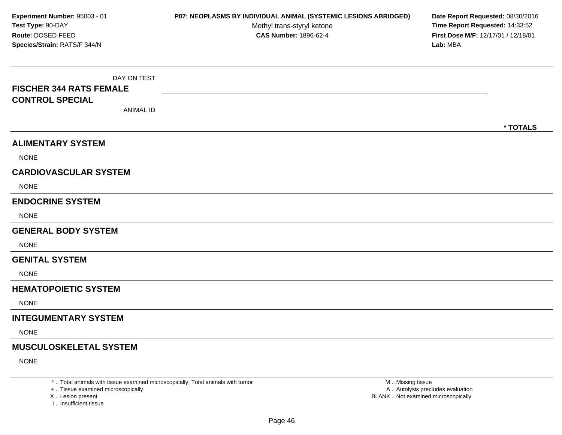DAY ON TEST**FISCHER 344 RATS FEMALECONTROL SPECIAL**ANIMAL ID**\* TOTALSALIMENTARY SYSTEM**NONE**CARDIOVASCULAR SYSTEM**NONE**ENDOCRINE SYSTEM**NONE**GENERAL BODY SYSTEM**NONE**GENITAL SYSTEM**NONE**HEMATOPOIETIC SYSTEMNONE INTEGUMENTARY SYSTEM**NONE**MUSCULOSKELETAL SYSTEM**NONE**Experiment Number:** 95003 - 01 **P07: NEOPLASMS BY INDIVIDUAL ANIMAL (SYSTEMIC LESIONS ABRIDGED) Date Report Requested:** 08/30/2016 **Test Type:** 90-DAYMethyl trans-styryl ketone<br>CAS Number: 1896-62-4 **Time Report Requested:** 14:33:52 **Route:** DOSED FEED**First Dose M/F:** 12/17/01 / 12/18/01<br>**Lab:** MBA **Species/Strain:** RATS/F 344/N**Lab:** MBA

\* .. Total animals with tissue examined microscopically; Total animals with tumor

+ .. Tissue examined microscopically

X .. Lesion present

I .. Insufficient tissue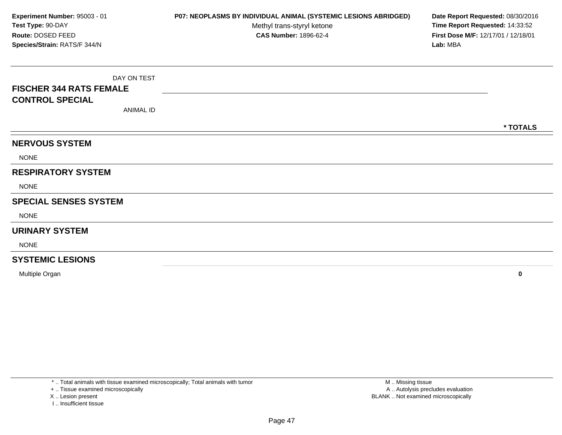DAY ON TEST**FISCHER 344 RATS FEMALECONTROL SPECIAL**ANIMAL ID**\* TOTALSNERVOUS SYSTEM**NONE**RESPIRATORY SYSTEM**NONE**SPECIAL SENSES SYSTEM**NONE**URINARY SYSTEM**NONE**SYSTEMIC LESIONSExperiment Number:** 95003 - 01 **P07: NEOPLASMS BY INDIVIDUAL ANIMAL (SYSTEMIC LESIONS ABRIDGED) Date Report Requested:** 08/30/2016 **Test Type:** 90-DAYMethyl trans-styryl ketone<br>CAS Number: 1896-62-4 **Time Report Requested:** 14:33:52 **Route:** DOSED FEED**First Dose M/F:** 12/17/01 / 12/18/01<br>**Lab:** MBA **Species/Strain:** RATS/F 344/N**Lab:** MBA

Multiple Organ**<sup>0</sup>**

\* .. Total animals with tissue examined microscopically; Total animals with tumor

+ .. Tissue examined microscopically

X .. Lesion present

I .. Insufficient tissue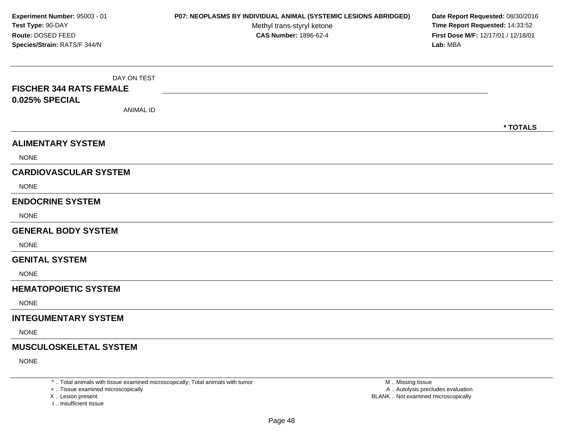DAY ON TEST**FISCHER 344 RATS FEMALE0.025% SPECIAL**ANIMAL ID**\* TOTALSALIMENTARY SYSTEM**NONE**CARDIOVASCULAR SYSTEM**NONE**ENDOCRINE SYSTEM**NONE**GENERAL BODY SYSTEM**NONE**GENITAL SYSTEM**NONE**HEMATOPOIETIC SYSTEMNONE INTEGUMENTARY SYSTEM**NONE**MUSCULOSKELETAL SYSTEM**NONE**Experiment Number:** 95003 - 01 **P07: NEOPLASMS BY INDIVIDUAL ANIMAL (SYSTEMIC LESIONS ABRIDGED) Date Report Requested:** 08/30/2016 **Test Type:** 90-DAYMethyl trans-styryl ketone<br>CAS Number: 1896-62-4 **Time Report Requested:** 14:33:52 **Route:** DOSED FEED**First Dose M/F:** 12/17/01 / 12/18/01<br>**Lab:** MBA **Species/Strain:** RATS/F 344/N**Lab:** MBA

\* .. Total animals with tissue examined microscopically; Total animals with tumor

+ .. Tissue examined microscopically

X .. Lesion present

I .. Insufficient tissue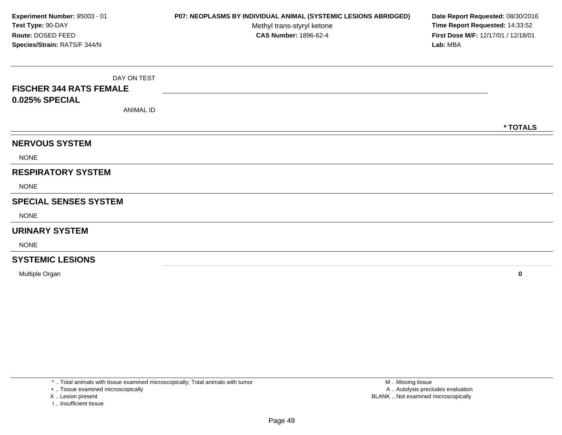DAY ON TEST**FISCHER 344 RATS FEMALE0.025% SPECIAL**ANIMAL ID**\* TOTALSNERVOUS SYSTEM**NONE**RESPIRATORY SYSTEM**NONE**SPECIAL SENSES SYSTEM**NONE**URINARY SYSTEM**NONE**SYSTEMIC LESIONSExperiment Number:** 95003 - 01 **P07: NEOPLASMS BY INDIVIDUAL ANIMAL (SYSTEMIC LESIONS ABRIDGED) Date Report Requested:** 08/30/2016 **Test Type:** 90-DAYMethyl trans-styryl ketone<br>CAS Number: 1896-62-4 **Time Report Requested:** 14:33:52 **Route:** DOSED FEED**First Dose M/F:** 12/17/01 / 12/18/01<br>**Lab:** MBA **Species/Strain:** RATS/F 344/N**Lab:** MBA

Multiple Organ**<sup>0</sup>**

\* .. Total animals with tissue examined microscopically; Total animals with tumor

+ .. Tissue examined microscopically

X .. Lesion present

I .. Insufficient tissue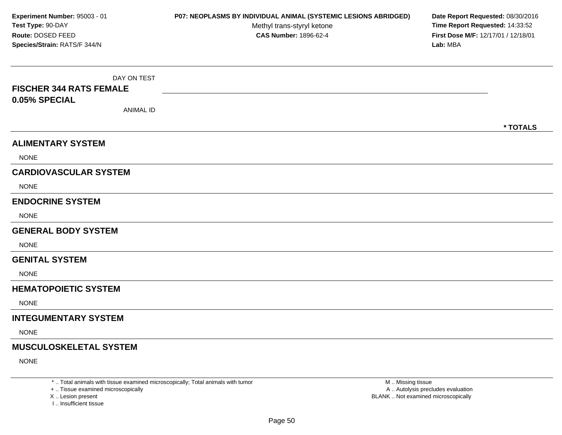DAY ON TEST**FISCHER 344 RATS FEMALE0.05% SPECIAL**ANIMAL ID**\* TOTALSALIMENTARY SYSTEM**NONE**CARDIOVASCULAR SYSTEM**NONE**ENDOCRINE SYSTEM**NONE**GENERAL BODY SYSTEM**NONE**GENITAL SYSTEM**NONE**HEMATOPOIETIC SYSTEMNONE INTEGUMENTARY SYSTEM**NONE**MUSCULOSKELETAL SYSTEM**NONE**Experiment Number:** 95003 - 01 **P07: NEOPLASMS BY INDIVIDUAL ANIMAL (SYSTEMIC LESIONS ABRIDGED) Date Report Requested:** 08/30/2016 **Test Type:** 90-DAYMethyl trans-styryl ketone<br>CAS Number: 1896-62-4 **Time Report Requested:** 14:33:52 **Route:** DOSED FEED**First Dose M/F:** 12/17/01 / 12/18/01<br>**Lab:** MBA **Species/Strain:** RATS/F 344/N**Lab:** MBA

\* .. Total animals with tissue examined microscopically; Total animals with tumor

+ .. Tissue examined microscopically

X .. Lesion present

I .. Insufficient tissue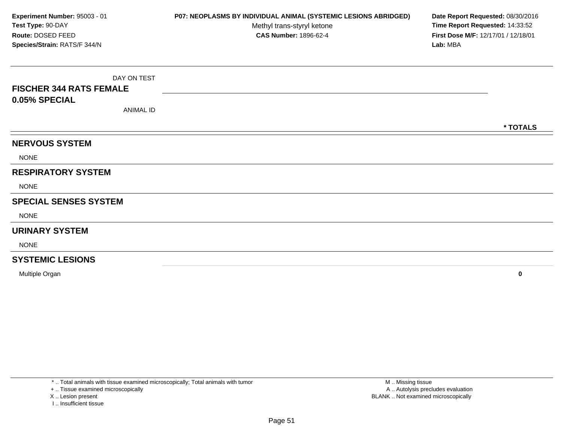DAY ON TEST**FISCHER 344 RATS FEMALE0.05% SPECIAL**ANIMAL ID**\* TOTALSNERVOUS SYSTEM**NONE**RESPIRATORY SYSTEM**NONE**SPECIAL SENSES SYSTEM**NONE**URINARY SYSTEM**NONE**SYSTEMIC LESIONSExperiment Number:** 95003 - 01 **P07: NEOPLASMS BY INDIVIDUAL ANIMAL (SYSTEMIC LESIONS ABRIDGED) Date Report Requested:** 08/30/2016 **Test Type:** 90-DAYMethyl trans-styryl ketone<br>CAS Number: 1896-62-4 **Time Report Requested:** 14:33:52 **Route:** DOSED FEED**First Dose M/F:** 12/17/01 / 12/18/01<br>**Lab:** MBA **Species/Strain:** RATS/F 344/N**Lab:** MBA

Multiple Organ**<sup>0</sup>**

\* .. Total animals with tissue examined microscopically; Total animals with tumor

+ .. Tissue examined microscopically

X .. Lesion present

I .. Insufficient tissue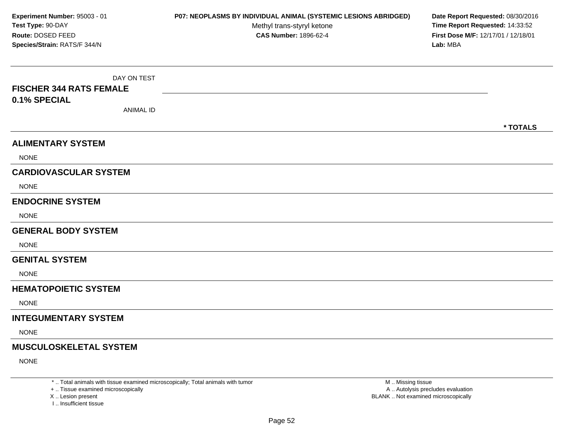DAY ON TEST**FISCHER 344 RATS FEMALE0.1% SPECIAL**ANIMAL ID**\* TOTALSALIMENTARY SYSTEMNONE CARDIOVASCULAR SYSTEM**NONE**ENDOCRINE SYSTEM**NONE**GENERAL BODY SYSTEM**NONE**GENITAL SYSTEM**NONE**HEMATOPOIETIC SYSTEMNONE INTEGUMENTARY SYSTEM**NONE**MUSCULOSKELETAL SYSTEM**NONE**Experiment Number:** 95003 - 01 **P07: NEOPLASMS BY INDIVIDUAL ANIMAL (SYSTEMIC LESIONS ABRIDGED) Date Report Requested:** 08/30/2016 **Test Type:** 90-DAYMethyl trans-styryl ketone<br>CAS Number: 1896-62-4 **Time Report Requested:** 14:33:52 **Route:** DOSED FEED**First Dose M/F:** 12/17/01 / 12/18/01<br>**Lab:** MBA **Species/Strain:** RATS/F 344/N**Lab:** MBA

\* .. Total animals with tissue examined microscopically; Total animals with tumor

+ .. Tissue examined microscopically

X .. Lesion present

I .. Insufficient tissue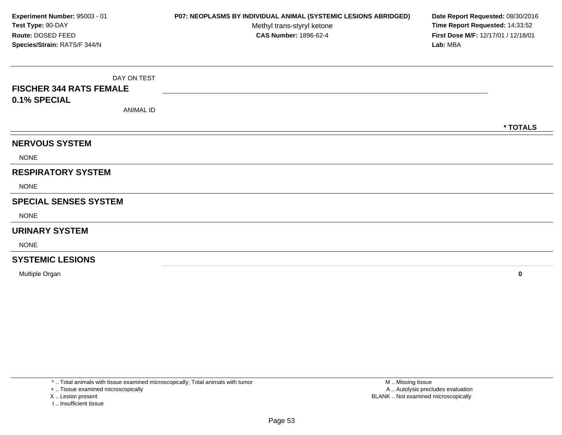DAY ON TEST**FISCHER 344 RATS FEMALE0.1% SPECIAL**ANIMAL ID**\* TOTALSNERVOUS SYSTEM**NONE**RESPIRATORY SYSTEM**NONE**SPECIAL SENSES SYSTEM**NONE**URINARY SYSTEM**NONE**SYSTEMIC LESIONSExperiment Number:** 95003 - 01 **P07: NEOPLASMS BY INDIVIDUAL ANIMAL (SYSTEMIC LESIONS ABRIDGED) Date Report Requested:** 08/30/2016 **Test Type:** 90-DAYMethyl trans-styryl ketone<br>CAS Number: 1896-62-4 **Time Report Requested:** 14:33:52 **Route:** DOSED FEED**First Dose M/F:** 12/17/01 / 12/18/01<br>**Lab:** MBA **Species/Strain:** RATS/F 344/N**Lab:** MBA

Multiple Organ**<sup>0</sup>**

\* .. Total animals with tissue examined microscopically; Total animals with tumor

+ .. Tissue examined microscopically

X .. Lesion present

I .. Insufficient tissue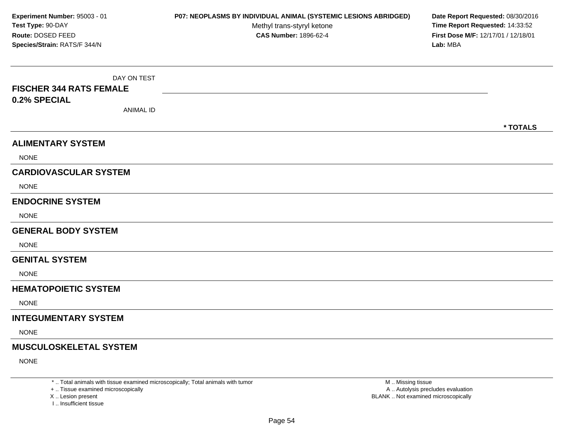DAY ON TEST**FISCHER 344 RATS FEMALE0.2% SPECIAL**ANIMAL ID**\* TOTALSALIMENTARY SYSTEMNONE CARDIOVASCULAR SYSTEM**NONE**ENDOCRINE SYSTEM**NONE**GENERAL BODY SYSTEM**NONE**GENITAL SYSTEM**NONE**HEMATOPOIETIC SYSTEMNONE INTEGUMENTARY SYSTEM**NONE**MUSCULOSKELETAL SYSTEM**NONE**Experiment Number:** 95003 - 01 **P07: NEOPLASMS BY INDIVIDUAL ANIMAL (SYSTEMIC LESIONS ABRIDGED) Date Report Requested:** 08/30/2016 **Test Type:** 90-DAYMethyl trans-styryl ketone<br>CAS Number: 1896-62-4 **Time Report Requested:** 14:33:52 **Route:** DOSED FEED**First Dose M/F:** 12/17/01 / 12/18/01<br>**Lab:** MBA **Species/Strain:** RATS/F 344/N**Lab:** MBA

\* .. Total animals with tissue examined microscopically; Total animals with tumor

+ .. Tissue examined microscopically

X .. Lesion present

I .. Insufficient tissue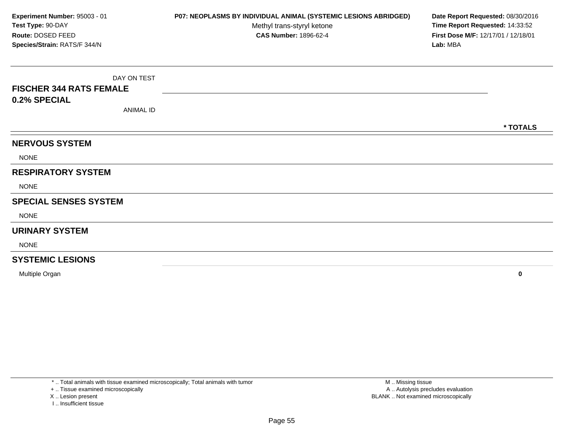DAY ON TEST**FISCHER 344 RATS FEMALE0.2% SPECIAL**ANIMAL ID**\* TOTALSNERVOUS SYSTEM**NONE**RESPIRATORY SYSTEM**NONE**SPECIAL SENSES SYSTEM**NONE**URINARY SYSTEM**NONE**SYSTEMIC LESIONSExperiment Number:** 95003 - 01 **P07: NEOPLASMS BY INDIVIDUAL ANIMAL (SYSTEMIC LESIONS ABRIDGED) Date Report Requested:** 08/30/2016 **Test Type:** 90-DAYMethyl trans-styryl ketone<br>CAS Number: 1896-62-4 **Time Report Requested:** 14:33:52 **Route:** DOSED FEED**First Dose M/F:** 12/17/01 / 12/18/01<br>**Lab:** MBA **Species/Strain:** RATS/F 344/N**Lab:** MBA

Multiple Organ**<sup>0</sup>**

\* .. Total animals with tissue examined microscopically; Total animals with tumor

+ .. Tissue examined microscopically

X .. Lesion present

I .. Insufficient tissue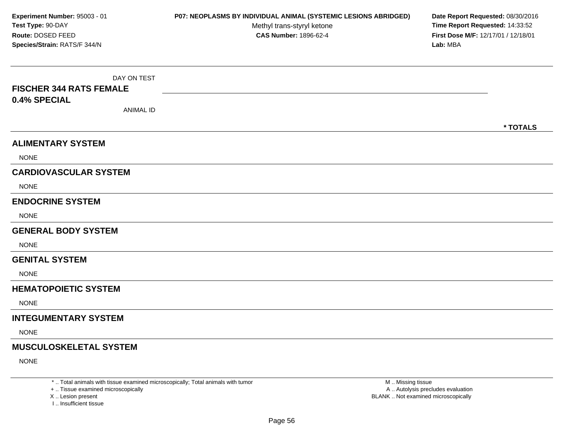DAY ON TEST**FISCHER 344 RATS FEMALE0.4% SPECIAL**ANIMAL ID**\* TOTALSALIMENTARY SYSTEMNONE CARDIOVASCULAR SYSTEM**NONE**ENDOCRINE SYSTEM**NONE**GENERAL BODY SYSTEM**NONE**GENITAL SYSTEM**NONE**HEMATOPOIETIC SYSTEMNONE INTEGUMENTARY SYSTEM**NONE**MUSCULOSKELETAL SYSTEM**NONE**Experiment Number:** 95003 - 01 **P07: NEOPLASMS BY INDIVIDUAL ANIMAL (SYSTEMIC LESIONS ABRIDGED) Date Report Requested:** 08/30/2016 **Test Type:** 90-DAYMethyl trans-styryl ketone<br>CAS Number: 1896-62-4 **Time Report Requested:** 14:33:52 **Route:** DOSED FEED**First Dose M/F:** 12/17/01 / 12/18/01<br>**Lab:** MBA **Species/Strain:** RATS/F 344/N**Lab:** MBA

\* .. Total animals with tissue examined microscopically; Total animals with tumor

+ .. Tissue examined microscopically

X .. Lesion present

I .. Insufficient tissue